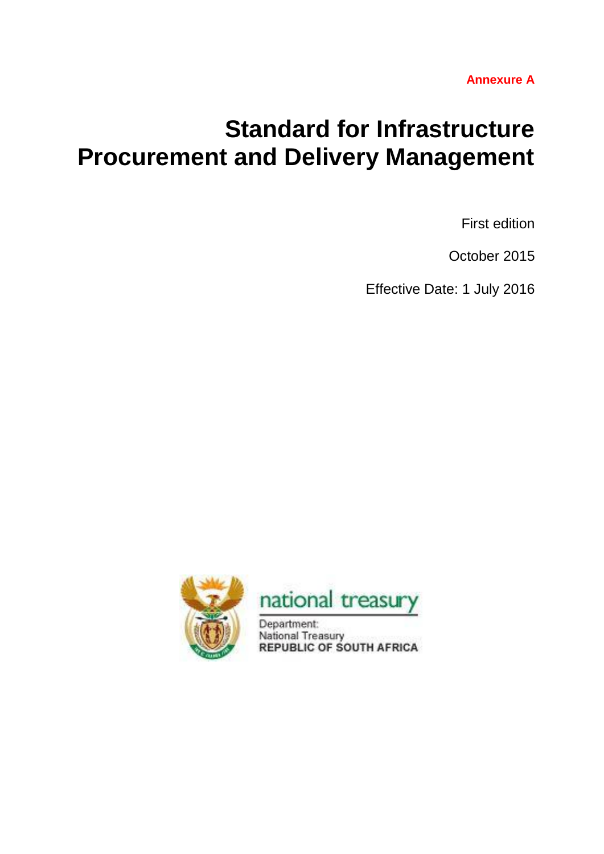# **Standard for Infrastructure Procurement and Delivery Management**

First edition

October 2015

Effective Date: 1 July 2016





Department: National Treasury **REPUBLIC OF SOUTH AFRICA**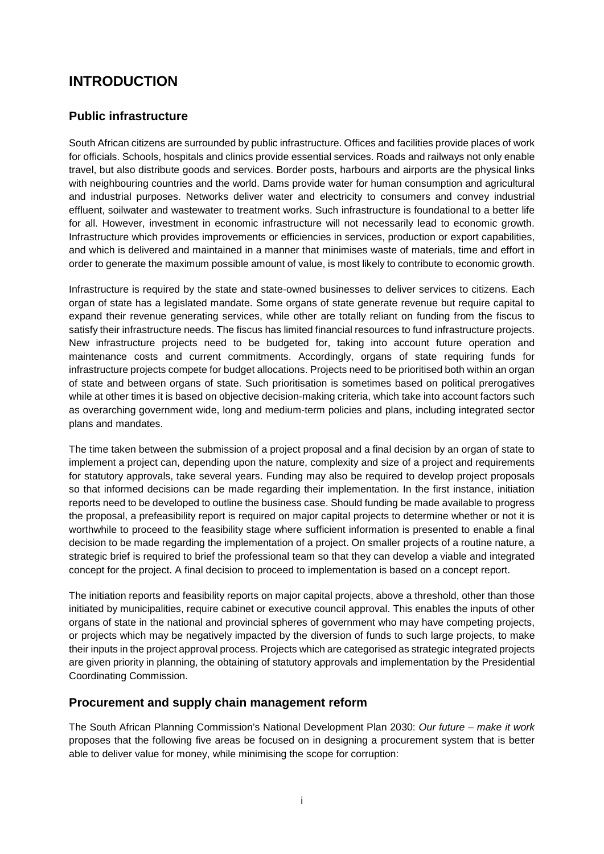# **INTRODUCTION**

# **Public infrastructure**

South African citizens are surrounded by public infrastructure. Offices and facilities provide places of work for officials. Schools, hospitals and clinics provide essential services. Roads and railways not only enable travel, but also distribute goods and services. Border posts, harbours and airports are the physical links with neighbouring countries and the world. Dams provide water for human consumption and agricultural and industrial purposes. Networks deliver water and electricity to consumers and convey industrial effluent, soilwater and wastewater to treatment works. Such infrastructure is foundational to a better life for all. However, investment in economic infrastructure will not necessarily lead to economic growth. Infrastructure which provides improvements or efficiencies in services, production or export capabilities, and which is delivered and maintained in a manner that minimises waste of materials, time and effort in order to generate the maximum possible amount of value, is most likely to contribute to economic growth.

Infrastructure is required by the state and state-owned businesses to deliver services to citizens. Each organ of state has a legislated mandate. Some organs of state generate revenue but require capital to expand their revenue generating services, while other are totally reliant on funding from the fiscus to satisfy their infrastructure needs. The fiscus has limited financial resources to fund infrastructure projects. New infrastructure projects need to be budgeted for, taking into account future operation and maintenance costs and current commitments. Accordingly, organs of state requiring funds for infrastructure projects compete for budget allocations. Projects need to be prioritised both within an organ of state and between organs of state. Such prioritisation is sometimes based on political prerogatives while at other times it is based on objective decision-making criteria, which take into account factors such as overarching government wide, long and medium-term policies and plans, including integrated sector plans and mandates.

The time taken between the submission of a project proposal and a final decision by an organ of state to implement a project can, depending upon the nature, complexity and size of a project and requirements for statutory approvals, take several years. Funding may also be required to develop project proposals so that informed decisions can be made regarding their implementation. In the first instance, initiation reports need to be developed to outline the business case. Should funding be made available to progress the proposal, a prefeasibility report is required on major capital projects to determine whether or not it is worthwhile to proceed to the feasibility stage where sufficient information is presented to enable a final decision to be made regarding the implementation of a project. On smaller projects of a routine nature, a strategic brief is required to brief the professional team so that they can develop a viable and integrated concept for the project. A final decision to proceed to implementation is based on a concept report.

The initiation reports and feasibility reports on major capital projects, above a threshold, other than those initiated by municipalities, require cabinet or executive council approval. This enables the inputs of other organs of state in the national and provincial spheres of government who may have competing projects, or projects which may be negatively impacted by the diversion of funds to such large projects, to make their inputs in the project approval process. Projects which are categorised as strategic integrated projects are given priority in planning, the obtaining of statutory approvals and implementation by the Presidential Coordinating Commission.

## **Procurement and supply chain management reform**

The South African Planning Commission's National Development Plan 2030: *Our future – make it work* proposes that the following five areas be focused on in designing a procurement system that is better able to deliver value for money, while minimising the scope for corruption: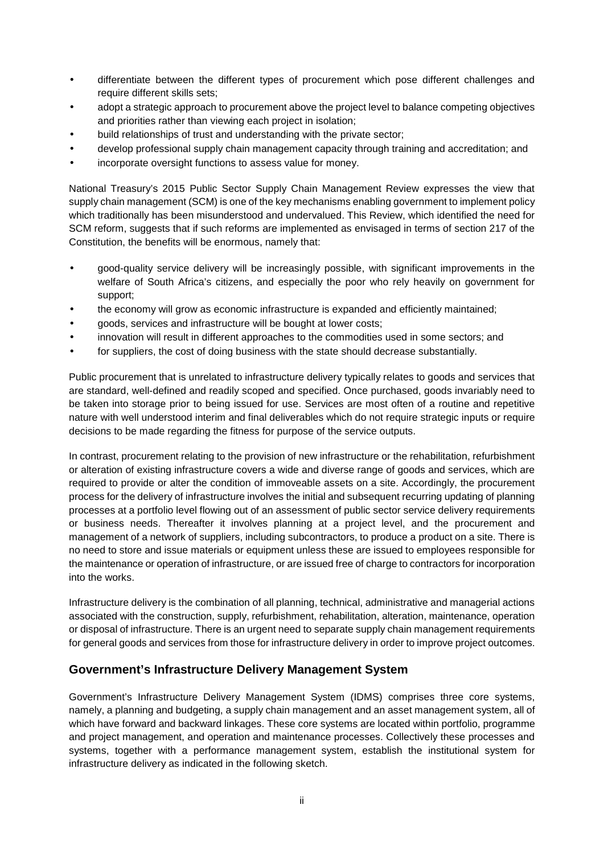- differentiate between the different types of procurement which pose different challenges and require different skills sets;
- adopt a strategic approach to procurement above the project level to balance competing objectives and priorities rather than viewing each project in isolation;
- build relationships of trust and understanding with the private sector;
- develop professional supply chain management capacity through training and accreditation; and
- incorporate oversight functions to assess value for money.

National Treasury's 2015 Public Sector Supply Chain Management Review expresses the view that supply chain management (SCM) is one of the key mechanisms enabling government to implement policy which traditionally has been misunderstood and undervalued. This Review, which identified the need for SCM reform, suggests that if such reforms are implemented as envisaged in terms of section 217 of the Constitution, the benefits will be enormous, namely that:

- good-quality service delivery will be increasingly possible, with significant improvements in the welfare of South Africa's citizens, and especially the poor who rely heavily on government for support;
- the economy will grow as economic infrastructure is expanded and efficiently maintained;
- goods, services and infrastructure will be bought at lower costs;
- innovation will result in different approaches to the commodities used in some sectors; and
- for suppliers, the cost of doing business with the state should decrease substantially.

Public procurement that is unrelated to infrastructure delivery typically relates to goods and services that are standard, well-defined and readily scoped and specified. Once purchased, goods invariably need to be taken into storage prior to being issued for use. Services are most often of a routine and repetitive nature with well understood interim and final deliverables which do not require strategic inputs or require decisions to be made regarding the fitness for purpose of the service outputs.

In contrast, procurement relating to the provision of new infrastructure or the rehabilitation, refurbishment or alteration of existing infrastructure covers a wide and diverse range of goods and services, which are required to provide or alter the condition of immoveable assets on a site. Accordingly, the procurement process for the delivery of infrastructure involves the initial and subsequent recurring updating of planning processes at a portfolio level flowing out of an assessment of public sector service delivery requirements or business needs. Thereafter it involves planning at a project level, and the procurement and management of a network of suppliers, including subcontractors, to produce a product on a site. There is no need to store and issue materials or equipment unless these are issued to employees responsible for the maintenance or operation of infrastructure, or are issued free of charge to contractors for incorporation into the works.

Infrastructure delivery is the combination of all planning, technical, administrative and managerial actions associated with the construction, supply, refurbishment, rehabilitation, alteration, maintenance, operation or disposal of infrastructure. There is an urgent need to separate supply chain management requirements for general goods and services from those for infrastructure delivery in order to improve project outcomes.

## **Government's Infrastructure Delivery Management System**

Government's Infrastructure Delivery Management System (IDMS) comprises three core systems, namely, a planning and budgeting, a supply chain management and an asset management system, all of which have forward and backward linkages. These core systems are located within portfolio, programme and project management, and operation and maintenance processes. Collectively these processes and systems, together with a performance management system, establish the institutional system for infrastructure delivery as indicated in the following sketch.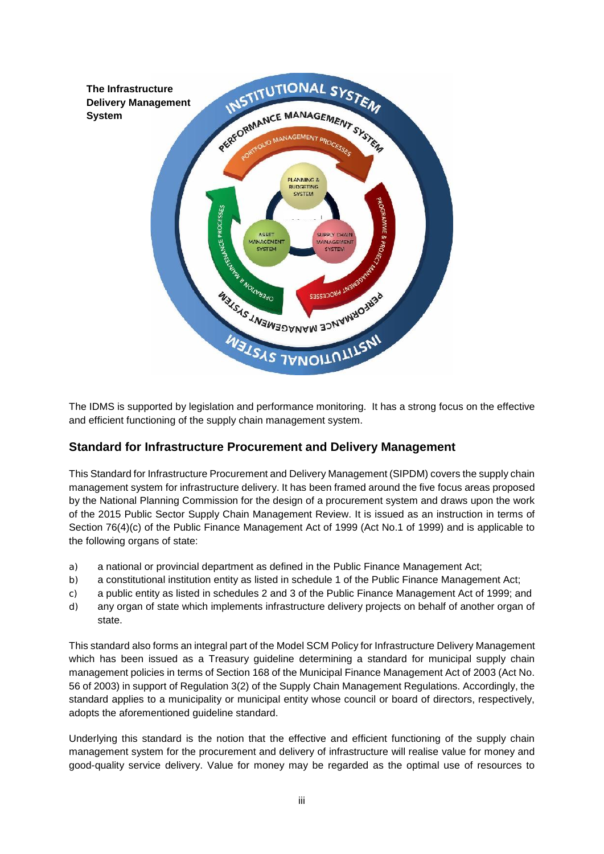

The IDMS is supported by legislation and performance monitoring. It has a strong focus on the effective and efficient functioning of the supply chain management system.

## **Standard for Infrastructure Procurement and Delivery Management**

This Standard for Infrastructure Procurement and Delivery Management (SIPDM) covers the supply chain management system for infrastructure delivery. It has been framed around the five focus areas proposed by the National Planning Commission for the design of a procurement system and draws upon the work of the 2015 Public Sector Supply Chain Management Review. It is issued as an instruction in terms of Section 76(4)(c) of the Public Finance Management Act of 1999 (Act No.1 of 1999) and is applicable to the following organs of state:

- a) a national or provincial department as defined in the Public Finance Management Act;
- b) a constitutional institution entity as listed in schedule 1 of the Public Finance Management Act;
- c) a public entity as listed in schedules 2 and 3 of the Public Finance Management Act of 1999; and
- d) any organ of state which implements infrastructure delivery projects on behalf of another organ of state.

This standard also forms an integral part of the Model SCM Policy for Infrastructure Delivery Management which has been issued as a Treasury quideline determining a standard for municipal supply chain management policies in terms of Section 168 of the Municipal Finance Management Act of 2003 (Act No. 56 of 2003) in support of Regulation 3(2) of the Supply Chain Management Regulations. Accordingly, the standard applies to a municipality or municipal entity whose council or board of directors, respectively, adopts the aforementioned guideline standard.

Underlying this standard is the notion that the effective and efficient functioning of the supply chain management system for the procurement and delivery of infrastructure will realise value for money and good-quality service delivery. Value for money may be regarded as the optimal use of resources to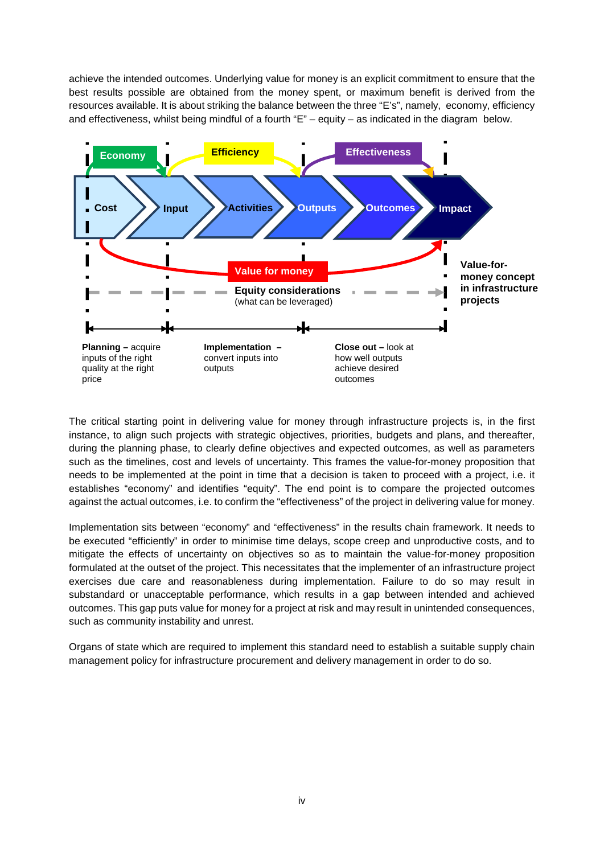achieve the intended outcomes. Underlying value for money is an explicit commitment to ensure that the best results possible are obtained from the money spent, or maximum benefit is derived from the resources available. It is about striking the balance between the three "E's", namely, economy, efficiency and effectiveness, whilst being mindful of a fourth "E" – equity – as indicated in the diagram below.



The critical starting point in delivering value for money through infrastructure projects is, in the first instance, to align such projects with strategic objectives, priorities, budgets and plans, and thereafter, during the planning phase, to clearly define objectives and expected outcomes, as well as parameters such as the timelines, cost and levels of uncertainty. This frames the value-for-money proposition that needs to be implemented at the point in time that a decision is taken to proceed with a project, i.e. it establishes "economy" and identifies "equity". The end point is to compare the projected outcomes against the actual outcomes, i.e. to confirm the "effectiveness" of the project in delivering value for money.

Implementation sits between "economy" and "effectiveness" in the results chain framework. It needs to be executed "efficiently" in order to minimise time delays, scope creep and unproductive costs, and to mitigate the effects of uncertainty on objectives so as to maintain the value-for-money proposition formulated at the outset of the project. This necessitates that the implementer of an infrastructure project exercises due care and reasonableness during implementation. Failure to do so may result in substandard or unacceptable performance, which results in a gap between intended and achieved outcomes. This gap puts value for money for a project at risk and may result in unintended consequences, such as community instability and unrest.

Organs of state which are required to implement this standard need to establish a suitable supply chain management policy for infrastructure procurement and delivery management in order to do so.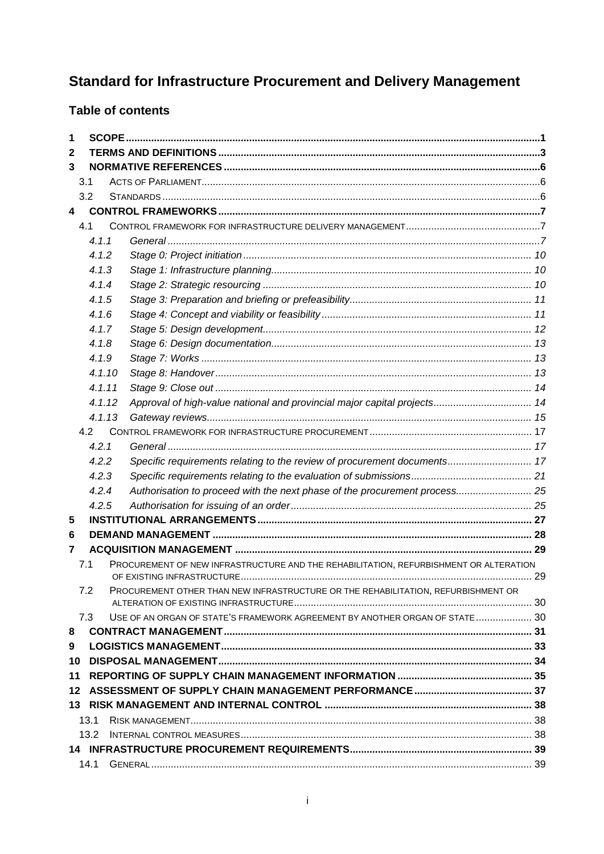# **Standard for Infrastructure Procurement and Delivery Management**

# **Table of contents**

| 1 |        |                                                                                       |  |
|---|--------|---------------------------------------------------------------------------------------|--|
| 2 |        |                                                                                       |  |
| 3 |        |                                                                                       |  |
|   | 3.1    |                                                                                       |  |
|   | 3.2    |                                                                                       |  |
| 4 |        |                                                                                       |  |
|   | 4.1    |                                                                                       |  |
|   | 4.1.1  |                                                                                       |  |
|   | 4.1.2  |                                                                                       |  |
|   | 4.1.3  |                                                                                       |  |
|   | 4.1.4  |                                                                                       |  |
|   | 4.1.5  |                                                                                       |  |
|   | 4.1.6  |                                                                                       |  |
|   | 4.1.7  |                                                                                       |  |
|   | 4.1.8  |                                                                                       |  |
|   | 4.1.9  |                                                                                       |  |
|   | 4.1.10 |                                                                                       |  |
|   | 4.1.11 |                                                                                       |  |
|   | 4.1.12 | Approval of high-value national and provincial major capital projects 14              |  |
|   | 4.1.13 |                                                                                       |  |
|   | 4.2    |                                                                                       |  |
|   | 4.2.1  |                                                                                       |  |
|   | 4.2.2  | Specific requirements relating to the review of procurement documents 17              |  |
|   | 4.2.3  |                                                                                       |  |
|   | 4.2.4  | Authorisation to proceed with the next phase of the procurement process 25            |  |
|   | 4.2.5  |                                                                                       |  |
| 5 |        |                                                                                       |  |
| 6 |        |                                                                                       |  |
| 7 |        |                                                                                       |  |
|   | 7.1    | PROCUREMENT OF NEW INFRASTRUCTURE AND THE REHABILITATION, REFURBISHMENT OR ALTERATION |  |
|   | 7.2    | PROCUREMENT OTHER THAN NEW INFRASTRUCTURE OR THE REHABILITATION, REFURBISHMENT OR     |  |
|   | 7.3    | USE OF AN ORGAN OF STATE'S FRAMEWORK AGREEMENT BY ANOTHER ORGAN OF STATE 30           |  |
| 8 |        |                                                                                       |  |
| 9 |        |                                                                                       |  |
|   |        |                                                                                       |  |
|   |        |                                                                                       |  |
|   |        |                                                                                       |  |
|   |        |                                                                                       |  |
|   | 13.1   |                                                                                       |  |
|   | 13.2   |                                                                                       |  |
|   |        |                                                                                       |  |
|   |        |                                                                                       |  |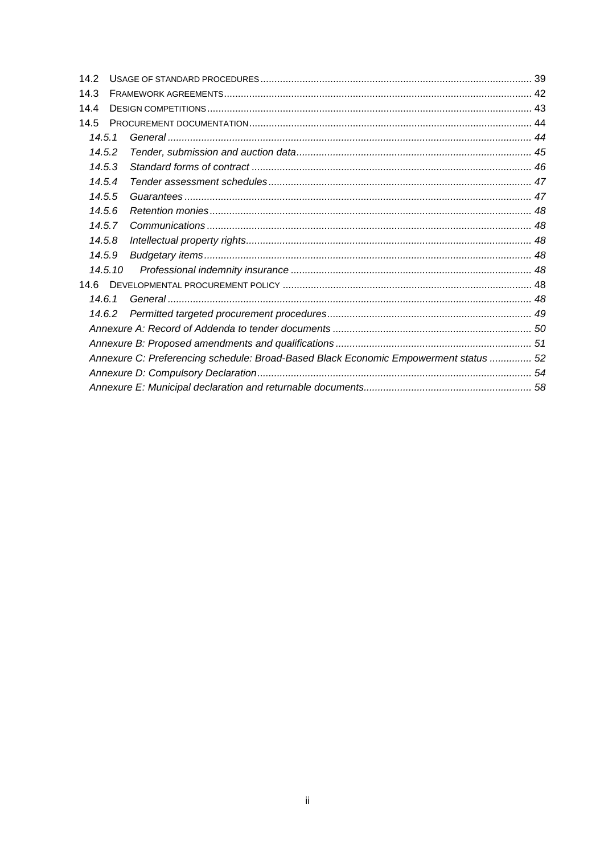| 14.2 |         |                                                                                      |  |
|------|---------|--------------------------------------------------------------------------------------|--|
| 14.3 |         |                                                                                      |  |
| 14.4 |         |                                                                                      |  |
| 14.5 |         |                                                                                      |  |
|      | 14.5.1  |                                                                                      |  |
|      | 14.5.2  |                                                                                      |  |
|      | 14.5.3  |                                                                                      |  |
|      | 14.5.4  |                                                                                      |  |
|      | 14.5.5  |                                                                                      |  |
|      | 14.5.6  |                                                                                      |  |
|      | 14.5.7  |                                                                                      |  |
|      | 14.5.8  |                                                                                      |  |
|      | 14.5.9  |                                                                                      |  |
|      | 14.5.10 |                                                                                      |  |
| 14.6 |         |                                                                                      |  |
|      | 14.6.1  |                                                                                      |  |
|      | 14.6.2  |                                                                                      |  |
|      |         |                                                                                      |  |
|      |         |                                                                                      |  |
|      |         | Annexure C: Preferencing schedule: Broad-Based Black Economic Empowerment status  52 |  |
|      |         |                                                                                      |  |
|      |         |                                                                                      |  |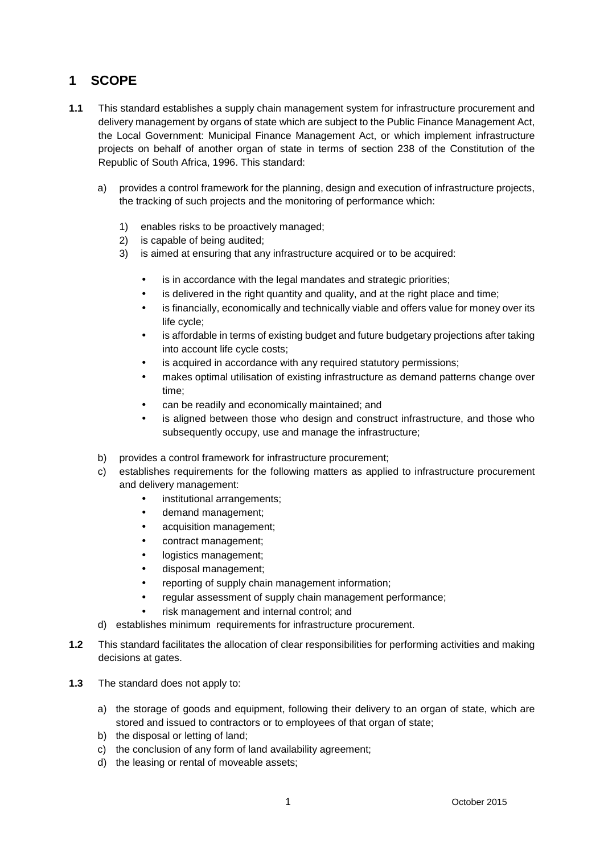# **1 SCOPE**

- **1.1** This standard establishes a supply chain management system for infrastructure procurement and delivery management by organs of state which are subject to the Public Finance Management Act, the Local Government: Municipal Finance Management Act, or which implement infrastructure projects on behalf of another organ of state in terms of section 238 of the Constitution of the Republic of South Africa, 1996. This standard:
	- a) provides a control framework for the planning, design and execution of infrastructure projects, the tracking of such projects and the monitoring of performance which:
		- 1) enables risks to be proactively managed;
		- 2) is capable of being audited;
		- 3) is aimed at ensuring that any infrastructure acquired or to be acquired:
			- is in accordance with the legal mandates and strategic priorities;
			- is delivered in the right quantity and quality, and at the right place and time;
			- is financially, economically and technically viable and offers value for money over its life cycle;
			- is affordable in terms of existing budget and future budgetary projections after taking into account life cycle costs;
			- is acquired in accordance with any required statutory permissions;
			- makes optimal utilisation of existing infrastructure as demand patterns change over time;
			- can be readily and economically maintained; and
			- is aligned between those who design and construct infrastructure, and those who subsequently occupy, use and manage the infrastructure;
	- b) provides a control framework for infrastructure procurement;
	- c) establishes requirements for the following matters as applied to infrastructure procurement and delivery management:
		- institutional arrangements:
		- demand management;
		- acquisition management;
		- contract management;
		- logistics management;
		- disposal management;
		- reporting of supply chain management information;
		- regular assessment of supply chain management performance;
		- risk management and internal control; and
	- d) establishes minimum requirements for infrastructure procurement.
- **1.2** This standard facilitates the allocation of clear responsibilities for performing activities and making decisions at gates.
- **1.3** The standard does not apply to:
	- a) the storage of goods and equipment, following their delivery to an organ of state, which are stored and issued to contractors or to employees of that organ of state;
	- b) the disposal or letting of land;
	- c) the conclusion of any form of land availability agreement;
	- d) the leasing or rental of moveable assets;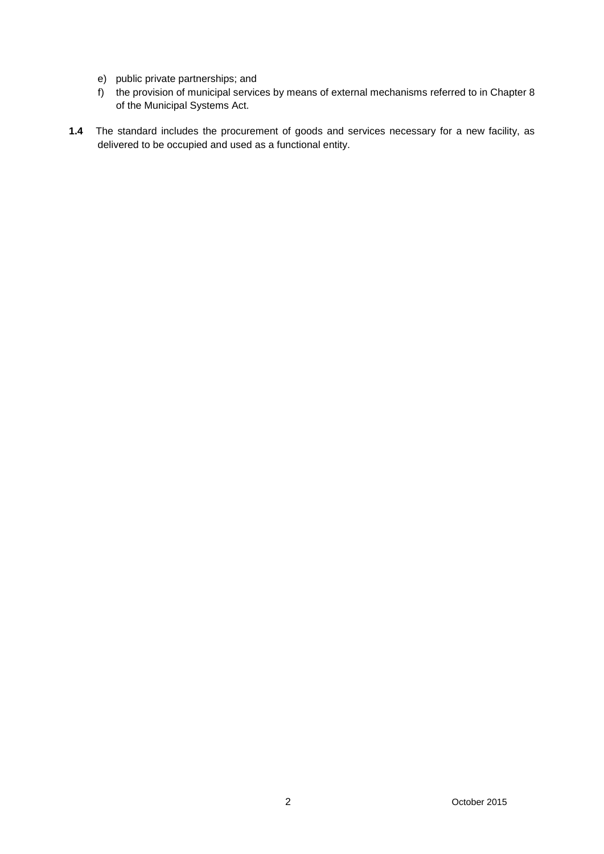- e) public private partnerships; and
- f) the provision of municipal services by means of external mechanisms referred to in Chapter 8 of the Municipal Systems Act.
- **1.4** The standard includes the procurement of goods and services necessary for a new facility, as delivered to be occupied and used as a functional entity.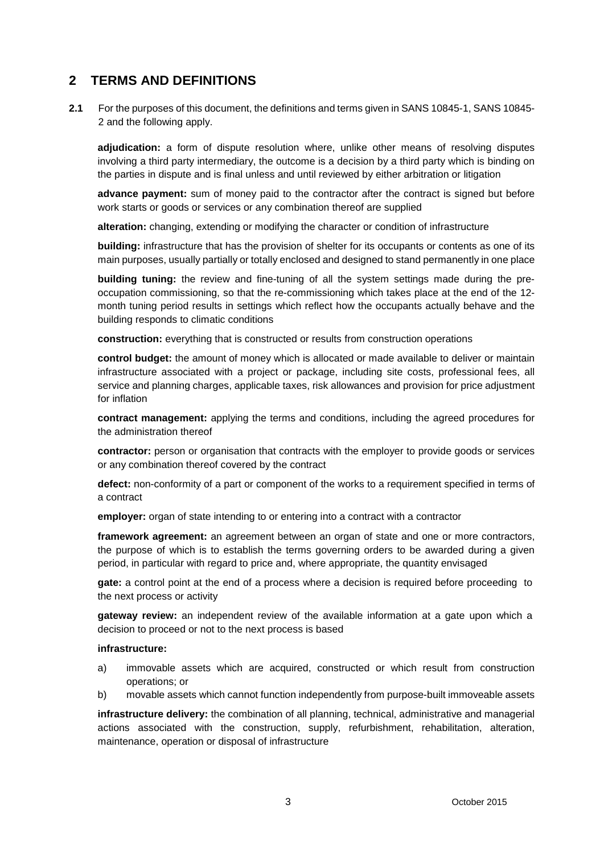# **2 TERMS AND DEFINITIONS**

**2.1** For the purposes of this document, the definitions and terms given in SANS 10845-1, SANS 10845-2 and the following apply.

**adjudication:** a form of dispute resolution where, unlike other means of resolving disputes involving a third party intermediary, the outcome is a decision by a third party which is binding on the parties in dispute and is final unless and until reviewed by either arbitration or litigation

**advance payment:** sum of money paid to the contractor after the contract is signed but before work starts or goods or services or any combination thereof are supplied

**alteration:** changing, extending or modifying the character or condition of infrastructure

**building:** infrastructure that has the provision of shelter for its occupants or contents as one of its main purposes, usually partially or totally enclosed and designed to stand permanently in one place

**building tuning:** the review and fine-tuning of all the system settings made during the pre occupation commissioning, so that the re-commissioning which takes place at the end of the 12 month tuning period results in settings which reflect how the occupants actually behave and the building responds to climatic conditions

**construction:** everything that is constructed or results from construction operations

**control budget:** the amount of money which is allocated or made available to deliver or maintain infrastructure associated with a project or package, including site costs, professional fees, all service and planning charges, applicable taxes, risk allowances and provision for price adjustment for inflation

**contract management:** applying the terms and conditions, including the agreed procedures for the administration thereof

**contractor:** person or organisation that contracts with the employer to provide goods or services or any combination thereof covered by the contract

**defect:** non-conformity of a part or component of the works to a requirement specified in terms of a contract

**employer:** organ of state intending to or entering into a contract with a contractor

**framework agreement:** an agreement between an organ of state and one or more contractors, the purpose of which is to establish the terms governing orders to be awarded during a given period, in particular with regard to price and, where appropriate, the quantity envisaged

**gate:** a control point at the end of a process where a decision is required before proceeding to the next process or activity

**gateway review:** an independent review of the available information at a gate upon which a decision to proceed or not to the next process is based

#### **infrastructure:**

- a) immovable assets which are acquired, constructed or which result from construction operations; or
- b) movable assets which cannot function independently from purpose-built immoveable assets

**infrastructure delivery:** the combination of all planning, technical, administrative and managerial actions associated with the construction, supply, refurbishment, rehabilitation, alteration, maintenance, operation or disposal of infrastructure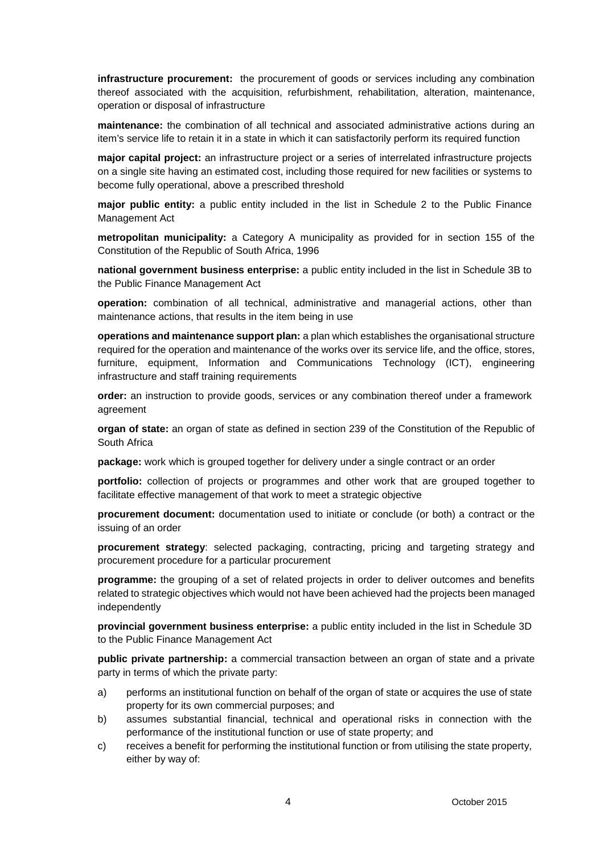**infrastructure procurement:** the procurement of goods or services including any combination thereof associated with the acquisition, refurbishment, rehabilitation, alteration, maintenance, operation or disposal of infrastructure

**maintenance:** the combination of all technical and associated administrative actions during an item's service life to retain it in a state in which it can satisfactorily perform its required function

**major capital project:** an infrastructure project or a series of interrelated infrastructure projects on a single site having an estimated cost, including those required for new facilities or systems to become fully operational, above a prescribed threshold

**major public entity:** a public entity included in the list in Schedule 2 to the Public Finance Management Act

**metropolitan municipality:** a Category A municipality as provided for in section 155 of the Constitution of the Republic of South Africa, 1996

**national government business enterprise:** a public entity included in the list in Schedule 3B to the Public Finance Management Act

**operation:** combination of all technical, administrative and managerial actions, other than maintenance actions, that results in the item being in use

**operations and maintenance support plan:** a plan which establishes the organisational structure required for the operation and maintenance of the works over its service life, and the office, stores, furniture, equipment, Information and Communications Technology (ICT), engineering infrastructure and staff training requirements

**order:** an instruction to provide goods, services or any combination thereof under a framework agreement

**organ of state:** an organ of state as defined in section 239 of the Constitution of the Republic of South Africa

**package:** work which is grouped together for delivery under a single contract or an order

**portfolio:** collection of projects or programmes and other work that are grouped together to facilitate effective management of that work to meet a strategic objective

**procurement document:** documentation used to initiate or conclude (or both) a contract or the issuing of an order

**procurement strategy**: selected packaging, contracting, pricing and targeting strategy and procurement procedure for a particular procurement

**programme:** the grouping of a set of related projects in order to deliver outcomes and benefits related to strategic objectives which would not have been achieved had the projects been managed independently

**provincial government business enterprise:** a public entity included in the list in Schedule 3D to the Public Finance Management Act

**public private partnership:** a commercial transaction between an organ of state and a private party in terms of which the private party:

- a) performs an institutional function on behalf of the organ of state or acquires the use of state property for its own commercial purposes; and
- b) assumes substantial financial, technical and operational risks in connection with the performance of the institutional function or use of state property; and
- c) receives a benefit for performing the institutional function or from utilising the state property, either by way of: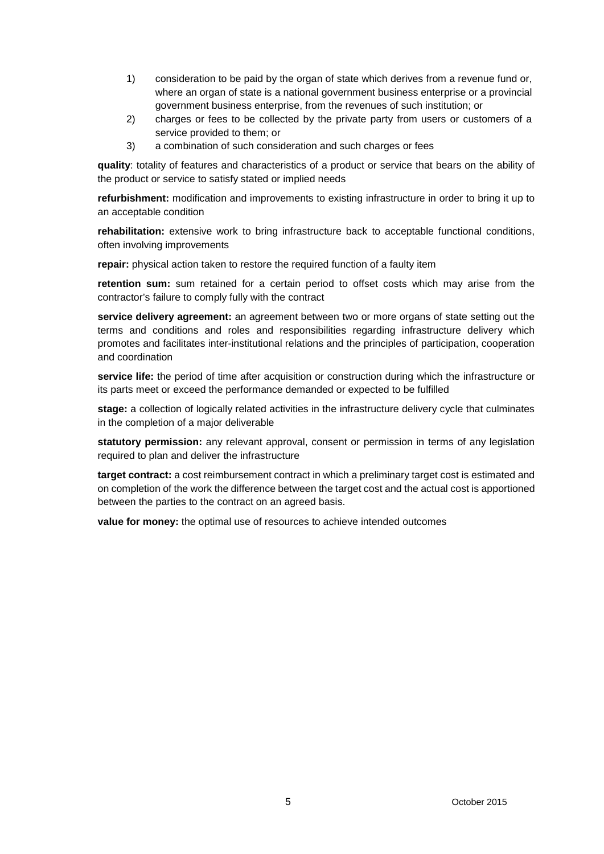- 1) consideration to be paid by the organ of state which derives from a revenue fund or, where an organ of state is a national government business enterprise or a provincial government business enterprise, from the revenues of such institution; or
- 2) charges or fees to be collected by the private party from users or customers of a service provided to them; or
- 3) a combination of such consideration and such charges or fees

**quality**: totality of features and characteristics of a product or service that bears on the ability of the product or service to satisfy stated or implied needs

**refurbishment:** modification and improvements to existing infrastructure in order to bring it up to an acceptable condition

**rehabilitation:** extensive work to bring infrastructure back to acceptable functional conditions, often involving improvements

**repair:** physical action taken to restore the required function of a faulty item

**retention sum:** sum retained for a certain period to offset costs which may arise from the contractor's failure to comply fully with the contract

**service delivery agreement:** an agreement between two or more organs of state setting out the terms and conditions and roles and responsibilities regarding infrastructure delivery which promotes and facilitates inter-institutional relations and the principles of participation, cooperation and coordination

**service life:** the period of time after acquisition or construction during which the infrastructure or its parts meet or exceed the performance demanded or expected to be fulfilled

**stage:** a collection of logically related activities in the infrastructure delivery cycle that culminates in the completion of a major deliverable

**statutory permission:** any relevant approval, consent or permission in terms of any legislation required to plan and deliver the infrastructure

**target contract:** a cost reimbursement contract in which a preliminary target cost is estimated and on completion of the work the difference between the target cost and the actual cost is apportioned between the parties to the contract on an agreed basis.

**value for money:** the optimal use of resources to achieve intended outcomes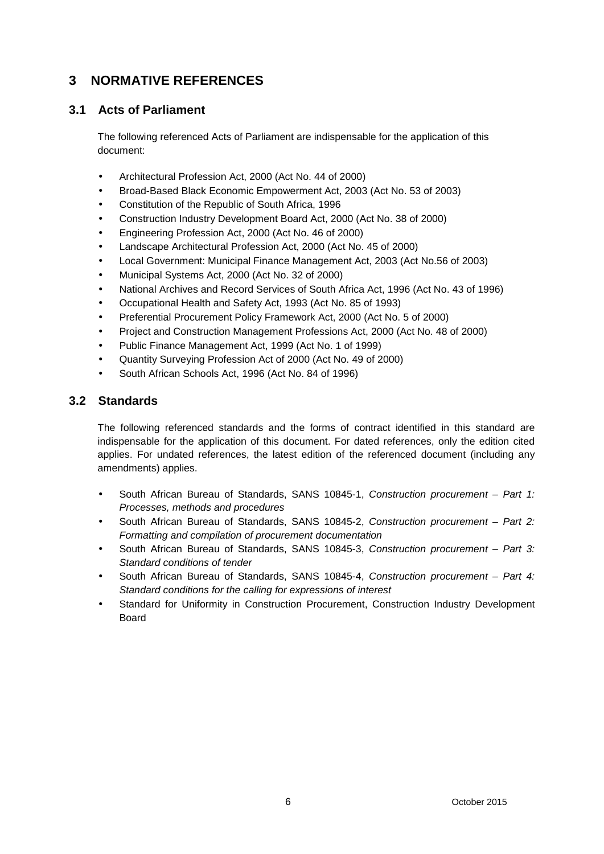# **3 NORMATIVE REFERENCES**

# **3.1 Acts of Parliament**

The following referenced Acts of Parliament are indispensable for the application of this document:

- Architectural Profession Act, 2000 (Act No. 44 of 2000)
- Broad-Based Black Economic Empowerment Act, 2003 (Act No. 53 of 2003)
- Constitution of the Republic of South Africa, 1996
- Construction Industry Development Board Act, 2000 (Act No. 38 of 2000)
- Engineering Profession Act, 2000 (Act No. 46 of 2000)
- Landscape Architectural Profession Act, 2000 (Act No. 45 of 2000)
- Local Government: Municipal Finance Management Act, 2003 (Act No.56 of 2003)
- Municipal Systems Act, 2000 (Act No. 32 of 2000)
- National Archives and Record Services of South Africa Act,1996 (Act No. 43 of 1996)
- Occupational Health and Safety Act, 1993 (Act No. 85 of 1993)
- Preferential Procurement Policy Framework Act, 2000 (Act No. 5 of 2000)
- Project and Construction Management Professions Act, 2000 (Act No. 48 of 2000)
- Public Finance Management Act, 1999 (Act No. 1 of 1999)
- Quantity Surveying Profession Act of 2000 (Act No. 49 of 2000)
- South African Schools Act, 1996 (Act No. 84 of 1996)

### **3.2 Standards**

The following referenced standards and the forms of contract identified in this standard are indispensable for the application of this document. For dated references, only the edition cited applies. For undated references, the latest edition of the referenced document (including any amendments) applies.

- South African Bureau of Standards, SANS 10845-1, *Construction procurement – Part 1: Processes, methods and procedures*
- South African Bureau of Standards, SANS 10845-2, *Construction procurement – Part 2: Formatting and compilation of procurement documentation*
- South African Bureau of Standards, SANS 10845-3, *Construction procurement – Part 3: Standard conditions of tender*
- South African Bureau of Standards, SANS 10845-4, *Construction procurement – Part 4: Standard conditions for the calling for expressions of interest*
- Standard for Uniformity in Construction Procurement, Construction Industry Development Board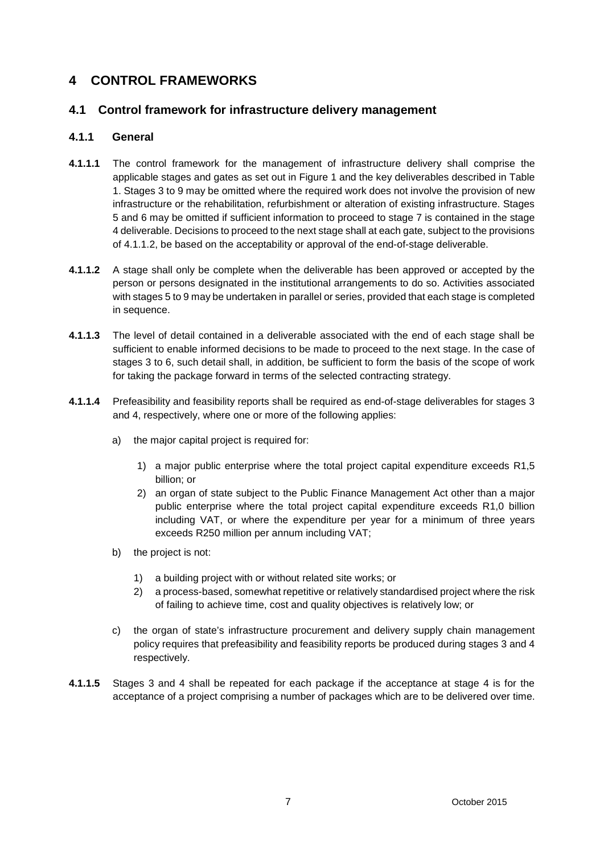# **4 CONTROL FRAMEWORKS**

## **4.1 Control framework for infrastructure delivery management**

#### **4.1.1 General**

- **4.1.1.1** The control framework for the management of infrastructure delivery shall comprise the applicable stages and gates as set out in Figure 1 and the key deliverables described in Table 1. Stages 3 to 9 may be omitted where the required work does not involve the provision of new infrastructure or the rehabilitation, refurbishment or alteration of existing infrastructure. Stages 5 and 6 may be omitted if sufficient information to proceed to stage 7 is contained in the stage 4 deliverable. Decisions to proceed to the next stage shall at each gate, subject to the provisions of 4.1.1.2, be based on the acceptability or approval of the end-of-stage deliverable.
- **4.1.1.2** A stage shall only be complete when the deliverable has been approved or accepted by the person or persons designated in the institutional arrangements to do so. Activities associated with stages 5 to 9 may be undertaken in parallel or series, provided that each stage is completed in sequence.
- **4.1.1.3** The level of detail contained in a deliverable associated with the end of each stage shall be sufficient to enable informed decisions to be made to proceed to the next stage. In the case of stages 3 to 6, such detail shall, in addition, be sufficient to form the basis of the scope of work for taking the package forward in terms of the selected contracting strategy.
- **4.1.1.4** Prefeasibility and feasibility reports shall be required as end-of-stage deliverables for stages 3 and 4, respectively, where one or more of the following applies:
	- a) the major capital project is required for:
		- 1) a major public enterprise where the total project capital expenditure exceeds R1,5 billion; or
		- 2) an organ of state subject to the Public Finance Management Act other than a major public enterprise where the total project capital expenditure exceeds R1,0 billion including VAT, or where the expenditure per year for a minimum of three years exceeds R250 million per annum including VAT;
	- b) the project is not:
		- 1) a building project with or without related site works; or
		- 2) a process-based, somewhat repetitive or relatively standardised project where the risk of failing to achieve time, cost and quality objectives is relatively low; or
	- c) the organ of state's infrastructure procurement and delivery supply chain management policy requires that prefeasibility and feasibility reports be produced during stages 3 and 4 respectively.
- **4.1.1.5** Stages 3 and 4 shall be repeated for each package if the acceptance at stage 4 is for the acceptance of a project comprising a number of packages which are to be delivered over time.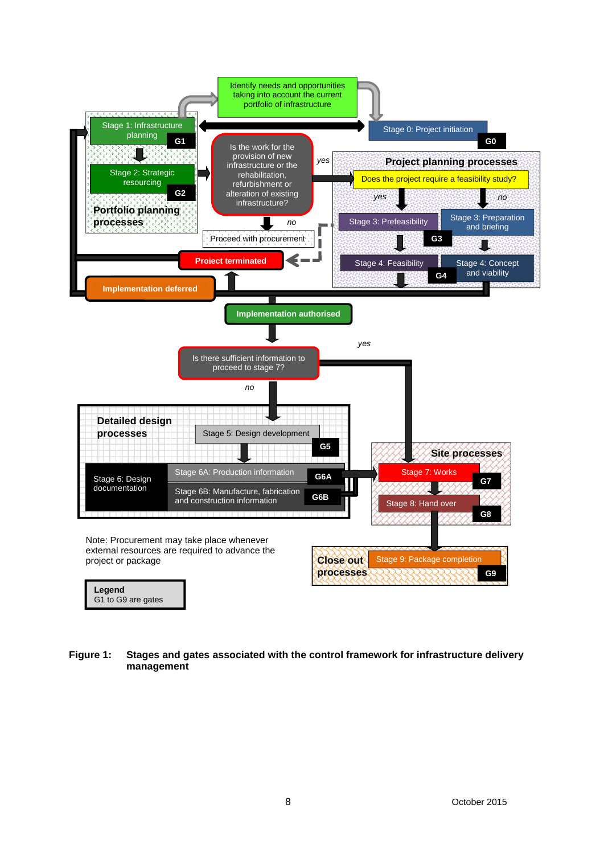

**Figure 1: Stages and gates associated with the control framework for infrastructure delivery management**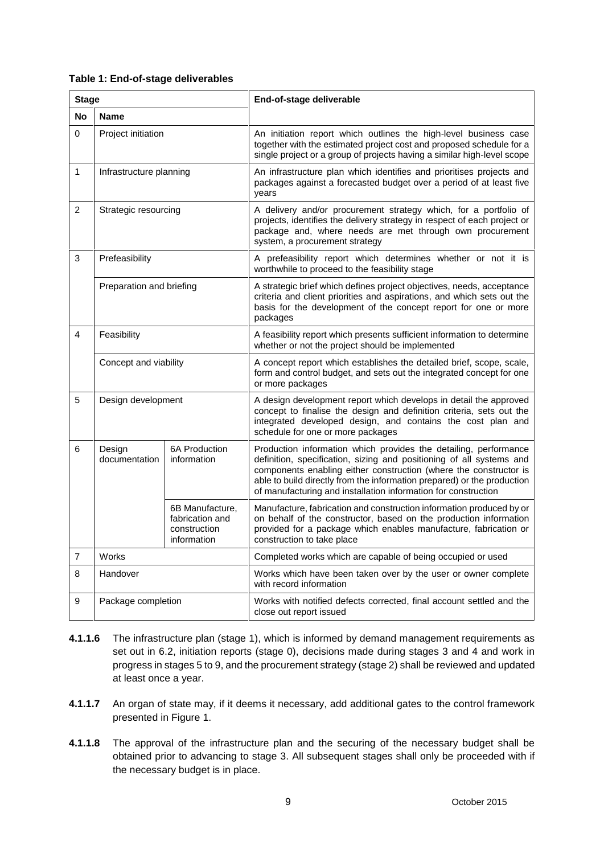| Table 1: End-of-stage deliverables |  |
|------------------------------------|--|
|------------------------------------|--|

| <b>Stage</b>   |                          |                                                                   | End-of-stage deliverable                                                                                                                                                                                                                                                                                                                                   |  |  |
|----------------|--------------------------|-------------------------------------------------------------------|------------------------------------------------------------------------------------------------------------------------------------------------------------------------------------------------------------------------------------------------------------------------------------------------------------------------------------------------------------|--|--|
| <b>No</b>      | <b>Name</b>              |                                                                   |                                                                                                                                                                                                                                                                                                                                                            |  |  |
| 0              | Project initiation       |                                                                   | An initiation report which outlines the high-level business case<br>together with the estimated project cost and proposed schedule for a<br>single project or a group of projects having a similar high-level scope                                                                                                                                        |  |  |
| 1              | Infrastructure planning  |                                                                   | An infrastructure plan which identifies and prioritises projects and<br>packages against a forecasted budget over a period of at least five<br>vears                                                                                                                                                                                                       |  |  |
| $\overline{2}$ | Strategic resourcing     |                                                                   | A delivery and/or procurement strategy which, for a portfolio of<br>projects, identifies the delivery strategy in respect of each project or<br>package and, where needs are met through own procurement<br>system, a procurement strategy                                                                                                                 |  |  |
| 3              | Prefeasibility           |                                                                   | A prefeasibility report which determines whether or not it is<br>worthwhile to proceed to the feasibility stage                                                                                                                                                                                                                                            |  |  |
|                | Preparation and briefing |                                                                   | A strategic brief which defines project objectives, needs, acceptance<br>criteria and client priorities and aspirations, and which sets out the<br>basis for the development of the concept report for one or more<br>packages                                                                                                                             |  |  |
| 4              | Feasibility              |                                                                   | A feasibility report which presents sufficient information to determine<br>whether or not the project should be implemented                                                                                                                                                                                                                                |  |  |
|                | Concept and viability    |                                                                   | A concept report which establishes the detailed brief, scope, scale,<br>form and control budget, and sets out the integrated concept for one<br>or more packages                                                                                                                                                                                           |  |  |
| 5              | Design development       |                                                                   | A design development report which develops in detail the approved<br>concept to finalise the design and definition criteria, sets out the<br>integrated developed design, and contains the cost plan and<br>schedule for one or more packages                                                                                                              |  |  |
| 6              | Design<br>documentation  | 6A Production<br>information                                      | Production information which provides the detailing, performance<br>definition, specification, sizing and positioning of all systems and<br>components enabling either construction (where the constructor is<br>able to build directly from the information prepared) or the production<br>of manufacturing and installation information for construction |  |  |
|                |                          | 6B Manufacture,<br>fabrication and<br>construction<br>information | Manufacture, fabrication and construction information produced by or<br>on behalf of the constructor, based on the production information<br>provided for a package which enables manufacture, fabrication or<br>construction to take place                                                                                                                |  |  |
| $\overline{7}$ | <b>Works</b>             |                                                                   | Completed works which are capable of being occupied or used                                                                                                                                                                                                                                                                                                |  |  |
| 8              | Handover                 |                                                                   | Works which have been taken over by the user or owner complete<br>with record information                                                                                                                                                                                                                                                                  |  |  |
| 9              | Package completion       |                                                                   | Works with notified defects corrected, final account settled and the<br>close out report issued                                                                                                                                                                                                                                                            |  |  |

- **4.1.1.6** The infrastructure plan (stage 1), which is informed by demand management requirements as set out in 6.2, initiation reports (stage 0), decisions made during stages 3 and 4 and work in progress in stages 5 to 9, and the procurement strategy (stage 2) shall be reviewed and updated at least once a year.
- **4.1.1.7** An organ of state may, if it deems it necessary, add additional gates to the control framework presented in Figure 1.
- **4.1.1.8** The approval of the infrastructure plan and the securing of the necessary budget shall be obtained prior to advancing to stage 3. All subsequent stages shall only be proceeded with if the necessary budget is in place.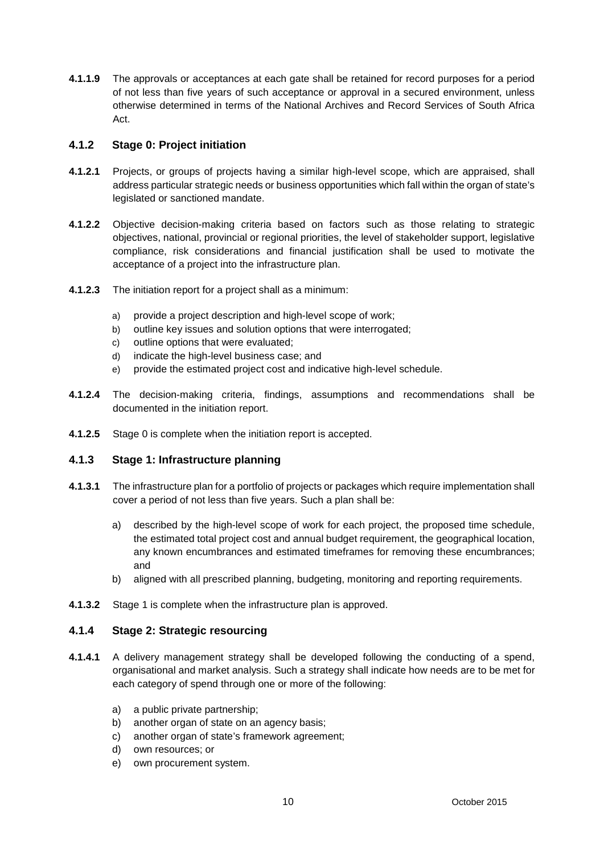**4.1.1.9** The approvals or acceptances at each gate shall be retained for record purposes for a period of not less than five years of such acceptance or approval in a secured environment, unless otherwise determined in terms of the National Archives and Record Services of South Africa Act.

### **4.1.2 Stage 0: Project initiation**

- **4.1.2.1** Projects, or groups of projects having a similar high-level scope, which are appraised, shall address particular strategic needs or business opportunities which fall within the organ of state's legislated or sanctioned mandate.
- **4.1.2.2** Objective decision-making criteria based on factors such as those relating to strategic objectives, national, provincial or regional priorities, the level of stakeholder support, legislative compliance, risk considerations and financial justification shall be used to motivate the acceptance of a project into the infrastructure plan.
- **4.1.2.3** The initiation report for a project shall as a minimum:
	- a) provide a project description and high-level scope of work;
	- b) outline key issues and solution options that were interrogated;
	- c) outline options that were evaluated;
	- d) indicate the high-level business case; and
	- e) provide the estimated project cost and indicative high-level schedule.
- **4.1.2.4** The decision-making criteria, findings, assumptions and recommendations shall be documented in the initiation report.
- **4.1.2.5** Stage 0 is complete when the initiation report is accepted.

### **4.1.3 Stage 1: Infrastructure planning**

- **4.1.3.1** The infrastructure plan for a portfolio of projects or packages which require implementation shall cover a period of not less than five years. Such a plan shall be:
	- a) described by the high-level scope of work for each project, the proposed time schedule, the estimated total project cost and annual budget requirement, the geographical location, any known encumbrances and estimated timeframes for removing these encumbrances; and
	- b) aligned with all prescribed planning, budgeting, monitoring and reporting requirements.
- **4.1.3.2** Stage 1 is complete when the infrastructure plan is approved.

### **4.1.4 Stage 2: Strategic resourcing**

- **4.1.4.1** A delivery management strategy shall be developed following the conducting of a spend, organisational and market analysis. Such a strategy shall indicate how needs are to be met for each category of spend through one or more of the following:
	- a) a public private partnership;
	- b) another organ of state on an agency basis;
	- c) another organ of state's framework agreement;
	- d) own resources; or
	- e) own procurement system.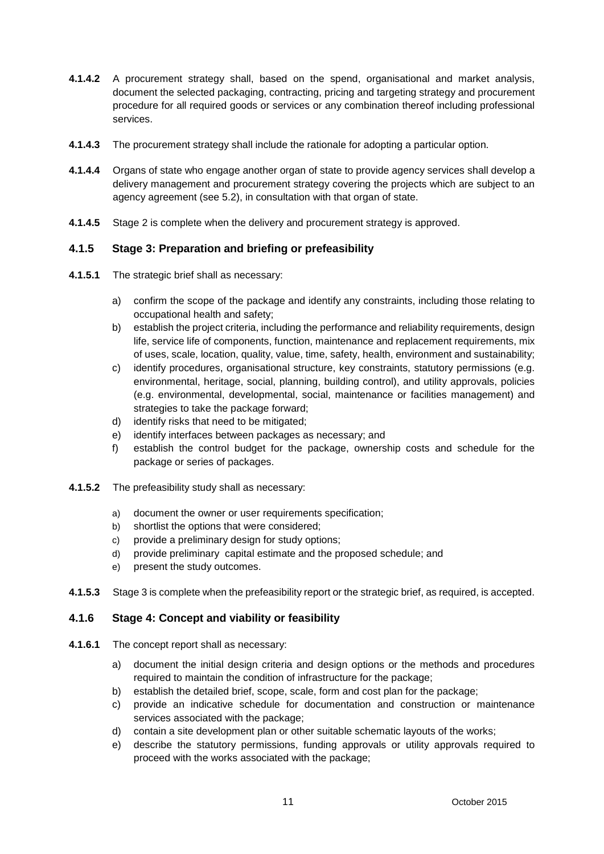- **4.1.4.2** A procurement strategy shall, based on the spend, organisational and market analysis, document the selected packaging, contracting, pricing and targeting strategy and procurement procedure for all required goods or services or any combination thereof including professional services.
- **4.1.4.3** The procurement strategy shall include the rationale for adopting a particular option.
- **4.1.4.4** Organs of state who engage another organ of state to provide agency services shall develop a delivery management and procurement strategy covering the projects which are subject to an agency agreement (see 5.2), in consultation with that organ of state.
- **4.1.4.5** Stage 2 is complete when the delivery and procurement strategy is approved.

### **4.1.5 Stage 3: Preparation and briefing or prefeasibility**

- **4.1.5.1** The strategic brief shall as necessary:
	- a) confirm the scope of the package and identify any constraints, including those relating to occupational health and safety;
	- b) establish the project criteria, including the performance and reliability requirements, design life, service life of components, function, maintenance and replacement requirements, mix of uses, scale, location, quality, value, time, safety, health, environment and sustainability;
	- c) identify procedures, organisational structure, key constraints, statutory permissions (e.g. environmental, heritage, social, planning, building control), and utility approvals, policies (e.g. environmental, developmental, social, maintenance or facilities management) and strategies to take the package forward;
	- d) identify risks that need to be mitigated;
	- e) identify interfaces between packages as necessary; and
	- f) establish the control budget for the package, ownership costs and schedule for the package or series of packages.
- **4.1.5.2** The prefeasibility study shall as necessary:
	- a) document the owner or user requirements specification:
	- b) shortlist the options that were considered;
	- c) provide a preliminary design for study options;
	- d) provide preliminary capital estimate and the proposed schedule; and
	- e) present the study outcomes.
- **4.1.5.3** Stage 3 is complete when the prefeasibility report or the strategic brief, as required, is accepted.

### **4.1.6 Stage 4: Concept and viability or feasibility**

- **4.1.6.1** The concept report shall as necessary:
	- a) document the initial design criteria and design options or the methods and procedures required to maintain the condition of infrastructure for the package;
	- b) establish the detailed brief, scope, scale, form and cost plan for the package;
	- c) provide an indicative schedule for documentation and construction or maintenance services associated with the package;
	- d) contain a site development plan or other suitable schematic layouts of the works;
	- e) describe the statutory permissions, funding approvals or utility approvals required to proceed with the works associated with the package;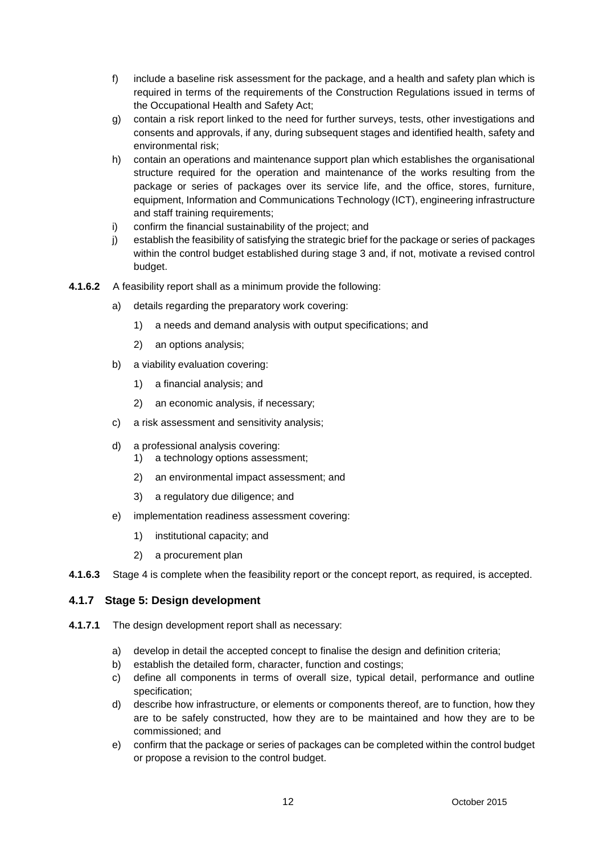- f) include a baseline risk assessment for the package, and a health and safety plan which is required in terms of the requirements of the Construction Regulations issued in terms of the Occupational Health and Safety Act;
- g) contain a risk report linked to the need for further surveys, tests, other investigations and consents and approvals, if any, during subsequent stages and identified health, safety and environmental risk;
- h) contain an operations and maintenance support plan which establishes the organisational structure required for the operation and maintenance of the works resulting from the package or series of packages over its service life, and the office, stores, furniture, equipment, Information and Communications Technology (ICT), engineering infrastructure and staff training requirements;
- i) confirm the financial sustainability of the project; and
- j) establish the feasibility of satisfying the strategic brief for the package or series of packages within the control budget established during stage 3 and, if not, motivate a revised control budget.
- **4.1.6.2** A feasibility report shall as a minimum provide the following:
	- a) details regarding the preparatory work covering:
		- 1) a needs and demand analysis with output specifications; and
		- 2) an options analysis;
	- b) a viability evaluation covering:
		- 1) a financial analysis; and
		- 2) an economic analysis, if necessary;
	- c) a risk assessment and sensitivity analysis;
	- d) a professional analysis covering:
		- 1) a technology options assessment;
		- 2) an environmental impact assessment; and
		- 3) a regulatory due diligence; and
	- e) implementation readiness assessment covering:
		- 1) institutional capacity; and
		- 2) a procurement plan
- **4.1.6.3** Stage 4 is complete when the feasibility report or the concept report, as required, is accepted.

### **4.1.7 Stage 5: Design development**

- **4.1.7.1** The design development report shall as necessary:
	- a) develop in detail the accepted concept to finalise the design and definition criteria;
	- b) establish the detailed form, character, function and costings;
	- c) define all components in terms of overall size, typical detail, performance and outline specification;
	- d) describe how infrastructure, or elements or components thereof, are to function, how they are to be safely constructed, how they are to be maintained and how they are to be commissioned; and
	- e) confirm that the package or series of packages can be completed within the control budget or propose a revision to the control budget.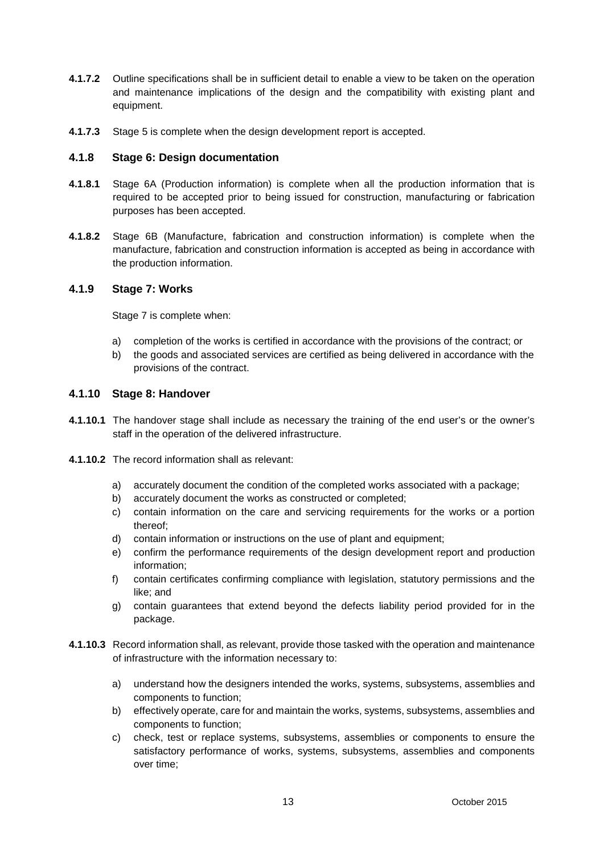- **4.1.7.2** Outline specifications shall be in sufficient detail to enable a view to be taken on the operation and maintenance implications of the design and the compatibility with existing plant and equipment.
- **4.1.7.3** Stage 5 is complete when the design development report is accepted.

#### **4.1.8 Stage 6: Design documentation**

- **4.1.8.1** Stage 6A (Production information) is complete when all the production information that is required to be accepted prior to being issued for construction, manufacturing or fabrication purposes has been accepted.
- **4.1.8.2** Stage 6B (Manufacture, fabrication and construction information) is complete when the manufacture, fabrication and construction information is accepted as being in accordance with the production information.

#### **4.1.9 Stage 7: Works**

Stage 7 is complete when:

- a) completion of the works is certified in accordance with the provisions of the contract; or
- b) the goods and associated services are certified as being delivered in accordance with the provisions of the contract.

#### **4.1.10 Stage 8: Handover**

- **4.1.10.1** The handover stage shall include as necessary the training of the end user's or the owner's staff in the operation of the delivered infrastructure.
- **4.1.10.2** The record information shall as relevant:
	- a) accurately document the condition of the completed works associated with a package;
	- b) accurately document the works as constructed or completed;
	- c) contain information on the care and servicing requirements for the works or a portion thereof;
	- d) contain information or instructions on the use of plant and equipment;
	- e) confirm the performance requirements of the design development report and production information;
	- f) contain certificates confirming compliance with legislation, statutory permissions and the like; and
	- g) contain guarantees that extend beyond the defects liability period provided for in the package.
- **4.1.10.3** Record information shall, as relevant, provide those tasked with the operation and maintenance of infrastructure with the information necessary to:
	- a) understand how the designers intended the works, systems, subsystems, assemblies and components to function;
	- b) effectively operate, care for and maintain the works, systems, subsystems, assemblies and components to function;
	- c) check, test or replace systems, subsystems, assemblies or components to ensure the satisfactory performance of works, systems, subsystems, assemblies and components over time;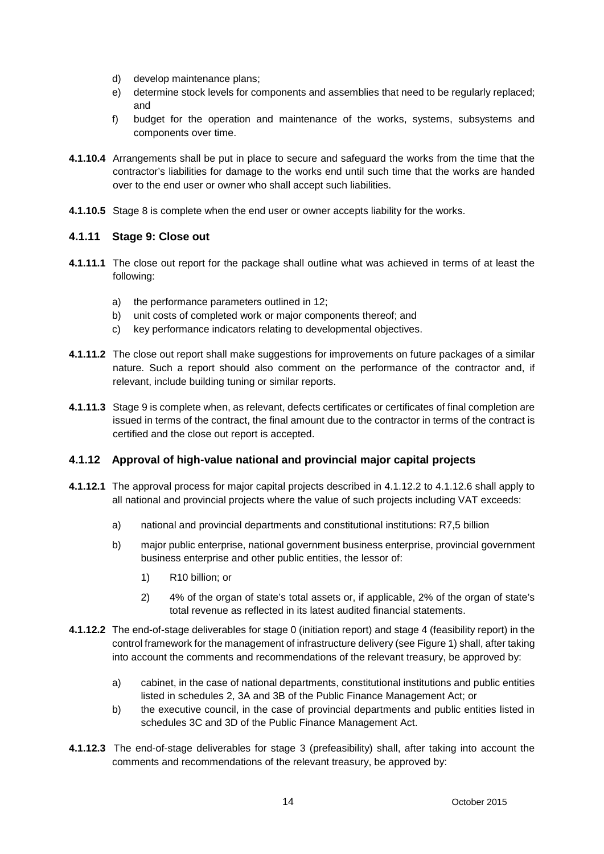- d) develop maintenance plans;
- e) determine stock levels for components and assemblies that need to be regularly replaced; and
- f) budget for the operation and maintenance of the works, systems, subsystems and components over time.
- **4.1.10.4** Arrangements shall be put in place to secure and safeguard the works from the time that the contractor's liabilities for damage to the works end until such time that the works are handed over to the end user or owner who shall accept such liabilities.
- **4.1.10.5** Stage 8 is complete when the end user or owner accepts liability for the works.

#### **4.1.11 Stage 9: Close out**

- **4.1.11.1** The close out report for the package shall outline what was achieved in terms of at least the following:
	- a) the performance parameters outlined in 12;
	- b) unit costs of completed work or major components thereof; and
	- c) key performance indicators relating to developmental objectives.
- **4.1.11.2** The close out report shall make suggestions for improvements on future packages of a similar nature. Such a report should also comment on the performance of the contractor and, if relevant, include building tuning or similar reports.
- **4.1.11.3** Stage 9 is complete when, as relevant, defects certificates or certificates of final completion are issued in terms of the contract, the final amount due to the contractor in terms of the contract is certified and the close out report is accepted.

#### **4.1.12 Approval of high-value national and provincial major capital projects**

- **4.1.12.1** The approval process for major capital projects described in 4.1.12.2 to 4.1.12.6 shall apply to all national and provincial projects where the value of such projects including VAT exceeds:
	- a) national and provincial departments and constitutional institutions: R7,5 billion
	- b) major public enterprise, national government business enterprise, provincial government business enterprise and other public entities, the lessor of:
		- 1) R10 billion; or
		- 2) 4% of the organ of state's total assets or, if applicable, 2% of the organ of state's total revenue as reflected in its latest audited financial statements.
- **4.1.12.2** The end-of-stage deliverables for stage 0 (initiation report) and stage 4 (feasibility report) in the control framework for the management of infrastructure delivery (see Figure 1) shall, after taking into account the comments and recommendations of the relevant treasury, be approved by:
	- a) cabinet, in the case of national departments, constitutional institutions and public entities listed in schedules 2, 3A and 3B of the Public Finance Management Act; or
	- b) the executive council, in the case of provincial departments and public entities listed in schedules 3C and 3D of the Public Finance Management Act.
- **4.1.12.3** The end-of-stage deliverables for stage 3 (prefeasibility) shall, after taking into account the comments and recommendations of the relevant treasury, be approved by: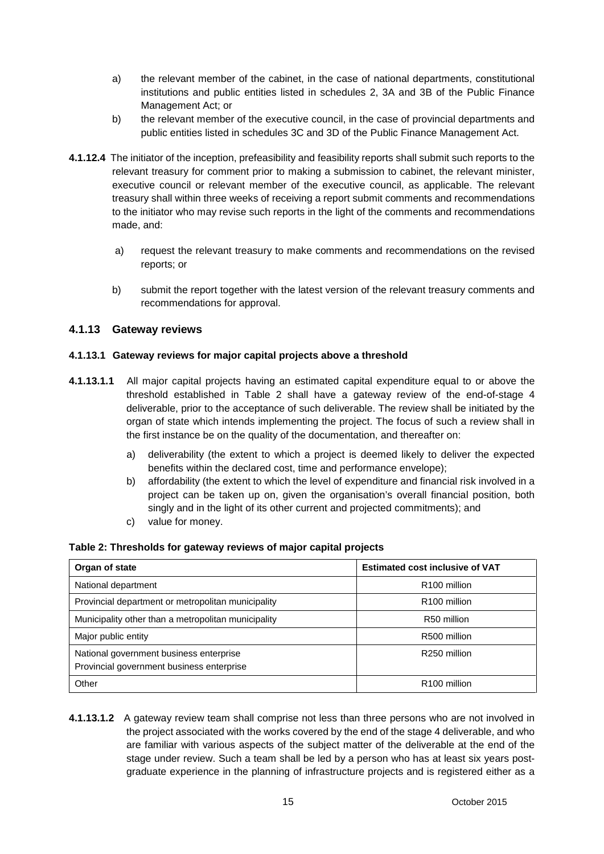- a) the relevant member of the cabinet, in the case of national departments, constitutional institutions and public entities listed in schedules 2, 3A and 3B of the Public Finance Management Act; or
- b) the relevant member of the executive council, in the case of provincial departments and public entities listed in schedules 3C and 3D of the Public Finance Management Act.
- **4.1.12.4** The initiator of the inception, prefeasibility and feasibility reports shall submit such reports to the relevant treasury for comment prior to making a submission to cabinet, the relevant minister, executive council or relevant member of the executive council, as applicable. The relevant treasury shall within three weeks of receiving a report submit comments and recommendations to the initiator who may revise such reports in the light of the comments and recommendations made, and:
	- a) request the relevant treasury to make comments and recommendations on the revised reports; or
	- b) submit the report together with the latest version of the relevant treasury comments and recommendations for approval.

### **4.1.13 Gateway reviews**

#### **4.1.13.1 Gateway reviews for major capital projects above a threshold**

- **4.1.13.1.1** All major capital projects having an estimated capital expenditure equal to or above the threshold established in Table 2 shall have a gateway review of the end-of-stage 4 deliverable, prior to the acceptance of such deliverable. The review shall be initiated by the organ of state which intends implementing the project. The focus of such a review shall in the first instance be on the quality of the documentation, and thereafter on:
	- a) deliverability (the extent to which a project is deemed likely to deliver the expected benefits within the declared cost, time and performance envelope);
	- b) affordability (the extent to which the level of expenditure and financial risk involved in a project can be taken up on, given the organisation's overall financial position, both singly and in the light of its other current and projected commitments); and
	- c) value for money.

#### **Table 2: Thresholds for gateway reviews of major capital projects**

| Organ of state                                      | <b>Estimated cost inclusive of VAT</b> |
|-----------------------------------------------------|----------------------------------------|
| National department                                 | R <sub>100</sub> million               |
| Provincial department or metropolitan municipality  | R <sub>100</sub> million               |
| Municipality other than a metropolitan municipality | R50 million                            |
| Major public entity                                 | R500 million                           |
| National government business enterprise             | R <sub>250</sub> million               |
| Provincial government business enterprise           |                                        |
| Other                                               | R <sub>100</sub> million               |

**4.1.13.1.2** A gateway review team shall comprise not less than three persons who are not involved in the project associated with the works covered by the end of the stage 4 deliverable, and who are familiar with various aspects of the subject matter of the deliverable at the end of the stage under review. Such a team shall be led by a person who has at least six years post graduate experience in the planning of infrastructure projects and is registered either as a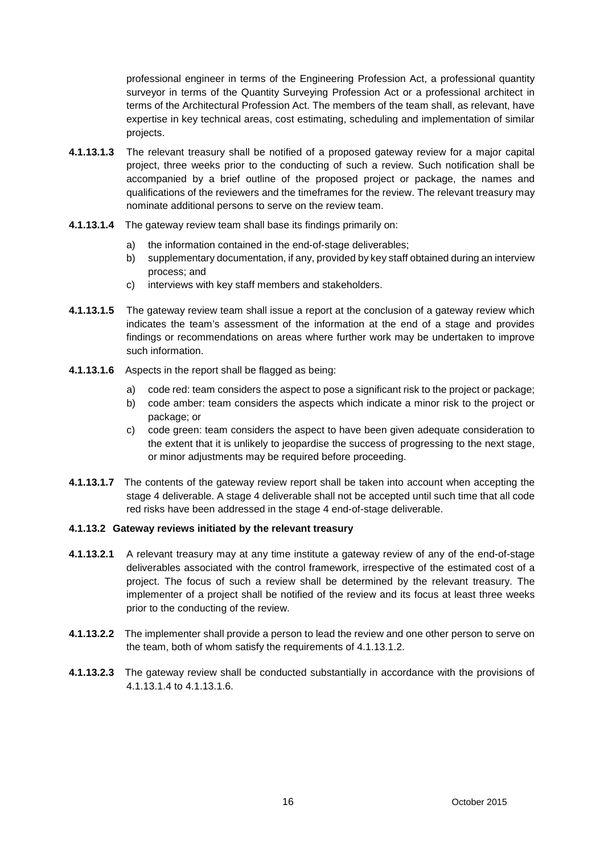professional engineer in terms of the Engineering Profession Act, a professional quantity surveyor in terms of the Quantity Surveying Profession Act or a professional architect in terms of the Architectural Profession Act. The members of the team shall, as relevant, have expertise in key technical areas, cost estimating, scheduling and implementation of similar projects.

- **4.1.13.1.3** The relevant treasury shall be notified of a proposed gateway review for a major capital project, three weeks prior to the conducting of such a review. Such notification shall be accompanied by a brief outline of the proposed project or package, the names and qualifications of the reviewers and the timeframes for the review. The relevant treasury may nominate additional persons to serve on the review team.
- **4.1.13.1.4** The gateway review team shall base its findings primarily on:
	- a) the information contained in the end-of-stage deliverables;
	- b) supplementary documentation, if any, provided by key staff obtained during an interview process; and
	- c) interviews with key staff members and stakeholders.
- **4.1.13.1.5** The gateway review team shall issue a report at the conclusion of a gateway review which indicates the team's assessment of the information at the end of a stage and provides findings or recommendations on areas where further work may be undertaken to improve such information.
- **4.1.13.1.6** Aspects in the report shall be flagged as being:
	- a) code red: team considers the aspect to pose a significant risk to the project or package;
	- b) code amber: team considers the aspects which indicate a minor risk to the project or package; or
	- c) code green: team considers the aspect to have been given adequate consideration to the extent that it is unlikely to jeopardise the success of progressing to the next stage, or minor adjustments may be required before proceeding.
- **4.1.13.1.7** The contents of the gateway review report shall be taken into account when accepting the stage 4 deliverable. A stage 4 deliverable shall not be accepted until such time that all code red risks have been addressed in the stage 4 end-of-stage deliverable.

#### **4.1.13.2 Gateway reviews initiated by the relevant treasury**

- **4.1.13.2.1** A relevant treasury may at any time institute a gateway review of any of the end-of-stage deliverables associated with the control framework, irrespective of the estimated cost of a project. The focus of such a review shall be determined by the relevant treasury. The implementer of a project shall be notified of the review and its focus at least three weeks prior to the conducting of the review.
- **4.1.13.2.2** The implementer shall provide a person to lead the review and one other person to serve on the team, both of whom satisfy the requirements of 4.1.13.1.2.
- **4.1.13.2.3** The gateway review shall be conducted substantially in accordance with the provisions of 4.1.13.1.4 to 4.1.13.1.6.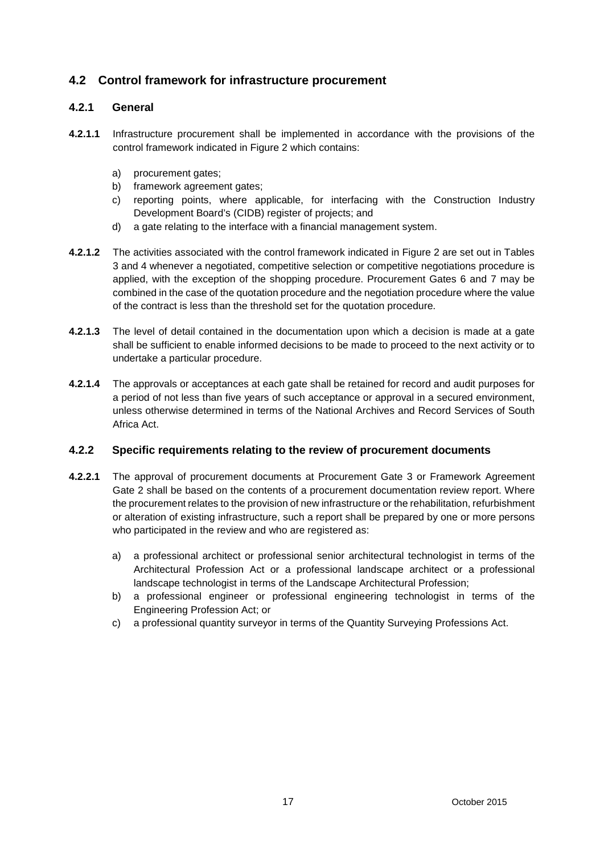# **4.2 Control framework for infrastructure procurement**

# **4.2.1 General**

- **4.2.1.1** Infrastructure procurement shall be implemented in accordance with the provisions of the control framework indicated in Figure 2 which contains:
	- a) procurement gates:
	- b) framework agreement gates;
	- c) reporting points, where applicable, for interfacing with the Construction Industry Development Board's (CIDB) register of projects; and
	- d) a gate relating to the interface with a financial management system.
- **4.2.1.2** The activities associated with the control framework indicated in Figure 2 are set out in Tables 3 and 4 whenever a negotiated, competitive selection or competitive negotiations procedure is applied, with the exception of the shopping procedure. Procurement Gates 6 and 7 may be combined in the case of the quotation procedure and the negotiation procedure where the value of the contract is less than the threshold set for the quotation procedure.
- **4.2.1.3** The level of detail contained in the documentation upon which a decision is made at a gate shall be sufficient to enable informed decisions to be made to proceed to the next activity or to undertake a particular procedure.
- **4.2.1.4** The approvals or acceptances at each gate shall be retained for record and audit purposes for a period of not less than five years of such acceptance or approval in a secured environment, unless otherwise determined in terms of the National Archives and Record Services of South Africa Act.

#### **4.2.2 Specific requirements relating to the review of procurement documents**

- **4.2.2.1** The approval of procurement documents at Procurement Gate 3 or Framework Agreement Gate 2 shall be based on the contents of a procurement documentation review report. Where the procurement relates to the provision of new infrastructure or the rehabilitation, refurbishment or alteration of existing infrastructure, such a report shall be prepared by one or more persons who participated in the review and who are registered as:
	- a) a professional architect or professional senior architectural technologist in terms of the Architectural Profession Act or a professional landscape architect or a professional landscape technologist in terms of the Landscape Architectural Profession;
	- b) a professional engineer or professional engineering technologist in terms of the Engineering Profession Act; or
	- c) a professional quantity surveyor in terms of the Quantity Surveying Professions Act.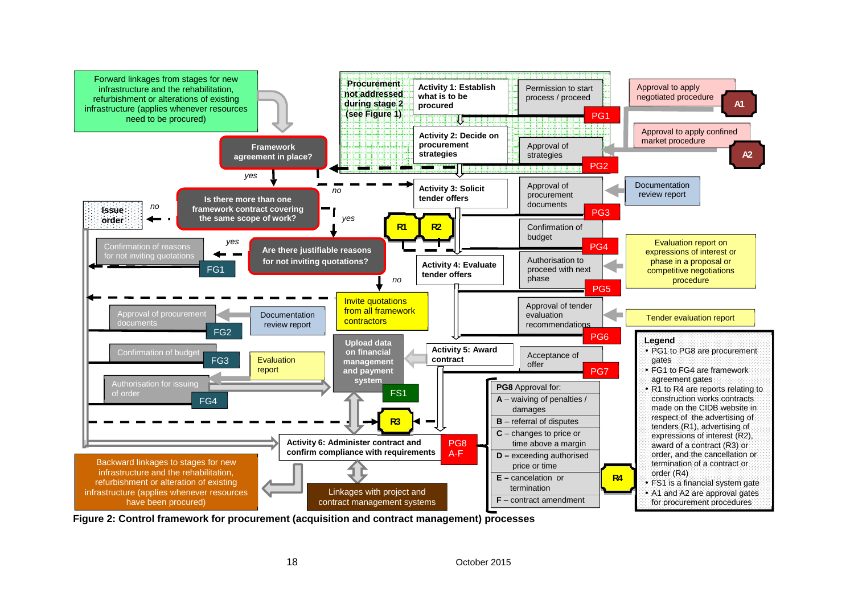

**Figure 2: Control framework for procurement (acquisition and contract management) processes**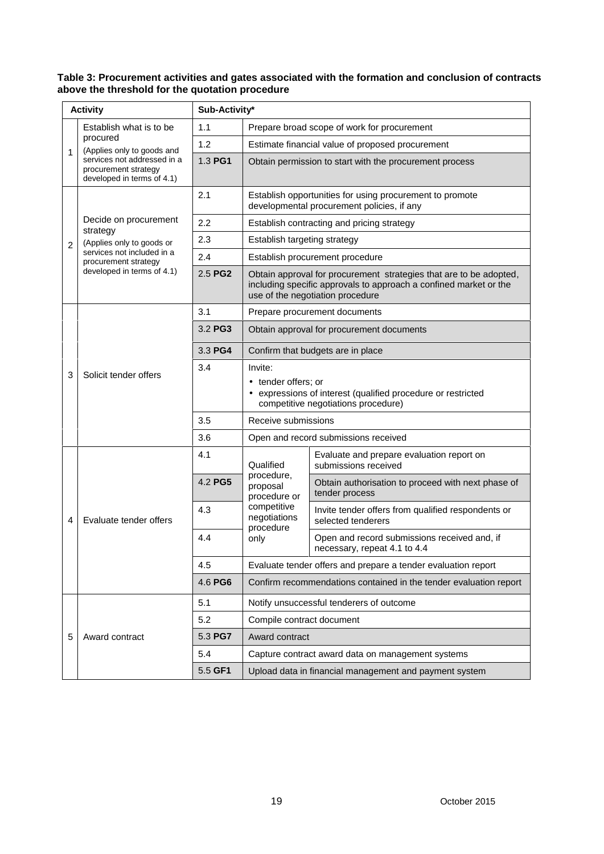#### **Table 3: Procurement activities and gates associated with the formation and conclusion of contracts above the threshold for the quotation procedure**

| <b>Activity</b>                                                                        | Sub-Activity* |                                                                                                                                       |                                                                                                                                                                             |                                                                          |  |
|----------------------------------------------------------------------------------------|---------------|---------------------------------------------------------------------------------------------------------------------------------------|-----------------------------------------------------------------------------------------------------------------------------------------------------------------------------|--------------------------------------------------------------------------|--|
| Establish what is to be                                                                | 1.1           |                                                                                                                                       | Prepare broad scope of work for procurement                                                                                                                                 |                                                                          |  |
| procured<br>(Applies only to goods and                                                 | 1.2           |                                                                                                                                       | Estimate financial value of proposed procurement                                                                                                                            |                                                                          |  |
| 1<br>services not addressed in a<br>procurement strategy<br>developed in terms of 4.1) | 1.3 PG1       |                                                                                                                                       | Obtain permission to start with the procurement process                                                                                                                     |                                                                          |  |
|                                                                                        | 2.1           |                                                                                                                                       | Establish opportunities for using procurement to promote<br>developmental procurement policies, if any                                                                      |                                                                          |  |
| Decide on procurement<br>strategy                                                      | 2.2           |                                                                                                                                       | Establish contracting and pricing strategy                                                                                                                                  |                                                                          |  |
| (Applies only to goods or<br>$\overline{2}$                                            | 2.3           | Establish targeting strategy                                                                                                          |                                                                                                                                                                             |                                                                          |  |
| services not included in a<br>procurement strategy                                     | 2.4           |                                                                                                                                       | Establish procurement procedure                                                                                                                                             |                                                                          |  |
| developed in terms of 4.1)                                                             | 2.5 PG2       |                                                                                                                                       | Obtain approval for procurement strategies that are to be adopted,<br>including specific approvals to approach a confined market or the<br>use of the negotiation procedure |                                                                          |  |
|                                                                                        | 3.1           |                                                                                                                                       | Prepare procurement documents                                                                                                                                               |                                                                          |  |
|                                                                                        | 3.2 PG3       |                                                                                                                                       | Obtain approval for procurement documents                                                                                                                                   |                                                                          |  |
|                                                                                        | 3.3 PG4       | Confirm that budgets are in place                                                                                                     |                                                                                                                                                                             |                                                                          |  |
| Solicit tender offers                                                                  | 3.4           | Invite:<br>• tender offers; or<br>• expressions of interest (qualified procedure or restricted<br>competitive negotiations procedure) |                                                                                                                                                                             |                                                                          |  |
|                                                                                        | 3.5           | Receive submissions                                                                                                                   |                                                                                                                                                                             |                                                                          |  |
|                                                                                        | 3.6           |                                                                                                                                       | Open and record submissions received                                                                                                                                        |                                                                          |  |
|                                                                                        | 4.1           | Qualified                                                                                                                             | Evaluate and prepare evaluation report on<br>submissions received                                                                                                           |                                                                          |  |
|                                                                                        | 4.2 PG5       | procedure,<br>proposal<br>procedure or                                                                                                | Obtain authorisation to proceed with next phase of<br>tender process                                                                                                        |                                                                          |  |
| Evaluate tender offers<br>4                                                            | 4.3           | competitive<br>negotiations                                                                                                           |                                                                                                                                                                             | Invite tender offers from qualified respondents or<br>selected tenderers |  |
|                                                                                        | 4.4           | procedure<br>only                                                                                                                     | Open and record submissions received and, if<br>necessary, repeat 4.1 to 4.4                                                                                                |                                                                          |  |
|                                                                                        | 4.5           |                                                                                                                                       | Evaluate tender offers and prepare a tender evaluation report                                                                                                               |                                                                          |  |
|                                                                                        | 4.6 PG6       |                                                                                                                                       | Confirm recommendations contained in the tender evaluation report                                                                                                           |                                                                          |  |
|                                                                                        | 5.1           |                                                                                                                                       | Notify unsuccessful tenderers of outcome                                                                                                                                    |                                                                          |  |
|                                                                                        | 5.2           | Compile contract document                                                                                                             |                                                                                                                                                                             |                                                                          |  |
| 5<br>Award contract                                                                    | 5.3 PG7       | Award contract                                                                                                                        |                                                                                                                                                                             |                                                                          |  |
|                                                                                        | 5.4           | Capture contract award data on management systems                                                                                     |                                                                                                                                                                             |                                                                          |  |
|                                                                                        | 5.5 GF1       | Upload data in financial management and payment system                                                                                |                                                                                                                                                                             |                                                                          |  |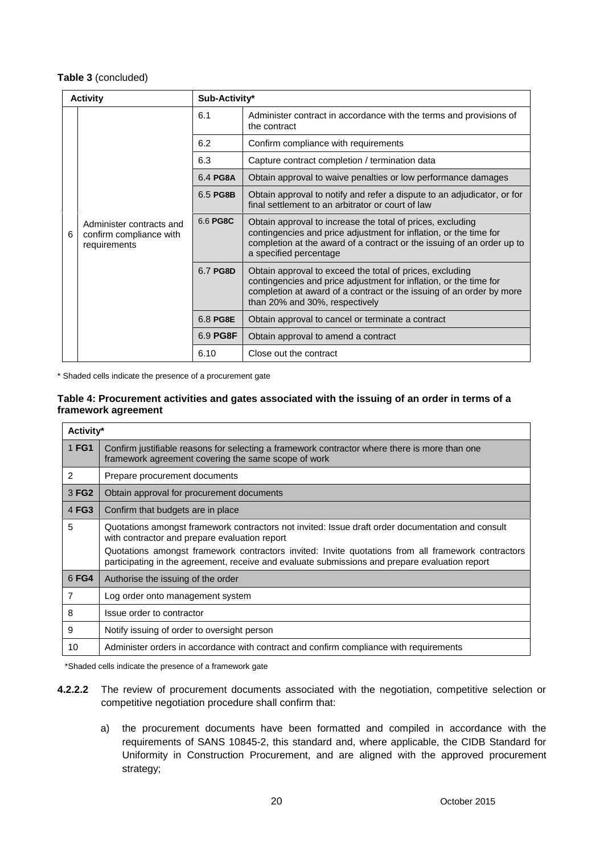#### **Table 3** (concluded)

| <b>Activity</b> |                                                                     | Sub-Activity* |                                                                                                                                                                                                                                         |  |
|-----------------|---------------------------------------------------------------------|---------------|-----------------------------------------------------------------------------------------------------------------------------------------------------------------------------------------------------------------------------------------|--|
|                 |                                                                     | 6.1           | Administer contract in accordance with the terms and provisions of<br>the contract                                                                                                                                                      |  |
|                 |                                                                     | 6.2           | Confirm compliance with requirements                                                                                                                                                                                                    |  |
|                 | Administer contracts and<br>confirm compliance with<br>requirements | 6.3           | Capture contract completion / termination data                                                                                                                                                                                          |  |
|                 |                                                                     | 6.4 PG8A      | Obtain approval to waive penalties or low performance damages                                                                                                                                                                           |  |
|                 |                                                                     | 6.5 PG8B      | Obtain approval to notify and refer a dispute to an adjudicator, or for<br>final settlement to an arbitrator or court of law                                                                                                            |  |
| 6               |                                                                     | 6.6 PG8C      | Obtain approval to increase the total of prices, excluding<br>contingencies and price adjustment for inflation, or the time for<br>completion at the award of a contract or the issuing of an order up to<br>a specified percentage     |  |
|                 |                                                                     | 6.7 PG8D      | Obtain approval to exceed the total of prices, excluding<br>contingencies and price adjustment for inflation, or the time for<br>completion at award of a contract or the issuing of an order by more<br>than 20% and 30%, respectively |  |
|                 |                                                                     | 6.8 PG8E      | Obtain approval to cancel or terminate a contract                                                                                                                                                                                       |  |
|                 |                                                                     | 6.9 PG8F      | Obtain approval to amend a contract                                                                                                                                                                                                     |  |
|                 |                                                                     | 6.10          | Close out the contract                                                                                                                                                                                                                  |  |

\* Shaded cells indicate the presence of a procurement gate

#### **Table 4: Procurement activities and gates associated with the issuing of an order in terms of a framework agreement**

|                                                    | Activity*                                                                                                                                                                                                                                                                                                                                                  |  |  |  |  |  |  |  |
|----------------------------------------------------|------------------------------------------------------------------------------------------------------------------------------------------------------------------------------------------------------------------------------------------------------------------------------------------------------------------------------------------------------------|--|--|--|--|--|--|--|
| 1 FG1                                              | Confirm justifiable reasons for selecting a framework contractor where there is more than one<br>framework agreement covering the same scope of work                                                                                                                                                                                                       |  |  |  |  |  |  |  |
| 2<br>Prepare procurement documents                 |                                                                                                                                                                                                                                                                                                                                                            |  |  |  |  |  |  |  |
| 3 FG2<br>Obtain approval for procurement documents |                                                                                                                                                                                                                                                                                                                                                            |  |  |  |  |  |  |  |
| 4 FG3<br>Confirm that budgets are in place         |                                                                                                                                                                                                                                                                                                                                                            |  |  |  |  |  |  |  |
| 5                                                  | Quotations amongst framework contractors not invited: Issue draft order documentation and consult<br>with contractor and prepare evaluation report<br>Quotations amongst framework contractors invited: Invite quotations from all framework contractors<br>participating in the agreement, receive and evaluate submissions and prepare evaluation report |  |  |  |  |  |  |  |
| 6 FG4                                              | Authorise the issuing of the order                                                                                                                                                                                                                                                                                                                         |  |  |  |  |  |  |  |
| 7                                                  | Log order onto management system                                                                                                                                                                                                                                                                                                                           |  |  |  |  |  |  |  |
| 8                                                  | Issue order to contractor                                                                                                                                                                                                                                                                                                                                  |  |  |  |  |  |  |  |
| 9                                                  | Notify issuing of order to oversight person                                                                                                                                                                                                                                                                                                                |  |  |  |  |  |  |  |
| 10                                                 | Administer orders in accordance with contract and confirm compliance with requirements                                                                                                                                                                                                                                                                     |  |  |  |  |  |  |  |

\*Shaded cells indicate the presence of a framework gate

- **4.2.2.2** The review of procurement documents associated with the negotiation, competitive selection or competitive negotiation procedure shall confirm that:
	- a) the procurement documents have been formatted and compiled in accordance with the requirements of SANS 10845-2, this standard and, where applicable, the CIDB Standard for Uniformity in Construction Procurement, and are aligned with the approved procurement strategy;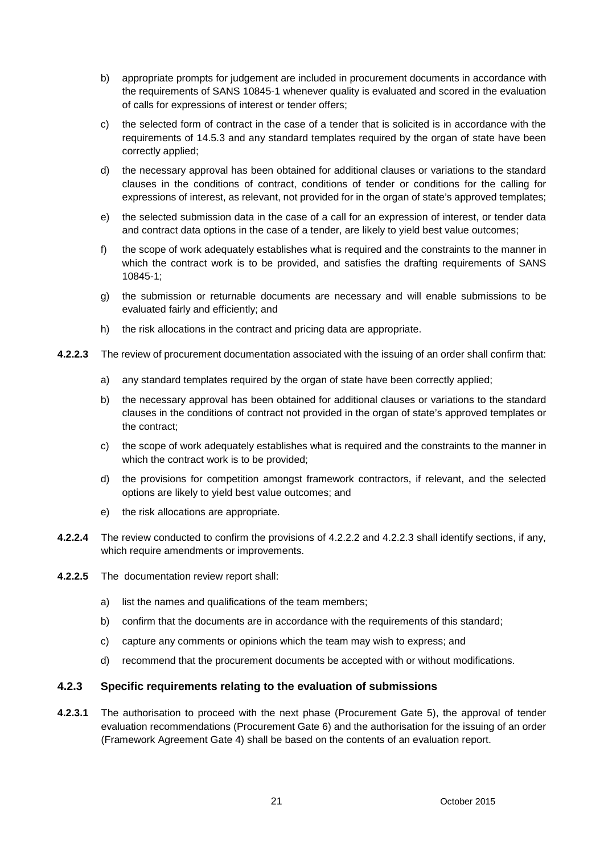- b) appropriate prompts for judgement are included in procurement documents in accordance with the requirements of SANS 10845-1 whenever quality is evaluated and scored in the evaluation of calls for expressions of interest or tender offers;
- c) the selected form of contract in the case of a tender that is solicited is in accordance with the requirements of 14.5.3 and any standard templates required by the organ of state have been correctly applied;
- d) the necessary approval has been obtained for additional clauses or variations to the standard clauses in the conditions of contract, conditions of tender or conditions for the calling for expressions of interest, as relevant, not provided for in the organ of state's approved templates;
- e) the selected submission data in the case of a call for an expression of interest, or tender data and contract data options in the case of a tender, are likely to yield best value outcomes;
- f) the scope of work adequately establishes what is required and the constraints to the manner in which the contract work is to be provided, and satisfies the drafting requirements of SANS 10845-1;
- g) the submission or returnable documents are necessary and will enable submissions to be evaluated fairly and efficiently; and
- h) the risk allocations in the contract and pricing data are appropriate.
- **4.2.2.3** The review of procurement documentation associated with the issuing of an order shall confirm that:
	- a) any standard templates required by the organ of state have been correctly applied;
	- b) the necessary approval has been obtained for additional clauses or variations to the standard clauses in the conditions of contract not provided in the organ of state's approved templates or the contract;
	- c) the scope of work adequately establishes what is required and the constraints to the manner in which the contract work is to be provided;
	- d) the provisions for competition amongst framework contractors, if relevant, and the selected options are likely to yield best value outcomes; and
	- e) the risk allocations are appropriate.
- **4.2.2.4** The review conducted to confirm the provisions of 4.2.2.2 and 4.2.2.3 shall identify sections, if any, which require amendments or improvements.
- **4.2.2.5** The documentation review report shall:
	- a) list the names and qualifications of the team members;
	- b) confirm that the documents are in accordance with the requirements of this standard;
	- c) capture any comments or opinions which the team may wish to express; and
	- d) recommend that the procurement documents be accepted with or without modifications.

### **4.2.3 Specific requirements relating to the evaluation of submissions**

**4.2.3.1** The authorisation to proceed with the next phase (Procurement Gate 5), the approval of tender evaluation recommendations (Procurement Gate 6) and the authorisation for the issuing of an order (Framework Agreement Gate 4) shall be based on the contents of an evaluation report.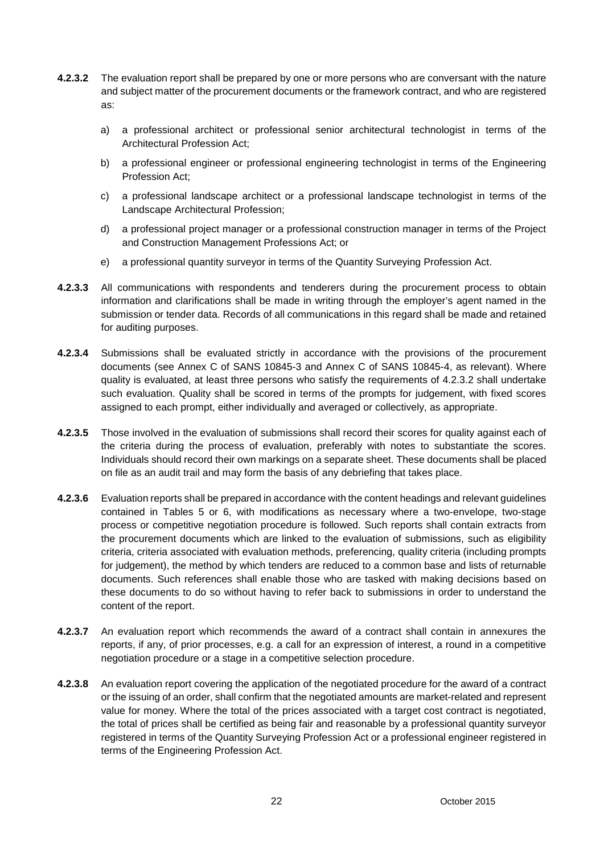- **4.2.3.2** The evaluation report shall be prepared by one or more persons who are conversant with the nature and subject matter of the procurement documents or the framework contract, and who are registered as:
	- a) a professional architect or professional senior architectural technologist in terms of the Architectural Profession Act;
	- b) a professional engineer or professional engineering technologist in terms of the Engineering Profession Act;
	- c) a professional landscape architect or a professional landscape technologist in terms of the Landscape Architectural Profession;
	- d) a professional project manager or a professional construction manager in terms of the Project and Construction Management Professions Act; or
	- e) a professional quantity surveyor in terms of the Quantity Surveying Profession Act.
- **4.2.3.3** All communications with respondents and tenderers during the procurement process to obtain information and clarifications shall be made in writing through the employer's agent named in the submission or tender data. Records of all communications in this regard shall be made and retained for auditing purposes.
- **4.2.3.4** Submissions shall be evaluated strictly in accordance with the provisions of the procurement documents (see Annex C of SANS 10845-3 and Annex C of SANS 10845-4, as relevant). Where quality is evaluated, at least three persons who satisfy the requirements of 4.2.3.2 shall undertake such evaluation. Quality shall be scored in terms of the prompts for judgement, with fixed scores assigned to each prompt, either individually and averaged or collectively, as appropriate.
- **4.2.3.5** Those involved in the evaluation of submissions shall record their scores for quality against each of the criteria during the process of evaluation, preferably with notes to substantiate the scores. Individuals should record their own markings on a separate sheet. These documents shall be placed on file as an audit trail and may form the basis of any debriefing that takes place.
- **4.2.3.6** Evaluation reports shall be prepared in accordance with the content headings and relevant guidelines contained in Tables 5 or 6, with modifications as necessary where a two-envelope, two-stage process or competitive negotiation procedure is followed. Such reports shall contain extracts from the procurement documents which are linked to the evaluation of submissions, such as eligibility criteria, criteria associated with evaluation methods, preferencing, quality criteria (including prompts for judgement), the method by which tenders are reduced to a common base and lists of returnable documents. Such references shall enable those who are tasked with making decisions based on these documents to do so without having to refer back to submissions in order to understand the content of the report.
- **4.2.3.7** An evaluation report which recommends the award of a contract shall contain in annexures the reports, if any, of prior processes, e.g. a call for an expression of interest, a round in a competitive negotiation procedure or a stage in a competitive selection procedure.
- **4.2.3.8** An evaluation report covering the application of the negotiated procedure for the award of a contract or the issuing of an order, shall confirm that the negotiated amounts are market-related and represent value for money. Where the total of the prices associated with a target cost contract is negotiated, the total of prices shall be certified as being fair and reasonable by a professional quantity surveyor registered in terms of the Quantity Surveying Profession Act or a professional engineer registered in terms of the Engineering Profession Act.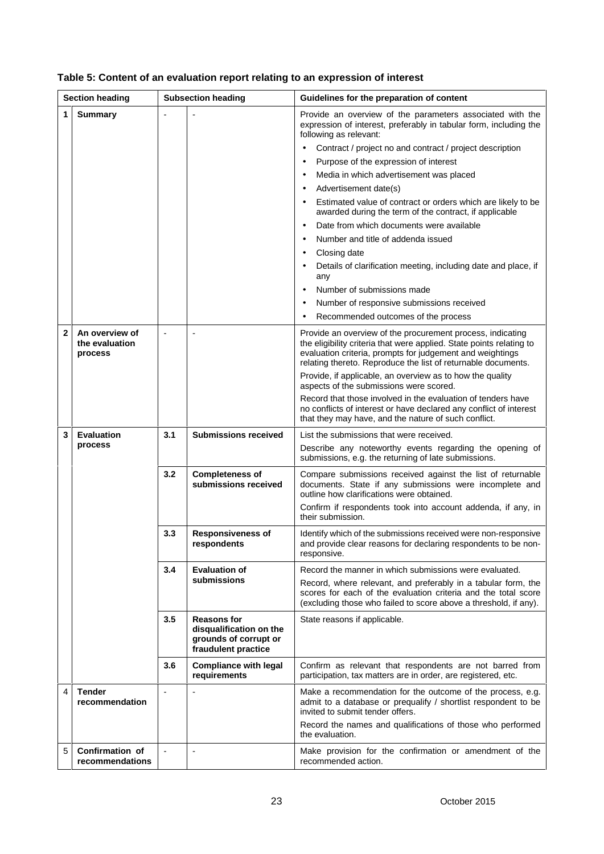| <b>Section heading</b>  |                                             | <b>Subsection heading</b>                                                      |                                                                                               | Guidelines for the preparation of content                                                                                                                                                                                                                                                                                                                                                                                                                                                                                                                                                                                                                                                                                                                                                                                                                        |  |
|-------------------------|---------------------------------------------|--------------------------------------------------------------------------------|-----------------------------------------------------------------------------------------------|------------------------------------------------------------------------------------------------------------------------------------------------------------------------------------------------------------------------------------------------------------------------------------------------------------------------------------------------------------------------------------------------------------------------------------------------------------------------------------------------------------------------------------------------------------------------------------------------------------------------------------------------------------------------------------------------------------------------------------------------------------------------------------------------------------------------------------------------------------------|--|
| 1<br><b>Summary</b>     |                                             |                                                                                |                                                                                               | Provide an overview of the parameters associated with the<br>expression of interest, preferably in tabular form, including the<br>following as relevant:<br>Contract / project no and contract / project description<br>$\bullet$<br>Purpose of the expression of interest<br>$\bullet$<br>Media in which advertisement was placed<br>$\bullet$<br>Advertisement date(s)<br>$\bullet$<br>Estimated value of contract or orders which are likely to be<br>$\bullet$<br>awarded during the term of the contract, if applicable<br>Date from which documents were available<br>$\bullet$<br>Number and title of addenda issued<br>$\bullet$<br>Closing date<br>$\bullet$<br>Details of clarification meeting, including date and place, if<br>$\bullet$<br>any<br>Number of submissions made<br>$\bullet$<br>Number of responsive submissions received<br>$\bullet$ |  |
| 2                       | An overview of<br>the evaluation<br>process | Recommended outcomes of the process<br>aspects of the submissions were scored. |                                                                                               | Provide an overview of the procurement process, indicating<br>the eligibility criteria that were applied. State points relating to<br>evaluation criteria, prompts for judgement and weightings<br>relating thereto. Reproduce the list of returnable documents.<br>Provide, if applicable, an overview as to how the quality<br>Record that those involved in the evaluation of tenders have<br>no conflicts of interest or have declared any conflict of interest<br>that they may have, and the nature of such conflict.                                                                                                                                                                                                                                                                                                                                      |  |
| 3                       | <b>Evaluation</b><br>process                | 3.1                                                                            | <b>Submissions received</b>                                                                   | List the submissions that were received.<br>Describe any noteworthy events regarding the opening of<br>submissions, e.g. the returning of late submissions.                                                                                                                                                                                                                                                                                                                                                                                                                                                                                                                                                                                                                                                                                                      |  |
|                         |                                             | 3.2                                                                            | <b>Completeness of</b><br>submissions received                                                | Compare submissions received against the list of returnable<br>documents. State if any submissions were incomplete and<br>outline how clarifications were obtained.<br>Confirm if respondents took into account addenda, if any, in<br>their submission.                                                                                                                                                                                                                                                                                                                                                                                                                                                                                                                                                                                                         |  |
|                         |                                             | 3.3                                                                            | <b>Responsiveness of</b><br>respondents                                                       | Identify which of the submissions received were non-responsive<br>and provide clear reasons for declaring respondents to be non-<br>responsive.                                                                                                                                                                                                                                                                                                                                                                                                                                                                                                                                                                                                                                                                                                                  |  |
|                         |                                             | 3.4                                                                            | <b>Evaluation of</b><br>submissions                                                           | Record the manner in which submissions were evaluated.<br>Record, where relevant, and preferably in a tabular form, the<br>scores for each of the evaluation criteria and the total score<br>(excluding those who failed to score above a threshold, if any).                                                                                                                                                                                                                                                                                                                                                                                                                                                                                                                                                                                                    |  |
|                         |                                             | 3.5                                                                            | <b>Reasons for</b><br>disqualification on the<br>grounds of corrupt or<br>fraudulent practice | State reasons if applicable.                                                                                                                                                                                                                                                                                                                                                                                                                                                                                                                                                                                                                                                                                                                                                                                                                                     |  |
|                         |                                             | 3.6                                                                            | <b>Compliance with legal</b><br>requirements                                                  | Confirm as relevant that respondents are not barred from<br>participation, tax matters are in order, are registered, etc.                                                                                                                                                                                                                                                                                                                                                                                                                                                                                                                                                                                                                                                                                                                                        |  |
| $\overline{\mathbf{4}}$ | <b>Tender</b><br>recommendation             |                                                                                |                                                                                               | Make a recommendation for the outcome of the process, e.g.<br>admit to a database or prequalify / shortlist respondent to be<br>invited to submit tender offers.<br>Record the names and qualifications of those who performed<br>the evaluation.                                                                                                                                                                                                                                                                                                                                                                                                                                                                                                                                                                                                                |  |
| 5                       | <b>Confirmation of</b><br>recommendations   | $\overline{\phantom{a}}$                                                       | $\overline{\phantom{a}}$                                                                      | Make provision for the confirmation or amendment of the<br>recommended action.                                                                                                                                                                                                                                                                                                                                                                                                                                                                                                                                                                                                                                                                                                                                                                                   |  |

# **Table 5: Content of an evaluation report relating to an expression of interest**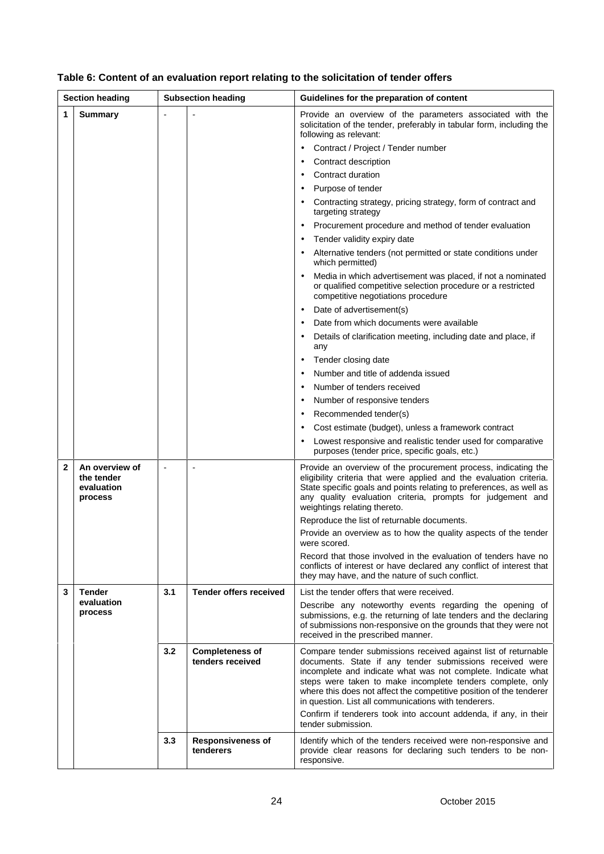| <b>Section heading</b> |                                                       | <b>Subsection heading</b> |                                            | Guidelines for the preparation of content                                                                                                                                                                                                                                                                                                                                                                                                                                                                                                                                                                                                                                                                                                                                                                                                                                                                                                                                                                                                                                                                                                                                                    |  |
|------------------------|-------------------------------------------------------|---------------------------|--------------------------------------------|----------------------------------------------------------------------------------------------------------------------------------------------------------------------------------------------------------------------------------------------------------------------------------------------------------------------------------------------------------------------------------------------------------------------------------------------------------------------------------------------------------------------------------------------------------------------------------------------------------------------------------------------------------------------------------------------------------------------------------------------------------------------------------------------------------------------------------------------------------------------------------------------------------------------------------------------------------------------------------------------------------------------------------------------------------------------------------------------------------------------------------------------------------------------------------------------|--|
| 1                      | <b>Summary</b>                                        |                           |                                            | Provide an overview of the parameters associated with the<br>solicitation of the tender, preferably in tabular form, including the<br>following as relevant:<br>Contract / Project / Tender number<br>Contract description<br>Contract duration<br>Purpose of tender<br>Contracting strategy, pricing strategy, form of contract and<br>targeting strategy<br>Procurement procedure and method of tender evaluation<br>Tender validity expiry date<br>Alternative tenders (not permitted or state conditions under<br>which permitted)<br>Media in which advertisement was placed, if not a nominated<br>or qualified competitive selection procedure or a restricted<br>competitive negotiations procedure<br>Date of advertisement(s)<br>٠<br>Date from which documents were available<br>Details of clarification meeting, including date and place, if<br>any<br>Tender closing date<br>Number and title of addenda issued<br>Number of tenders received<br>Number of responsive tenders<br>Recommended tender(s)<br>Cost estimate (budget), unless a framework contract<br>Lowest responsive and realistic tender used for comparative<br>purposes (tender price, specific goals, etc.) |  |
| 2                      | An overview of<br>the tender<br>evaluation<br>process | $\blacksquare$            | $\overline{\phantom{a}}$                   | Provide an overview of the procurement process, indicating the<br>eligibility criteria that were applied and the evaluation criteria.<br>State specific goals and points relating to preferences, as well as<br>any quality evaluation criteria, prompts for judgement and<br>weightings relating thereto.<br>Reproduce the list of returnable documents.<br>Provide an overview as to how the quality aspects of the tender<br>were scorea.<br>Record that those involved in the evaluation of tenders have no<br>conflicts of interest or have declared any conflict of interest that<br>they may have, and the nature of such conflict.                                                                                                                                                                                                                                                                                                                                                                                                                                                                                                                                                   |  |
| 3                      | <b>Tender</b><br>evaluation<br>process                | 3.1                       | <b>Tender offers received</b>              | List the tender offers that were received.<br>Describe any noteworthy events regarding the opening of<br>submissions, e.g. the returning of late tenders and the declaring<br>of submissions non-responsive on the grounds that they were not<br>received in the prescribed manner.                                                                                                                                                                                                                                                                                                                                                                                                                                                                                                                                                                                                                                                                                                                                                                                                                                                                                                          |  |
|                        |                                                       | 3.2                       | <b>Completeness of</b><br>tenders received | Compare tender submissions received against list of returnable<br>documents. State if any tender submissions received were<br>incomplete and indicate what was not complete. Indicate what<br>steps were taken to make incomplete tenders complete, only<br>where this does not affect the competitive position of the tenderer<br>in question. List all communications with tenderers.<br>Confirm if tenderers took into account addenda, if any, in their<br>tender submission.                                                                                                                                                                                                                                                                                                                                                                                                                                                                                                                                                                                                                                                                                                            |  |
|                        |                                                       | 3.3                       | <b>Responsiveness of</b><br>tenderers      | Identify which of the tenders received were non-responsive and<br>provide clear reasons for declaring such tenders to be non-<br>responsive.                                                                                                                                                                                                                                                                                                                                                                                                                                                                                                                                                                                                                                                                                                                                                                                                                                                                                                                                                                                                                                                 |  |

# **Table 6: Content of an evaluation report relating to the solicitation of tender offers**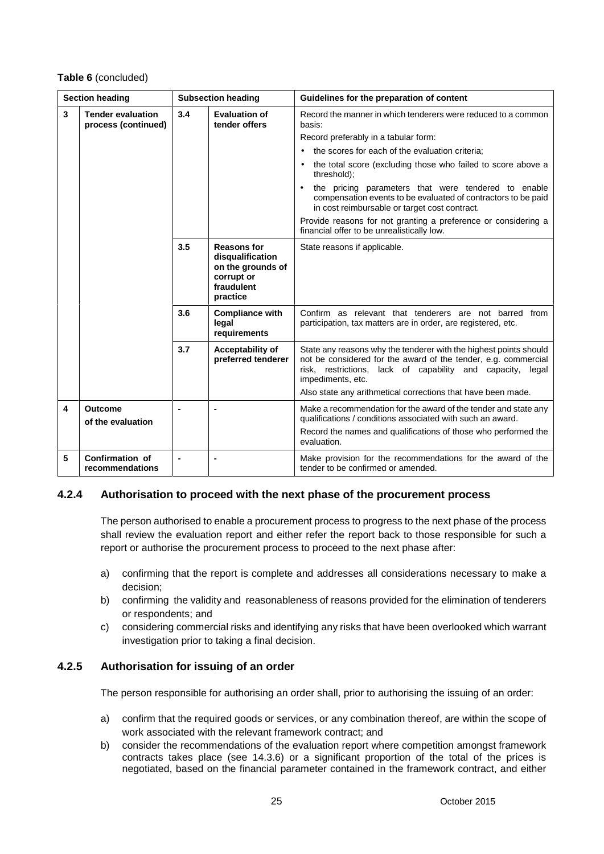#### **Table 6** (concluded)

| <b>Section heading</b> |                                                 | <b>Subsection heading</b> |                                                                                                     | Guidelines for the preparation of content                                                                                                                                                                              |  |
|------------------------|-------------------------------------------------|---------------------------|-----------------------------------------------------------------------------------------------------|------------------------------------------------------------------------------------------------------------------------------------------------------------------------------------------------------------------------|--|
| 3                      | <b>Tender evaluation</b><br>process (continued) |                           | <b>Evaluation of</b><br>tender offers                                                               | Record the manner in which tenderers were reduced to a common<br>basis:                                                                                                                                                |  |
|                        |                                                 |                           |                                                                                                     | Record preferably in a tabular form:                                                                                                                                                                                   |  |
|                        |                                                 |                           |                                                                                                     | the scores for each of the evaluation criteria:                                                                                                                                                                        |  |
|                        |                                                 |                           |                                                                                                     | the total score (excluding those who failed to score above a<br>threshold);                                                                                                                                            |  |
|                        |                                                 |                           |                                                                                                     | the pricing parameters that were tendered to enable<br>$\bullet$<br>compensation events to be evaluated of contractors to be paid<br>in cost reimbursable or target cost contract.                                     |  |
|                        |                                                 |                           |                                                                                                     | Provide reasons for not granting a preference or considering a<br>financial offer to be unrealistically low.                                                                                                           |  |
|                        |                                                 | 3.5                       | <b>Reasons for</b><br>disqualification<br>on the grounds of<br>corrupt or<br>fraudulent<br>practice | State reasons if applicable.                                                                                                                                                                                           |  |
|                        |                                                 | 3.6                       | <b>Compliance with</b><br>legal<br>requirements                                                     | Confirm as relevant that tenderers are not barred from<br>participation, tax matters are in order, are registered, etc.                                                                                                |  |
|                        |                                                 | 3.7                       | Acceptability of<br>preferred tenderer                                                              | State any reasons why the tenderer with the highest points should<br>not be considered for the award of the tender, e.g. commercial<br>risk, restrictions, lack of capability and capacity, legal<br>impediments, etc. |  |
|                        |                                                 |                           |                                                                                                     | Also state any arithmetical corrections that have been made.                                                                                                                                                           |  |
| 4                      | <b>Outcome</b><br>of the evaluation             |                           |                                                                                                     | Make a recommendation for the award of the tender and state any<br>qualifications / conditions associated with such an award.                                                                                          |  |
|                        |                                                 |                           |                                                                                                     | Record the names and qualifications of those who performed the<br>evaluation.                                                                                                                                          |  |
| 5                      | <b>Confirmation of</b><br>recommendations       | $\blacksquare$            | $\blacksquare$                                                                                      | Make provision for the recommendations for the award of the<br>tender to be confirmed or amended.                                                                                                                      |  |

## **4.2.4 Authorisation to proceed with the next phase of the procurement process**

The person authorised to enable a procurement process to progress to the next phase of the process shall review the evaluation report and either refer the report back to those responsible for such a report or authorise the procurement process to proceed to the next phase after:

- a) confirming that the report is complete and addresses all considerations necessary to make a decision;
- b) confirming the validity and reasonableness of reasons provided for the elimination of tenderers or respondents; and
- c) considering commercial risks and identifying any risks that have been overlooked which warrant investigation prior to taking a final decision.

### **4.2.5 Authorisation for issuing of an order**

The person responsible for authorising an order shall, prior to authorising the issuing of an order:

- a) confirm that the required goods or services, or any combination thereof, are within the scope of work associated with the relevant framework contract; and
- b) consider the recommendations of the evaluation report where competition amongst framework contracts takes place (see 14.3.6) or a significant proportion of the total of the prices is negotiated, based on the financial parameter contained in the framework contract, and either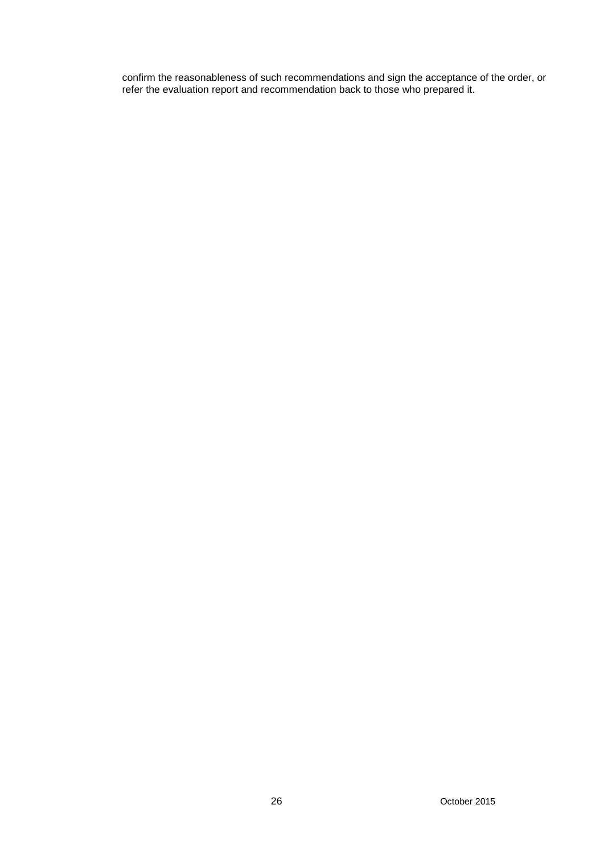confirm the reasonableness of such recommendations and sign the acceptance of the order, or refer the evaluation report and recommendation back to those who prepared it.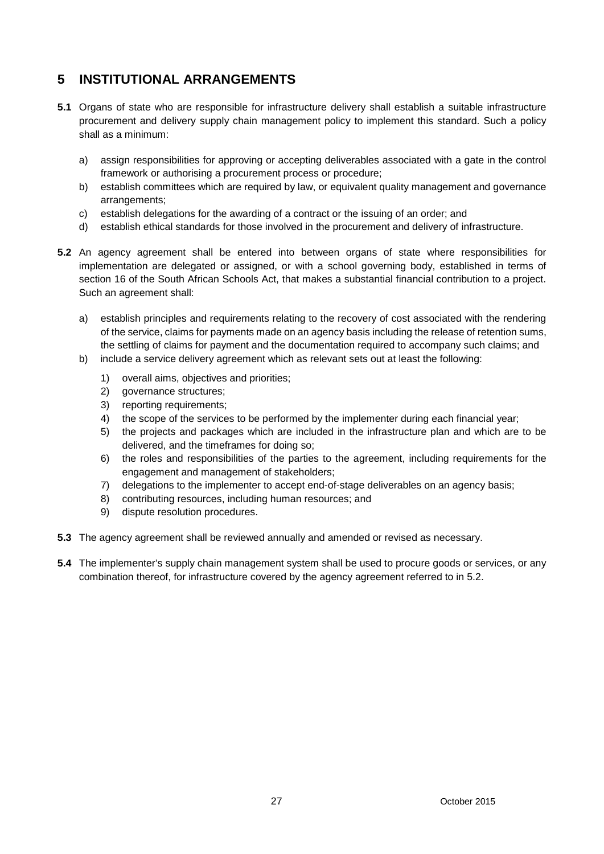# **5 INSTITUTIONAL ARRANGEMENTS**

- **5.1** Organs of state who are responsible for infrastructure delivery shall establish a suitable infrastructure procurement and delivery supply chain management policy to implement this standard. Such a policy shall as a minimum:
	- a) assign responsibilities for approving or accepting deliverables associated with a gate in the control framework or authorising a procurement process or procedure;
	- b) establish committees which are required by law, or equivalent quality management and governance arrangements;
	- c) establish delegations for the awarding of a contract or the issuing of an order; and
	- d) establish ethical standards for those involved in the procurement and delivery of infrastructure.
- **5.2** An agency agreement shall be entered into between organs of state where responsibilities for implementation are delegated or assigned, or with a school governing body, established in terms of section 16 of the South African Schools Act, that makes a substantial financial contribution to a project. Such an agreement shall:
	- a) establish principles and requirements relating to the recovery of cost associated with the rendering of the service, claims for payments made on an agency basis including the release of retention sums, the settling of claims for payment and the documentation required to accompany such claims; and
	- b) include a service delivery agreement which as relevant sets out at least the following:
		- 1) overall aims, objectives and priorities;
		- 2) governance structures;
		- 3) reporting requirements;
		- 4) the scope of the services to be performed by the implementer during each financial year;
		- 5) the projects and packages which are included in the infrastructure plan and which are to be delivered, and the timeframes for doing so;
		- 6) the roles and responsibilities of the parties to the agreement, including requirements for the engagement and management of stakeholders;
		- 7) delegations to the implementer to accept end-of-stage deliverables on an agency basis;
		- 8) contributing resources, including human resources; and
		- 9) dispute resolution procedures.
- **5.3** The agency agreement shall be reviewed annually and amended or revised as necessary.
- **5.4** The implementer's supply chain management system shall be used to procure goods or services, or any combination thereof, for infrastructure covered by the agency agreement referred to in 5.2.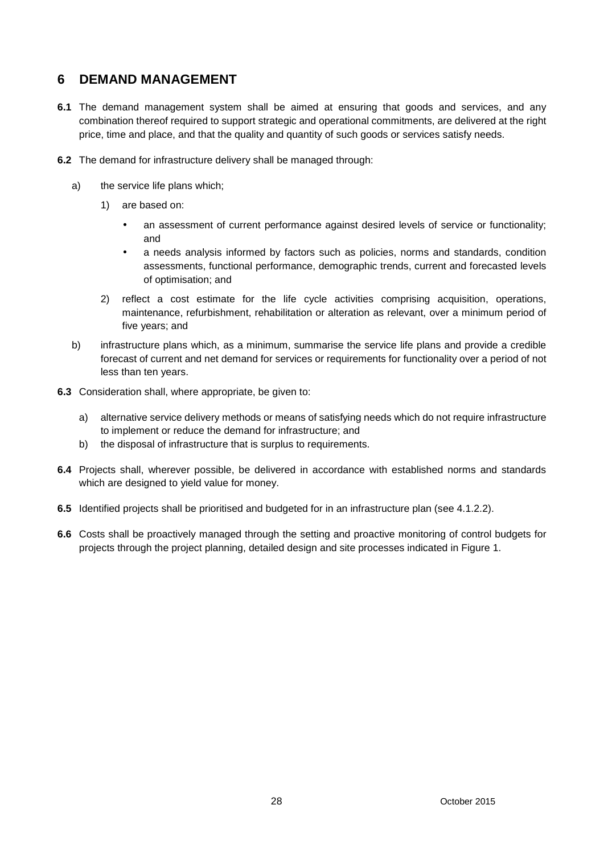# **6 DEMAND MANAGEMENT**

- **6.1** The demand management system shall be aimed at ensuring that goods and services, and any combination thereof required to support strategic and operational commitments, are delivered at the right price, time and place, and that the quality and quantity of such goods or services satisfy needs.
- **6.2** The demand for infrastructure delivery shall be managed through:
	- a) the service life plans which;
		- 1) are based on:
			- an assessment of current performance against desired levels of service or functionality; and
			- a needs analysis informed by factors such as policies, norms and standards, condition assessments, functional performance, demographic trends, current and forecasted levels of optimisation; and
		- 2) reflect a cost estimate for the life cycle activities comprising acquisition, operations, maintenance, refurbishment, rehabilitation or alteration as relevant, over a minimum period of five years; and
	- b) infrastructure plans which, as a minimum, summarise the service life plans and provide a credible forecast of current and net demand for services or requirements for functionality over a period of not less than ten years.
- **6.3** Consideration shall, where appropriate, be given to:
	- a) alternative service delivery methods or means of satisfying needs which do not require infrastructure to implement or reduce the demand for infrastructure; and
	- b) the disposal of infrastructure that is surplus to requirements.
- **6.4** Projects shall, wherever possible, be delivered in accordance with established norms and standards which are designed to yield value for money.
- **6.5** Identified projects shall be prioritised and budgeted for in an infrastructure plan (see 4.1.2.2).
- **6.6** Costs shall be proactively managed through the setting and proactive monitoring of control budgets for projects through the project planning, detailed design and site processes indicated in Figure 1.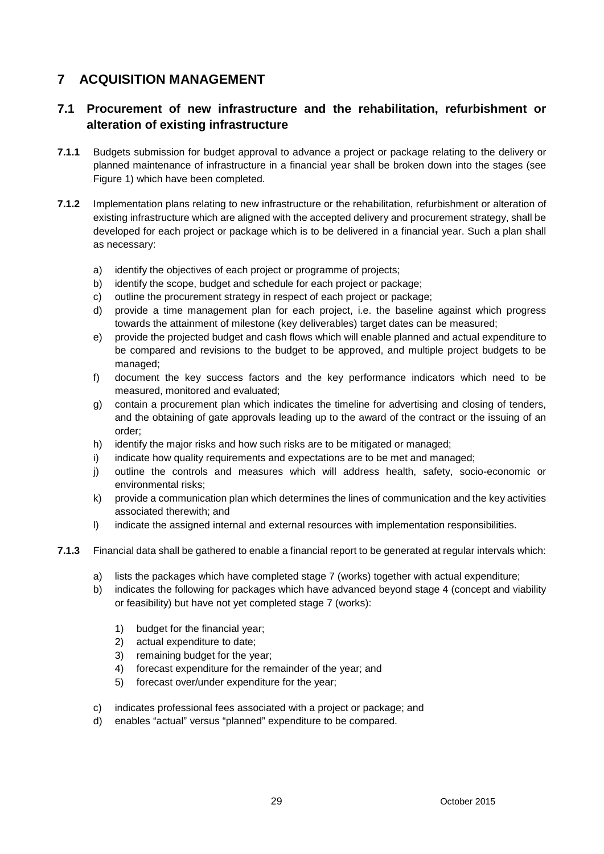# **7 ACQUISITION MANAGEMENT**

# **7.1 Procurement of new infrastructure and the rehabilitation, refurbishment or alteration of existing infrastructure**

- **7.1.1** Budgets submission for budget approval to advance a project or package relating to the delivery or planned maintenance of infrastructure in a financial year shall be broken down into the stages (see Figure 1) which have been completed.
- **7.1.2** Implementation plans relating to new infrastructure or the rehabilitation, refurbishment or alteration of existing infrastructure which are aligned with the accepted delivery and procurement strategy, shall be developed for each project or package which is to be delivered in a financial year. Such a plan shall as necessary:
	- a) identify the objectives of each project or programme of projects;
	- b) identify the scope, budget and schedule for each project or package;
	- c) outline the procurement strategy in respect of each project or package;
	- d) provide a time management plan for each project, i.e. the baseline against which progress towards the attainment of milestone (key deliverables) target dates can be measured;
	- e) provide the projected budget and cash flows which will enable planned and actual expenditure to be compared and revisions to the budget to be approved, and multiple project budgets to be managed;
	- f) document the key success factors and the key performance indicators which need to be measured, monitored and evaluated;
	- g) contain a procurement plan which indicates the timeline for advertising and closing of tenders, and the obtaining of gate approvals leading up to the award of the contract or the issuing of an order;
	- h) identify the major risks and how such risks are to be mitigated or managed;
	- i) indicate how quality requirements and expectations are to be met and managed;
	- j) outline the controls and measures which will address health, safety, socio-economic or environmental risks;
	- k) provide a communication plan which determines the lines of communication and the key activities associated therewith; and
	- l) indicate the assigned internal and external resources with implementation responsibilities.
- **7.1.3** Financial data shall be gathered to enable a financial report to be generated at regular intervals which:
	- a) lists the packages which have completed stage 7 (works) together with actual expenditure;
	- b) indicates the following for packages which have advanced beyond stage 4 (concept and viability or feasibility) but have not yet completed stage 7 (works):
		- 1) budget for the financial year;
		- 2) actual expenditure to date;
		- 3) remaining budget for the year;
		- 4) forecast expenditure for the remainder of the year; and
		- 5) forecast over/under expenditure for the year;
	- c) indicates professional fees associated with a project or package; and
	- d) enables "actual" versus "planned" expenditure to be compared.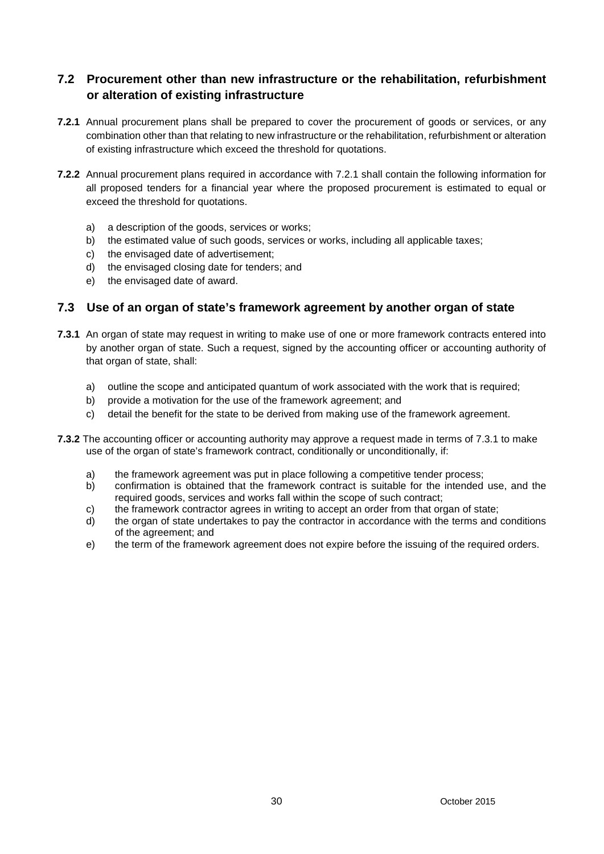# **7.2 Procurement other than new infrastructure or the rehabilitation, refurbishment or alteration of existing infrastructure**

- **7.2.1** Annual procurement plans shall be prepared to cover the procurement of goods or services, or any combination other than that relating to new infrastructure or the rehabilitation, refurbishment or alteration of existing infrastructure which exceed the threshold for quotations.
- **7.2.2** Annual procurement plans required in accordance with 7.2.1 shall contain the following information for all proposed tenders for a financial year where the proposed procurement is estimated to equal or exceed the threshold for quotations.
	- a) a description of the goods, services or works;
	- b) the estimated value of such goods, services or works, including all applicable taxes;
	- c) the envisaged date of advertisement;
	- d) the envisaged closing date for tenders; and
	- e) the envisaged date of award.

### **7.3 Use of an organ of state's framework agreement by another organ of state**

- **7.3.1** An organ of state may request in writing to make use of one or more framework contracts entered into by another organ of state. Such a request, signed by the accounting officer or accounting authority of that organ of state, shall:
	- a) outline the scope and anticipated quantum of work associated with the work that is required;
	- b) provide a motivation for the use of the framework agreement; and
	- c) detail the benefit for the state to be derived from making use of the framework agreement.
- **7.3.2** The accounting officer or accounting authority may approve a request made in terms of 7.3.1 to make use of the organ of state's framework contract, conditionally or unconditionally, if:
	- a) the framework agreement was put in place following a competitive tender process;
	- b) confirmation is obtained that the framework contract is suitable for the intended use, and the required goods, services and works fall within the scope of such contract;
	- c) the framework contractor agrees in writing to accept an order from that organ of state;
	- d) the organ of state undertakes to pay the contractor in accordance with the terms and conditions of the agreement; and
	- e) the term of the framework agreement does not expire before the issuing of the required orders.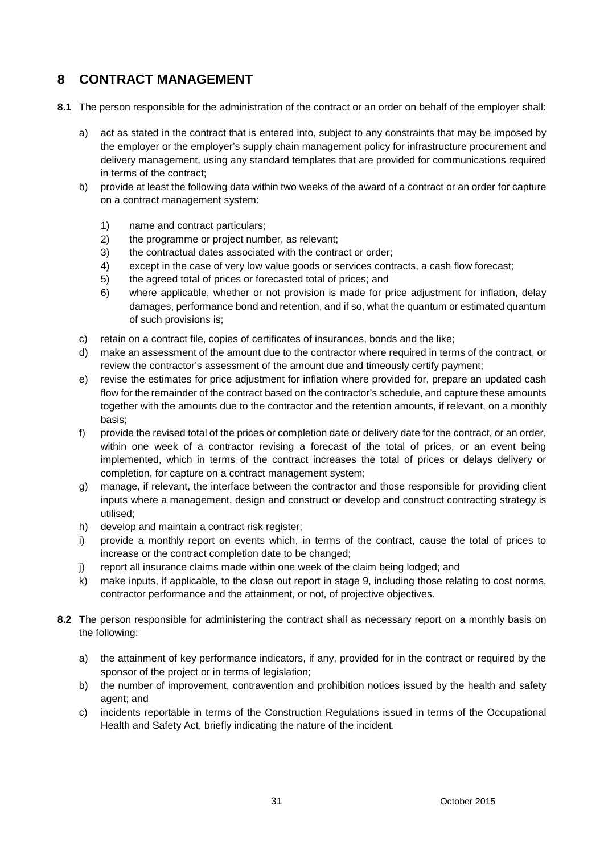# **8 CONTRACT MANAGEMENT**

- **8.1** The person responsible for the administration of the contract or an order on behalf of the employer shall:
	- a) act as stated in the contract that is entered into, subject to any constraints that may be imposed by the employer or the employer's supply chain management policy for infrastructure procurement and delivery management, using any standard templates that are provided for communications required in terms of the contract;
	- b) provide at least the following data within two weeks of the award of a contract or an order for capture on a contract management system:
		- 1) name and contract particulars;
		- 2) the programme or project number, as relevant;
		- 3) the contractual dates associated with the contract or order;
		- 4) except in the case of very low value goods or services contracts, a cash flow forecast;
		- 5) the agreed total of prices or forecasted total of prices; and
		- 6) where applicable, whether or not provision is made for price adjustment for inflation, delay damages, performance bond and retention, and if so, what the quantum or estimated quantum of such provisions is;
	- c) retain on a contract file, copies of certificates of insurances, bonds and the like;
	- d) make an assessment of the amount due to the contractor where required in terms of the contract, or review the contractor's assessment of the amount due and timeously certify payment;
	- e) revise the estimates for price adjustment for inflation where provided for, prepare an updated cash flow for the remainder of the contract based on the contractor's schedule, and capture these amounts together with the amounts due to the contractor and the retention amounts, if relevant, on a monthly basis;
	- f) provide the revised total of the prices or completion date or delivery date for the contract, or an order, within one week of a contractor revising a forecast of the total of prices, or an event being implemented, which in terms of the contract increases the total of prices or delays delivery or completion, for capture on a contract management system;
	- g) manage, if relevant, the interface between the contractor and those responsible for providing client inputs where a management, design and construct or develop and construct contracting strategy is utilised;
	- h) develop and maintain a contract risk register;
	- i) provide a monthly report on events which, in terms of the contract, cause the total of prices to increase or the contract completion date to be changed;
	- j) report all insurance claims made within one week of the claim being lodged; and
	- k) make inputs, if applicable, to the close out report in stage 9, including those relating to cost norms, contractor performance and the attainment, or not, of projective objectives.
- **8.2** The person responsible for administering the contract shall as necessary report on a monthly basis on the following:
	- a) the attainment of key performance indicators, if any, provided for in the contract or required by the sponsor of the project or in terms of legislation;
	- b) the number of improvement, contravention and prohibition notices issued by the health and safety agent; and
	- c) incidents reportable in terms of the Construction Regulations issued in terms of the Occupational Health and Safety Act, briefly indicating the nature of the incident.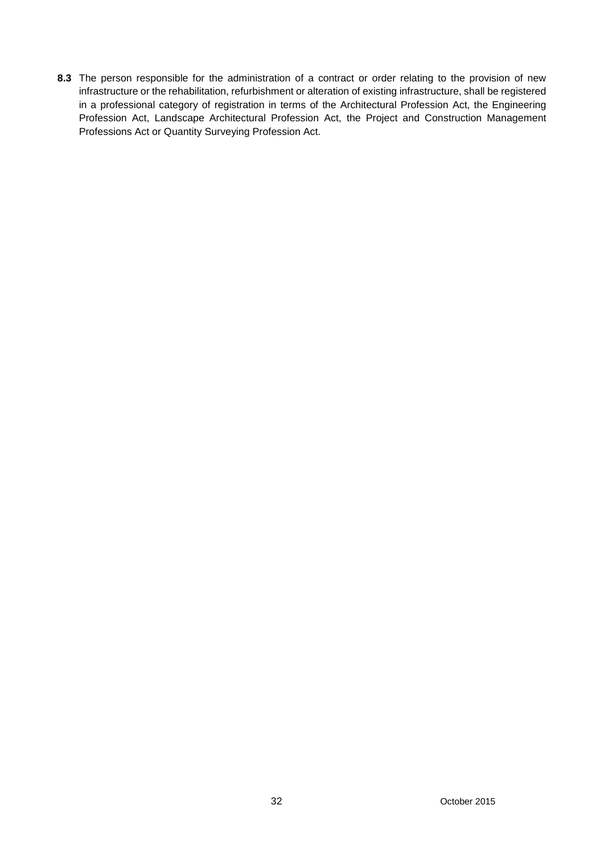**8.3** The person responsible for the administration of a contract or order relating to the provision of new infrastructure or the rehabilitation, refurbishment or alteration of existing infrastructure, shall be registered in a professional category of registration in terms of the Architectural Profession Act, the Engineering Profession Act, Landscape Architectural Profession Act, the Project and Construction Management Professions Act or Quantity Surveying Profession Act.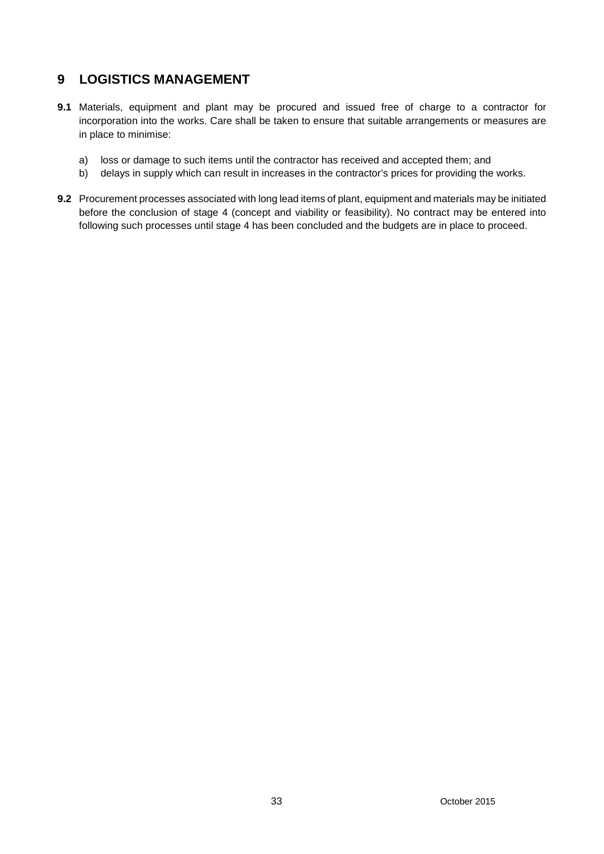# **9 LOGISTICS MANAGEMENT**

- **9.1** Materials, equipment and plant may be procured and issued free of charge to a contractor for incorporation into the works. Care shall be taken to ensure that suitable arrangements or measures are in place to minimise:
	- a) loss or damage to such items until the contractor has received and accepted them; and
	- b) delays in supply which can result in increases in the contractor's prices for providing the works.
- **9.2** Procurement processes associated with long lead items of plant, equipment and materials may be initiated before the conclusion of stage 4 (concept and viability or feasibility). No contract may be entered into following such processes until stage 4 has been concluded and the budgets are in place to proceed.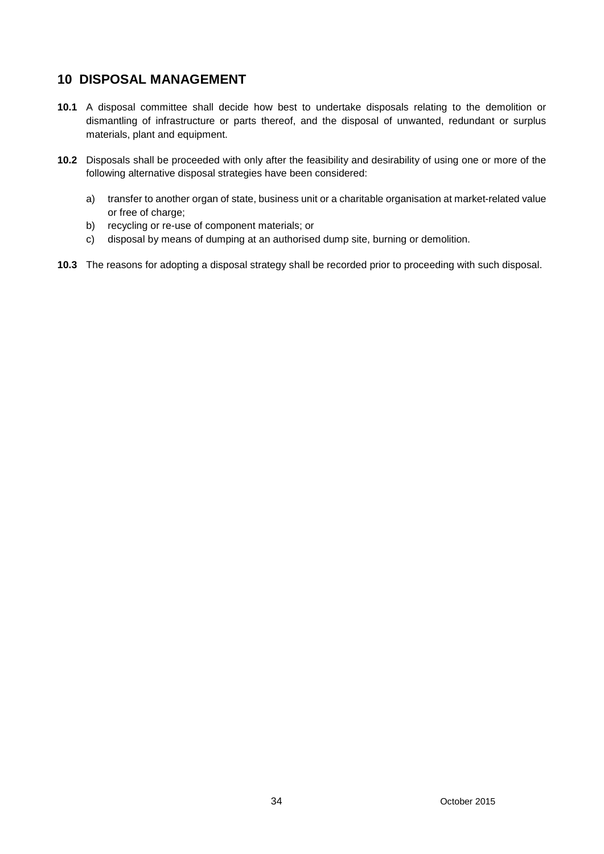# **10 DISPOSAL MANAGEMENT**

- **10.1** A disposal committee shall decide how best to undertake disposals relating to the demolition or dismantling of infrastructure or parts thereof, and the disposal of unwanted, redundant or surplus materials, plant and equipment.
- **10.2** Disposals shall be proceeded with only after the feasibility and desirability of using one or more of the following alternative disposal strategies have been considered:
	- a) transfer to another organ of state, business unit or a charitable organisation at market-related value or free of charge;
	- b) recycling or re-use of component materials; or
	- c) disposal by means of dumping at an authorised dump site, burning or demolition.
- **10.3** The reasons for adopting a disposal strategy shall be recorded prior to proceeding with such disposal.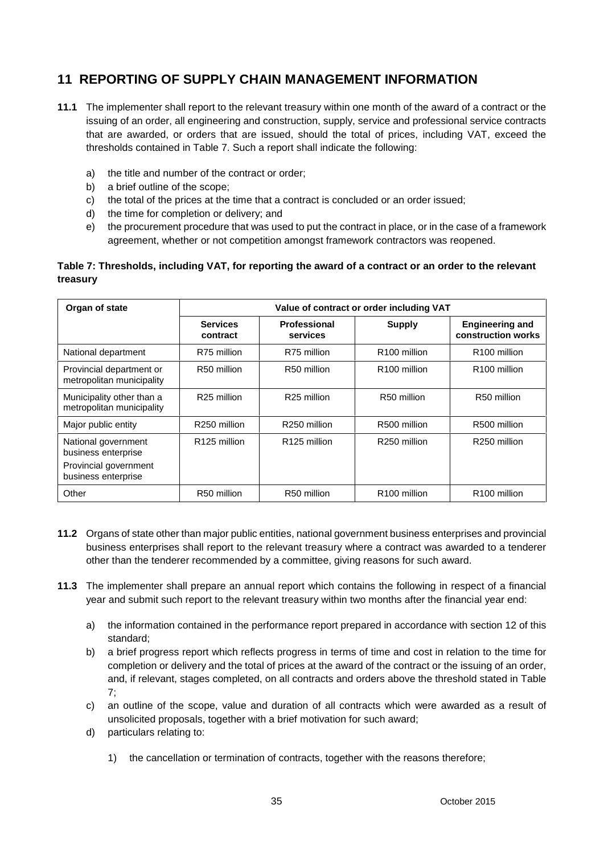# **11 REPORTING OF SUPPLY CHAIN MANAGEMENT INFORMATION**

- **11.1** The implementer shall report to the relevant treasury within one month of the award of a contract or the issuing of an order, all engineering and construction, supply, service and professional service contracts that are awarded, or orders that are issued, should the total of prices, including VAT, exceed the thresholds contained in Table 7. Such a report shall indicate the following:
	- a) the title and number of the contract or order;
	- b) a brief outline of the scope;
	- c) the total of the prices at the time that a contract is concluded or an order issued;
	- d) the time for completion or delivery; and
	- e) the procurement procedure that was used to put the contract in place, or in the case of a framework agreement, whether or not competition amongst framework contractors was reopened.

### **Table 7: Thresholds, including VAT, for reporting the award of a contract or an order to the relevant treasury**

| Organ of state                                         | Value of contract or order including VAT |                                 |                          |                                              |  |  |
|--------------------------------------------------------|------------------------------------------|---------------------------------|--------------------------|----------------------------------------------|--|--|
|                                                        | <b>Services</b><br>contract              | <b>Professional</b><br>services | <b>Supply</b>            | <b>Engineering and</b><br>construction works |  |  |
| National department                                    | R75 million                              | R75 million                     | R <sub>100</sub> million | R <sub>100</sub> million                     |  |  |
| Provincial department or<br>metropolitan municipality  | R50 million                              | R50 million                     | R <sub>100</sub> million | R <sub>100</sub> million                     |  |  |
| Municipality other than a<br>metropolitan municipality | R <sub>25</sub> million                  | R <sub>25</sub> million         | R50 million              | R50 million                                  |  |  |
| Major public entity                                    | R250 million                             | R250 million                    | R500 million             | R500 million                                 |  |  |
| National government<br>business enterprise             | R <sub>125</sub> million                 | R <sub>125</sub> million        | R250 million             | R250 million                                 |  |  |
| Provincial government<br>business enterprise           |                                          |                                 |                          |                                              |  |  |
| Other                                                  | R50 million                              | R50 million                     | R <sub>100</sub> million | R <sub>100</sub> million                     |  |  |

- **11.2** Organs of state other than major public entities, national government business enterprises and provincial business enterprises shall report to the relevant treasury where a contract was awarded to a tenderer other than the tenderer recommended by a committee, giving reasons for such award.
- **11.3** The implementer shall prepare an annual report which contains the following in respect of a financial year and submit such report to the relevant treasury within two months after the financial year end:
	- a) the information contained in the performance report prepared in accordance with section 12 of this standard;
	- b) a brief progress report which reflects progress in terms of time and cost in relation to the time for completion or delivery and the total of prices at the award of the contract or the issuing of an order, and, if relevant, stages completed, on all contracts and orders above the threshold stated in Table 7;
	- c) an outline of the scope, value and duration of all contracts which were awarded as a result of unsolicited proposals, together with a brief motivation for such award;
	- d) particulars relating to:
		- 1) the cancellation or termination of contracts, together with the reasons therefore;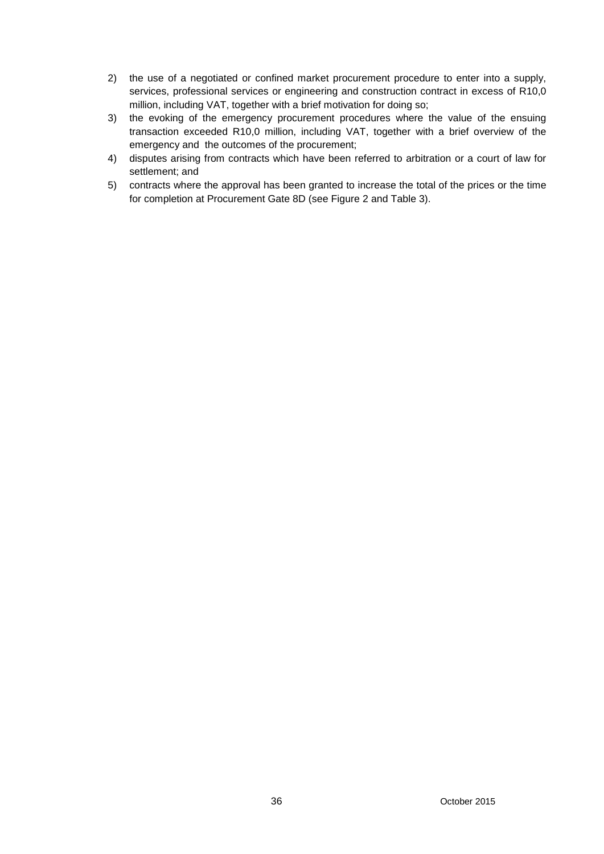- 2) the use of a negotiated or confined market procurement procedure to enter into a supply, services, professional services or engineering and construction contract in excess of R10,0 million, including VAT, together with a brief motivation for doing so;
- 3) the evoking of the emergency procurement procedures where the value of the ensuing transaction exceeded R10,0 million, including VAT, together with a brief overview of the emergency and the outcomes of the procurement;
- 4) disputes arising from contracts which have been referred to arbitration or a court of law for settlement; and
- 5) contracts where the approval has been granted to increase the total of the prices or the time for completion at Procurement Gate 8D (see Figure 2 and Table 3).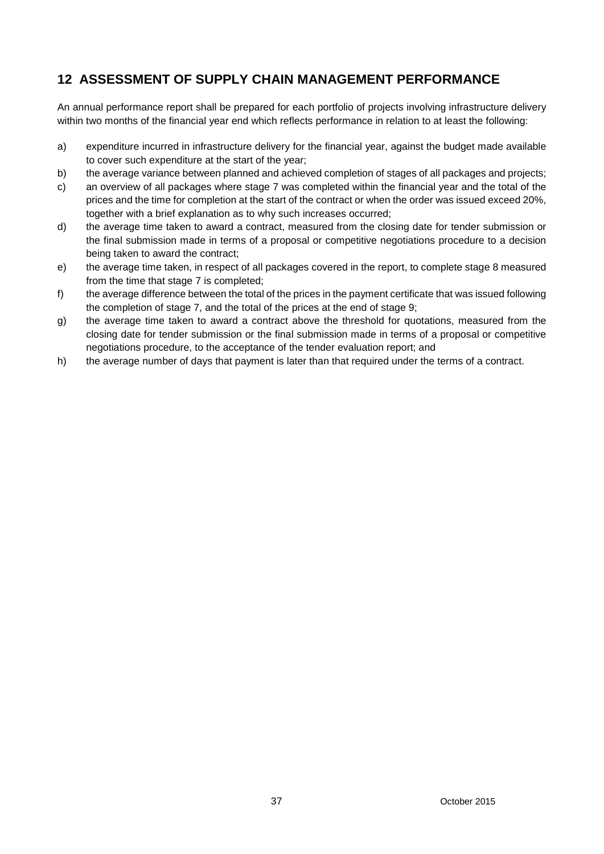# **12 ASSESSMENT OF SUPPLY CHAIN MANAGEMENT PERFORMANCE**

An annual performance report shall be prepared for each portfolio of projects involving infrastructure delivery within two months of the financial year end which reflects performance in relation to at least the following:

- a) expenditure incurred in infrastructure delivery for the financial year, against the budget made available to cover such expenditure at the start of the year;
- b) the average variance between planned and achieved completion of stages of all packages and projects;
- c) an overview of all packages where stage 7 was completed within the financial year and the total of the prices and the time for completion at the start of the contract or when the order was issued exceed 20%, together with a brief explanation as to why such increases occurred;
- d) the average time taken to award a contract, measured from the closing date for tender submission or the final submission made in terms of a proposal or competitive negotiations procedure to a decision being taken to award the contract;
- e) the average time taken, in respect of all packages covered in the report, to complete stage 8 measured from the time that stage 7 is completed;
- f) the average difference between the total of the prices in the payment certificate that was issued following the completion of stage 7, and the total of the prices at the end of stage 9;
- g) the average time taken to award a contract above the threshold for quotations, measured from the closing date for tender submission or the final submission made in terms of a proposal or competitive negotiations procedure, to the acceptance of the tender evaluation report; and
- h) the average number of days that payment is later than that required under the terms of a contract.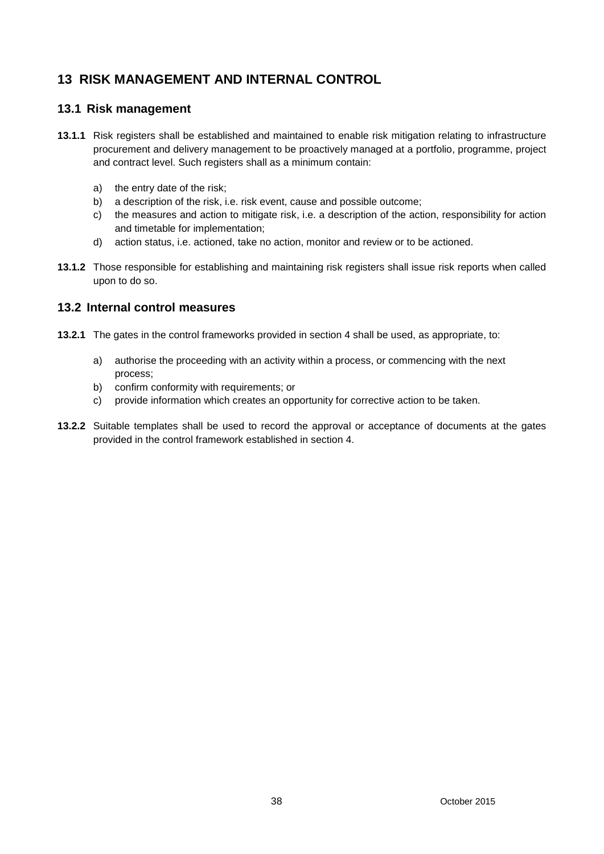# **13 RISK MANAGEMENT AND INTERNAL CONTROL**

### **13.1 Risk management**

- **13.1.1** Risk registers shall be established and maintained to enable risk mitigation relating to infrastructure procurement and delivery management to be proactively managed at a portfolio, programme, project and contract level. Such registers shall as a minimum contain:
	- a) the entry date of the risk;
	- b) a description of the risk, i.e. risk event, cause and possible outcome;
	- c) the measures and action to mitigate risk, i.e. a description of the action, responsibility for action and timetable for implementation;
	- d) action status, i.e. actioned, take no action, monitor and review or to be actioned.
- **13.1.2** Those responsible for establishing and maintaining risk registers shall issue risk reports when called upon to do so.

### **13.2 Internal control measures**

- **13.2.1** The gates in the control frameworks provided in section 4 shall be used, as appropriate, to:
	- a) authorise the proceeding with an activity within a process, or commencing with the next process;
	- b) confirm conformity with requirements; or
	- c) provide information which creates an opportunity for corrective action to be taken.
- **13.2.2** Suitable templates shall be used to record the approval or acceptance of documents at the gates provided in the control framework established in section 4.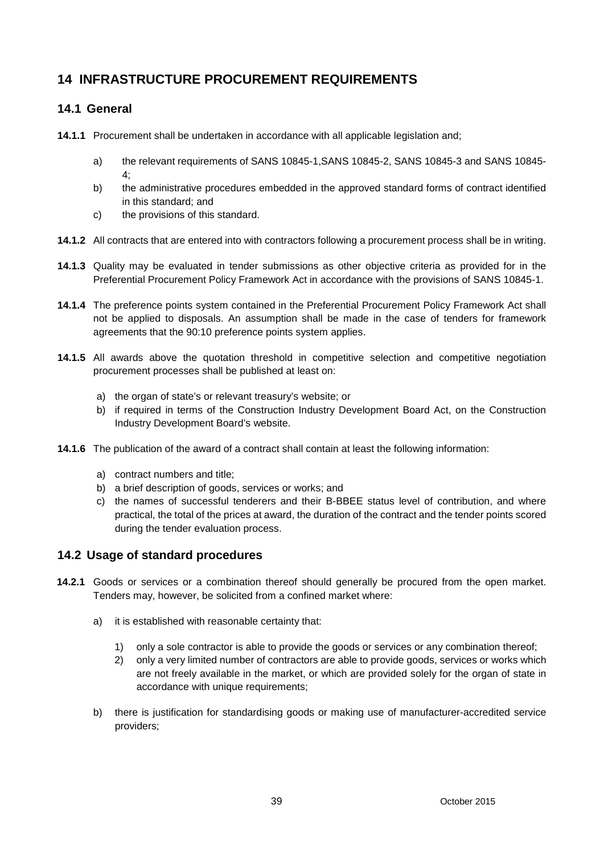# **14 INFRASTRUCTURE PROCUREMENT REQUIREMENTS**

## **14.1 General**

- **14.1.1** Procurement shall be undertaken in accordance with all applicable legislation and;
	- a) the relevant requirements of SANS 10845-1,SANS 10845-2, SANS 10845-3 and SANS 10845-  $4$
	- b) the administrative procedures embedded in the approved standard forms of contract identified in this standard; and
	- c) the provisions of this standard.
- **14.1.2** All contracts that are entered into with contractors following a procurement process shall be in writing.
- **14.1.3** Quality may be evaluated in tender submissions as other objective criteria as provided for in the Preferential Procurement Policy Framework Act in accordance with the provisions of SANS 10845-1.
- **14.1.4** The preference points system contained in the Preferential Procurement Policy Framework Act shall not be applied to disposals. An assumption shall be made in the case of tenders for framework agreements that the 90:10 preference points system applies.
- **14.1.5** All awards above the quotation threshold in competitive selection and competitive negotiation procurement processes shall be published at least on:
	- a) the organ of state's or relevant treasury's website; or
	- b) if required in terms of the Construction Industry Development Board Act, on the Construction Industry Development Board's website.
- **14.1.6** The publication of the award of a contract shall contain at least the following information:
	- a) contract numbers and title;
	- b) a brief description of goods, services or works; and
	- c) the names of successful tenderers and their B-BBEE status level of contribution, and where practical, the total of the prices at award, the duration of the contract and the tender points scored during the tender evaluation process.

### **14.2 Usage of standard procedures**

- **14.2.1** Goods or services or a combination thereof should generally be procured from the open market. Tenders may, however, be solicited from a confined market where:
	- a) it is established with reasonable certainty that:
		- 1) only a sole contractor is able to provide the goods or services or any combination thereof;
		- 2) only a very limited number of contractors are able to provide goods, services or works which are not freely available in the market, or which are provided solely for the organ of state in accordance with unique requirements;
	- b) there is justification for standardising goods or making use of manufacturer-accredited service providers;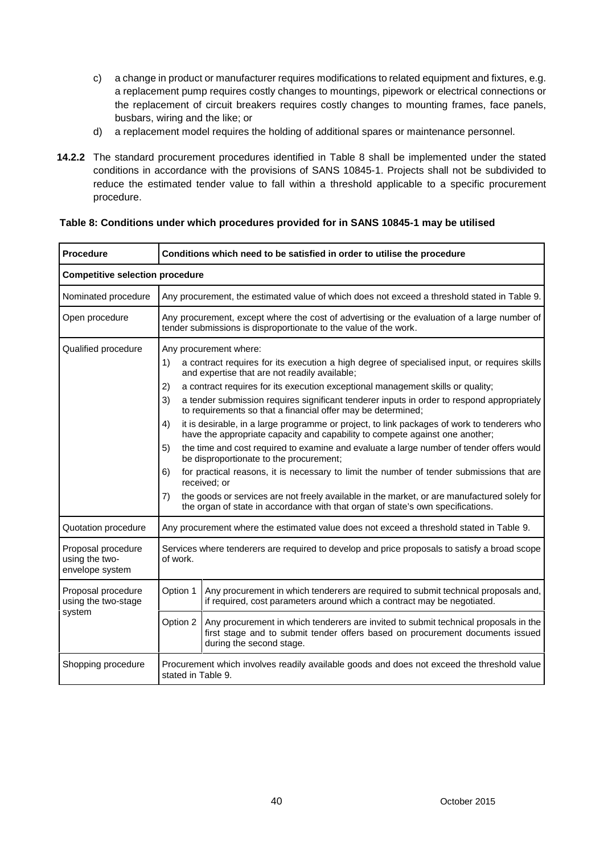- c) a change in product or manufacturer requires modifications to related equipment and fixtures, e.g. a replacement pump requires costly changes to mountings, pipework or electrical connections or the replacement of circuit breakers requires costly changes to mounting frames, face panels, busbars, wiring and the like; or
- d) a replacement model requires the holding of additional spares or maintenance personnel.
- **14.2.2** The standard procurement procedures identified in Table 8 shall be implemented under the stated conditions in accordance with the provisions of SANS 10845-1. Projects shall not be subdivided to reduce the estimated tender value to fall within a threshold applicable to a specific procurement procedure.

| Procedure                                               | Conditions which need to be satisfied in order to utilise the procedure                                                                                                                                                                                                                                                                                                                                                                                                                                                                                                                                                                                                                                                                                                                                                                                                                                                                                                                                                                                                                  |  |  |  |
|---------------------------------------------------------|------------------------------------------------------------------------------------------------------------------------------------------------------------------------------------------------------------------------------------------------------------------------------------------------------------------------------------------------------------------------------------------------------------------------------------------------------------------------------------------------------------------------------------------------------------------------------------------------------------------------------------------------------------------------------------------------------------------------------------------------------------------------------------------------------------------------------------------------------------------------------------------------------------------------------------------------------------------------------------------------------------------------------------------------------------------------------------------|--|--|--|
| <b>Competitive selection procedure</b>                  |                                                                                                                                                                                                                                                                                                                                                                                                                                                                                                                                                                                                                                                                                                                                                                                                                                                                                                                                                                                                                                                                                          |  |  |  |
| Nominated procedure                                     | Any procurement, the estimated value of which does not exceed a threshold stated in Table 9.                                                                                                                                                                                                                                                                                                                                                                                                                                                                                                                                                                                                                                                                                                                                                                                                                                                                                                                                                                                             |  |  |  |
| Open procedure                                          | Any procurement, except where the cost of advertising or the evaluation of a large number of<br>tender submissions is disproportionate to the value of the work.                                                                                                                                                                                                                                                                                                                                                                                                                                                                                                                                                                                                                                                                                                                                                                                                                                                                                                                         |  |  |  |
| Qualified procedure                                     | Any procurement where:<br>a contract requires for its execution a high degree of specialised input, or requires skills<br>1)<br>and expertise that are not readily available;<br>a contract requires for its execution exceptional management skills or quality;<br>2)<br>3)<br>a tender submission requires significant tenderer inputs in order to respond appropriately<br>to requirements so that a financial offer may be determined;<br>it is desirable, in a large programme or project, to link packages of work to tenderers who<br>4)<br>have the appropriate capacity and capability to compete against one another;<br>the time and cost required to examine and evaluate a large number of tender offers would<br>5)<br>be disproportionate to the procurement;<br>for practical reasons, it is necessary to limit the number of tender submissions that are<br>6)<br>received; or<br>the goods or services are not freely available in the market, or are manufactured solely for<br>7)<br>the organ of state in accordance with that organ of state's own specifications. |  |  |  |
| Quotation procedure                                     | Any procurement where the estimated value does not exceed a threshold stated in Table 9.                                                                                                                                                                                                                                                                                                                                                                                                                                                                                                                                                                                                                                                                                                                                                                                                                                                                                                                                                                                                 |  |  |  |
| Proposal procedure<br>using the two-<br>envelope system | Services where tenderers are required to develop and price proposals to satisfy a broad scope<br>of work.                                                                                                                                                                                                                                                                                                                                                                                                                                                                                                                                                                                                                                                                                                                                                                                                                                                                                                                                                                                |  |  |  |
| Proposal procedure<br>using the two-stage               | Option 1<br>Any procurement in which tenderers are required to submit technical proposals and,<br>if required, cost parameters around which a contract may be negotiated.                                                                                                                                                                                                                                                                                                                                                                                                                                                                                                                                                                                                                                                                                                                                                                                                                                                                                                                |  |  |  |
| system                                                  | Option 2<br>Any procurement in which tenderers are invited to submit technical proposals in the<br>first stage and to submit tender offers based on procurement documents issued<br>during the second stage.                                                                                                                                                                                                                                                                                                                                                                                                                                                                                                                                                                                                                                                                                                                                                                                                                                                                             |  |  |  |
| Shopping procedure                                      | Procurement which involves readily available goods and does not exceed the threshold value<br>stated in Table 9.                                                                                                                                                                                                                                                                                                                                                                                                                                                                                                                                                                                                                                                                                                                                                                                                                                                                                                                                                                         |  |  |  |

#### **Table 8: Conditions under which procedures provided for in SANS 10845-1 may be utilised**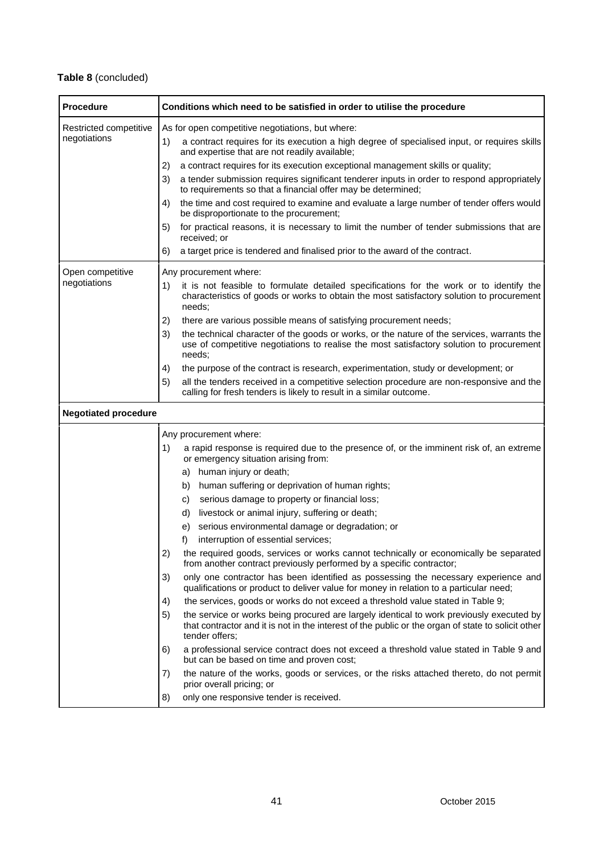# **Table 8** (concluded)

| <b>Procedure</b>                       | Conditions which need to be satisfied in order to utilise the procedure                                                                                                                                                                                                                                                                                                                                                                                                                                                                                                                                                                                                                                                                                                                                                                                                                                                                                                                                                                                                                                                                                      |
|----------------------------------------|--------------------------------------------------------------------------------------------------------------------------------------------------------------------------------------------------------------------------------------------------------------------------------------------------------------------------------------------------------------------------------------------------------------------------------------------------------------------------------------------------------------------------------------------------------------------------------------------------------------------------------------------------------------------------------------------------------------------------------------------------------------------------------------------------------------------------------------------------------------------------------------------------------------------------------------------------------------------------------------------------------------------------------------------------------------------------------------------------------------------------------------------------------------|
| Restricted competitive<br>negotiations | As for open competitive negotiations, but where:<br>a contract requires for its execution a high degree of specialised input, or requires skills<br>1)<br>and expertise that are not readily available;<br>a contract requires for its execution exceptional management skills or quality;<br>2)<br>a tender submission requires significant tenderer inputs in order to respond appropriately<br>3)<br>to requirements so that a financial offer may be determined;<br>the time and cost required to examine and evaluate a large number of tender offers would<br>4)<br>be disproportionate to the procurement;<br>for practical reasons, it is necessary to limit the number of tender submissions that are<br>5)<br>received; or<br>a target price is tendered and finalised prior to the award of the contract.<br>6)                                                                                                                                                                                                                                                                                                                                   |
| Open competitive<br>negotiations       | Any procurement where:<br>it is not feasible to formulate detailed specifications for the work or to identify the<br>1)<br>characteristics of goods or works to obtain the most satisfactory solution to procurement<br>needs;<br>there are various possible means of satisfying procurement needs;<br>2)<br>the technical character of the goods or works, or the nature of the services, warrants the<br>3)<br>use of competitive negotiations to realise the most satisfactory solution to procurement<br>needs;<br>the purpose of the contract is research, experimentation, study or development; or<br>4)<br>all the tenders received in a competitive selection procedure are non-responsive and the<br>5)<br>calling for fresh tenders is likely to result in a similar outcome.                                                                                                                                                                                                                                                                                                                                                                     |
| <b>Negotiated procedure</b>            |                                                                                                                                                                                                                                                                                                                                                                                                                                                                                                                                                                                                                                                                                                                                                                                                                                                                                                                                                                                                                                                                                                                                                              |
|                                        | Any procurement where:<br>a rapid response is required due to the presence of, or the imminent risk of, an extreme<br>1)<br>or emergency situation arising from:<br>a) human injury or death;<br>human suffering or deprivation of human rights;<br>b)<br>serious damage to property or financial loss;<br>C)<br>livestock or animal injury, suffering or death;<br>d)<br>serious environmental damage or degradation; or<br>e)<br>interruption of essential services;<br>f)<br>2)<br>the required goods, services or works cannot technically or economically be separated<br>from another contract previously performed by a specific contractor;<br>only one contractor has been identified as possessing the necessary experience and<br>3)<br>qualifications or product to deliver value for money in relation to a particular need;<br>the services, goods or works do not exceed a threshold value stated in Table 9;<br>4)<br>the service or works being procured are largely identical to work previously executed by<br>5)<br>that contractor and it is not in the interest of the public or the organ of state to solicit other<br>tender offers; |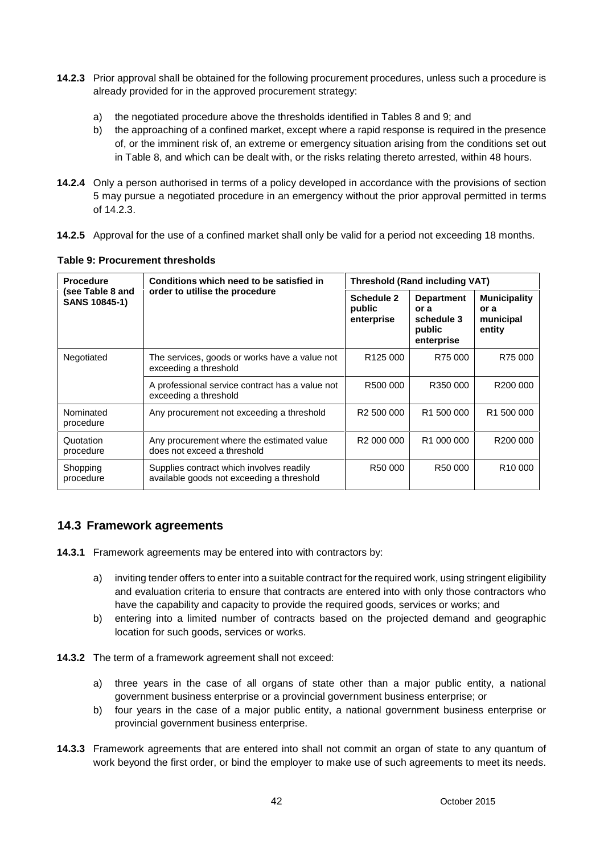- **14.2.3** Prior approval shall be obtained for the following procurement procedures, unless such a procedure is already provided for in the approved procurement strategy:
	- a) the negotiated procedure above the thresholds identified in Tables 8 and 9; and
	- b) the approaching of a confined market, except where a rapid response is required in the presence of, or the imminent risk of, an extreme or emergency situation arising from the conditions set out in Table 8, and which can be dealt with, or the risks relating thereto arrested, within 48 hours.
- **14.2.4** Only a person authorised in terms of a policy developed in accordance with the provisions of section 5 may pursue a negotiated procedure in an emergency without the prior approval permitted in terms of 14.2.3.
- **14.2.5** Approval for the use of a confined market shall only be valid for a period not exceeding 18 months.

| <b>Procedure</b>                  | Conditions which need to be satisfied in                                              | <b>Threshold (Rand including VAT)</b> |                                                                 |                                                    |
|-----------------------------------|---------------------------------------------------------------------------------------|---------------------------------------|-----------------------------------------------------------------|----------------------------------------------------|
| (see Table 8 and<br>SANS 10845-1) | order to utilise the procedure                                                        | Schedule 2<br>public<br>enterprise    | <b>Department</b><br>or a<br>schedule 3<br>public<br>enterprise | <b>Municipality</b><br>or a<br>municipal<br>entity |
| Negotiated                        | The services, goods or works have a value not<br>exceeding a threshold                | R <sub>125</sub> 000                  | R75 000                                                         | R75 000                                            |
|                                   | A professional service contract has a value not<br>exceeding a threshold              | R500 000                              | R350 000                                                        | R200 000                                           |
| Nominated<br>procedure            | Any procurement not exceeding a threshold                                             | R <sub>2</sub> 500 000                | R <sub>1</sub> 500 000                                          | R <sub>1</sub> 500 000                             |
| Quotation<br>procedure            | Any procurement where the estimated value<br>does not exceed a threshold              | R <sub>2</sub> 000 000                | R <sub>1</sub> 000 000                                          | R <sub>200</sub> 000                               |
| Shopping<br>procedure             | Supplies contract which involves readily<br>available goods not exceeding a threshold | R50 000                               | R <sub>50</sub> 000                                             | R <sub>10</sub> 000                                |

## **14.3 Framework agreements**

- **14.3.1** Framework agreements may be entered into with contractors by:
	- a) inviting tender offers to enter into a suitable contract for the required work, using stringent eligibility and evaluation criteria to ensure that contracts are entered into with only those contractors who have the capability and capacity to provide the required goods, services or works; and
	- b) entering into a limited number of contracts based on the projected demand and geographic location for such goods, services or works.
- **14.3.2** The term of a framework agreement shall not exceed:
	- a) three years in the case of all organs of state other than a major public entity, a national government business enterprise or a provincial government business enterprise; or
	- b) four years in the case of a major public entity, a national government business enterprise or provincial government business enterprise.
- **14.3.3** Framework agreements that are entered into shall not commit an organ of state to any quantum of work beyond the first order, or bind the employer to make use of such agreements to meet its needs.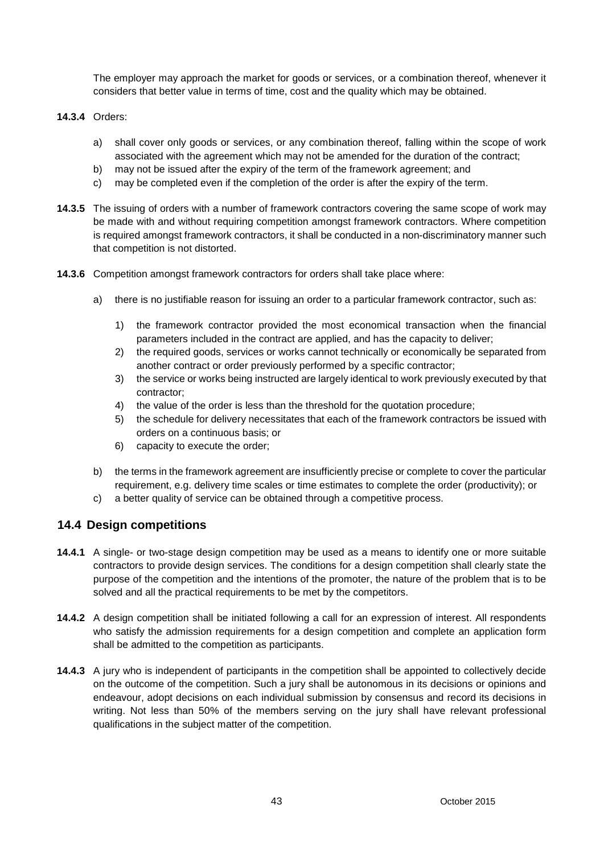The employer may approach the market for goods or services, or a combination thereof, whenever it considers that better value in terms of time, cost and the quality which may be obtained.

- **14.3.4** Orders:
	- a) shall cover only goods or services, or any combination thereof, falling within the scope of work associated with the agreement which may not be amended for the duration of the contract;
	- b) may not be issued after the expiry of the term of the framework agreement; and
	- c) may be completed even if the completion of the order is after the expiry of the term.
- **14.3.5** The issuing of orders with a number of framework contractors covering the same scope of work may be made with and without requiring competition amongst framework contractors. Where competition is required amongst framework contractors, it shall be conducted in a non-discriminatory manner such that competition is not distorted.
- **14.3.6** Competition amongst framework contractors for orders shall take place where:
	- a) there is no justifiable reason for issuing an order to a particular framework contractor, such as:
		- 1) the framework contractor provided the most economical transaction when the financial parameters included in the contract are applied, and has the capacity to deliver;
		- 2) the required goods, services or works cannot technically or economically be separated from another contract or order previously performed by a specific contractor;
		- 3) the service or works being instructed are largely identical to work previously executed by that contractor;
		- 4) the value of the order is less than the threshold for the quotation procedure;
		- 5) the schedule for delivery necessitates that each of the framework contractors be issued with orders on a continuous basis; or
		- 6) capacity to execute the order;
	- b) the terms in the framework agreement are insufficiently precise or complete to cover the particular requirement, e.g. delivery time scales or time estimates to complete the order (productivity); or
	- c) a better quality of service can be obtained through a competitive process.

### **14.4 Design competitions**

- **14.4.1** A single- or two-stage design competition may be used as a means to identify one or more suitable contractors to provide design services. The conditions for a design competition shall clearly state the purpose of the competition and the intentions of the promoter, the nature of the problem that is to be solved and all the practical requirements to be met by the competitors.
- **14.4.2** A design competition shall be initiated following a call for an expression of interest. All respondents who satisfy the admission requirements for a design competition and complete an application form shall be admitted to the competition as participants.
- **14.4.3** A jury who is independent of participants in the competition shall be appointed to collectively decide on the outcome of the competition. Such a jury shall be autonomous in its decisions or opinions and endeavour, adopt decisions on each individual submission by consensus and record its decisions in writing. Not less than 50% of the members serving on the jury shall have relevant professional qualifications in the subject matter of the competition.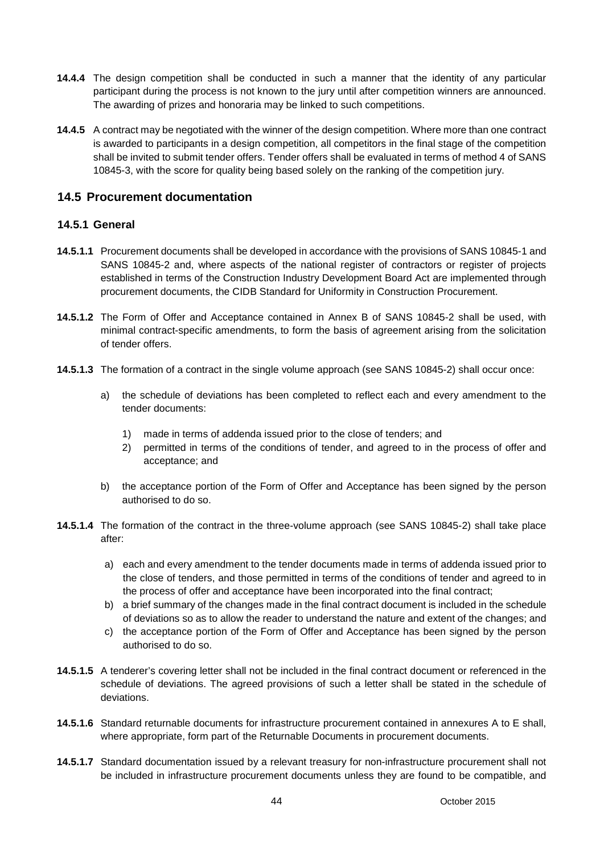- **14.4.4** The design competition shall be conducted in such a manner that the identity of any particular participant during the process is not known to the jury until after competition winners are announced. The awarding of prizes and honoraria may be linked to such competitions.
- **14.4.5** A contract may be negotiated with the winner of the design competition. Where more than one contract is awarded to participants in a design competition, all competitors in the final stage of the competition shall be invited to submit tender offers. Tender offers shall be evaluated in terms of method 4 of SANS 10845-3, with the score for quality being based solely on the ranking of the competition jury.

### **14.5 Procurement documentation**

### **14.5.1 General**

- **14.5.1.1** Procurement documents shall be developed in accordance with the provisions of SANS 10845-1 and SANS 10845-2 and, where aspects of the national register of contractors or register of projects established in terms of the Construction Industry Development Board Act are implemented through procurement documents, the CIDB Standard for Uniformity in Construction Procurement.
- **14.5.1.2** The Form of Offer and Acceptance contained in Annex B of SANS 10845-2 shall be used, with minimal contract-specific amendments, to form the basis of agreement arising from the solicitation of tender offers.
- **14.5.1.3** The formation of a contract in the single volume approach (see SANS 10845-2) shall occur once:
	- a) the schedule of deviations has been completed to reflect each and every amendment to the tender documents:
		- 1) made in terms of addenda issued prior to the close of tenders; and
		- 2) permitted in terms of the conditions of tender, and agreed to in the process of offer and acceptance; and
	- b) the acceptance portion of the Form of Offer and Acceptance has been signed by the person authorised to do so.
- **14.5.1.4** The formation of the contract in the three-volume approach (see SANS 10845-2) shall take place after:
	- a) each and every amendment to the tender documents made in terms of addenda issued prior to the close of tenders, and those permitted in terms of the conditions of tender and agreed to in the process of offer and acceptance have been incorporated into the final contract;
	- b) a brief summary of the changes made in the final contract document is included in the schedule of deviations so as to allow the reader to understand the nature and extent of the changes; and
	- c) the acceptance portion of the Form of Offer and Acceptance has been signed by the person authorised to do so.
- **14.5.1.5** A tenderer's covering letter shall not be included in the final contract document or referenced in the schedule of deviations. The agreed provisions of such a letter shall be stated in the schedule of deviations.
- **14.5.1.6** Standard returnable documents for infrastructure procurement contained in annexures A to E shall, where appropriate, form part of the Returnable Documents in procurement documents.
- **14.5.1.7** Standard documentation issued by a relevant treasury for non-infrastructure procurement shall not be included in infrastructure procurement documents unless they are found to be compatible, and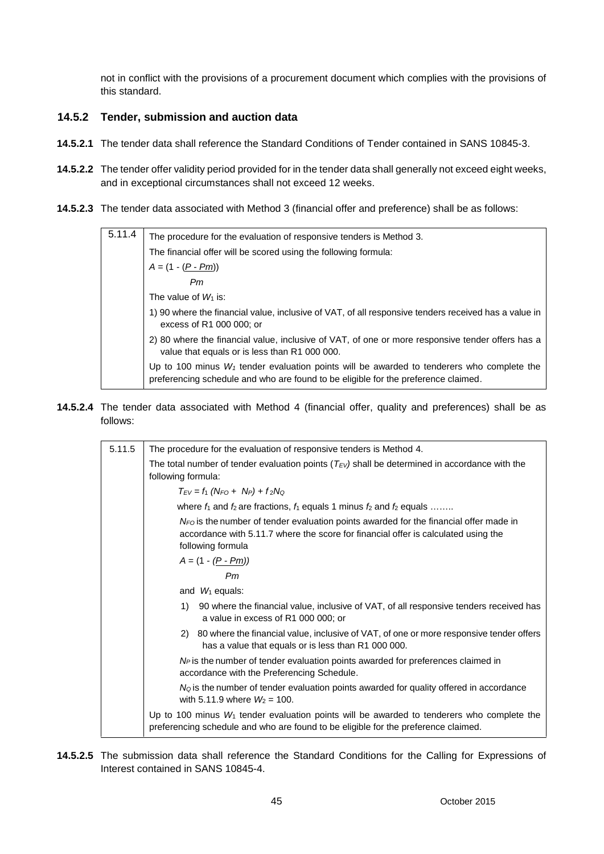not in conflict with the provisions of a procurement document which complies with the provisions of this standard.

#### **14.5.2 Tender, submission and auction data**

- **14.5.2.1** The tender data shall reference the Standard Conditions of Tender contained in SANS 10845-3.
- **14.5.2.2** The tender offer validity period provided for in the tender data shall generally not exceed eight weeks, and in exceptional circumstances shall not exceed 12 weeks.
- **14.5.2.3** The tender data associated with Method 3 (financial offer and preference) shall be as follows:

| 5.11.4 | The procedure for the evaluation of responsive tenders is Method 3.                                                                                                                |
|--------|------------------------------------------------------------------------------------------------------------------------------------------------------------------------------------|
|        | The financial offer will be scored using the following formula:                                                                                                                    |
|        | $A = (1 - (P - Pm))$                                                                                                                                                               |
|        | Pm                                                                                                                                                                                 |
|        | The value of $W_1$ is:                                                                                                                                                             |
|        | 1) 90 where the financial value, inclusive of VAT, of all responsive tenders received has a value in<br>excess of R1 000 000; or                                                   |
|        | 2) 80 where the financial value, inclusive of VAT, of one or more responsive tender offers has a<br>value that equals or is less than R1 000 000.                                  |
|        | Up to 100 minus $W_1$ tender evaluation points will be awarded to tenderers who complete the<br>preferencing schedule and who are found to be eligible for the preference claimed. |
|        |                                                                                                                                                                                    |

**14.5.2.4** The tender data associated with Method 4 (financial offer, quality and preferences) shall be as follows:

| 5.11.5 | The procedure for the evaluation of responsive tenders is Method 4.                                                                                                                                   |  |  |  |  |
|--------|-------------------------------------------------------------------------------------------------------------------------------------------------------------------------------------------------------|--|--|--|--|
|        | The total number of tender evaluation points ( $T_{EV}$ ) shall be determined in accordance with the<br>following formula:                                                                            |  |  |  |  |
|        | $T_{EV} = f_1 (N_{FO} + N_P) + f_2 N_Q$                                                                                                                                                               |  |  |  |  |
|        | where $f_1$ and $f_2$ are fractions, $f_1$ equals 1 minus $f_2$ and $f_2$ equals                                                                                                                      |  |  |  |  |
|        | $N_{FO}$ is the number of tender evaluation points awarded for the financial offer made in<br>accordance with 5.11.7 where the score for financial offer is calculated using the<br>following formula |  |  |  |  |
|        | $A = (1 - (P - Pm))$                                                                                                                                                                                  |  |  |  |  |
|        | Pm                                                                                                                                                                                                    |  |  |  |  |
|        | and $W_1$ equals:                                                                                                                                                                                     |  |  |  |  |
|        | 90 where the financial value, inclusive of VAT, of all responsive tenders received has<br>1)<br>a value in excess of R1 000 000; or                                                                   |  |  |  |  |
|        | 80 where the financial value, inclusive of VAT, of one or more responsive tender offers<br>2)<br>has a value that equals or is less than R1 000 000.                                                  |  |  |  |  |
|        | N <sub>P</sub> is the number of tender evaluation points awarded for preferences claimed in<br>accordance with the Preferencing Schedule.                                                             |  |  |  |  |
|        | $N_Q$ is the number of tender evaluation points awarded for quality offered in accordance<br>with 5.11.9 where $W_2 = 100$ .                                                                          |  |  |  |  |
|        | Up to 100 minus $W_1$ tender evaluation points will be awarded to tenderers who complete the<br>preferencing schedule and who are found to be eligible for the preference claimed.                    |  |  |  |  |

**14.5.2.5** The submission data shall reference the Standard Conditions for the Calling for Expressions of Interest contained in SANS 10845-4.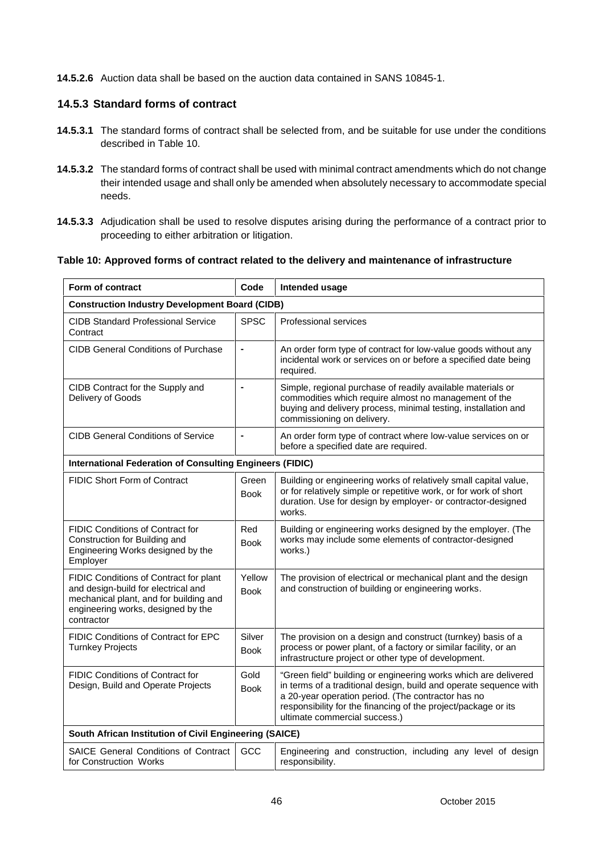**14.5.2.6** Auction data shall be based on the auction data contained in SANS 10845-1.

#### **14.5.3 Standard forms of contract**

- **14.5.3.1** The standard forms of contract shall be selected from, and be suitable for use under the conditions described in Table 10.
- **14.5.3.2** The standard forms of contract shall be used with minimal contract amendments which do not change their intended usage and shall only be amended when absolutely necessary to accommodate special needs.
- **14.5.3.3** Adjudication shall be used to resolve disputes arising during the performance of a contract prior to proceeding to either arbitration or litigation.

#### **Table 10: Approved forms of contract related to the delivery and maintenance of infrastructure**

| Form of contract                                                                                                                                                            | Code                         | Intended usage                                                                                                                                                                                                                                                                                |  |  |
|-----------------------------------------------------------------------------------------------------------------------------------------------------------------------------|------------------------------|-----------------------------------------------------------------------------------------------------------------------------------------------------------------------------------------------------------------------------------------------------------------------------------------------|--|--|
| <b>Construction Industry Development Board (CIDB)</b>                                                                                                                       |                              |                                                                                                                                                                                                                                                                                               |  |  |
| <b>CIDB Standard Professional Service</b><br>Contract                                                                                                                       | <b>SPSC</b>                  | Professional services                                                                                                                                                                                                                                                                         |  |  |
| <b>CIDB General Conditions of Purchase</b>                                                                                                                                  | ä,                           | An order form type of contract for low-value goods without any<br>incidental work or services on or before a specified date being<br>required.                                                                                                                                                |  |  |
| CIDB Contract for the Supply and<br>Delivery of Goods                                                                                                                       | $\qquad \qquad \blacksquare$ | Simple, regional purchase of readily available materials or<br>commodities which require almost no management of the<br>buying and delivery process, minimal testing, installation and<br>commissioning on delivery.                                                                          |  |  |
| <b>CIDB General Conditions of Service</b>                                                                                                                                   | $\blacksquare$               | An order form type of contract where low-value services on or<br>before a specified date are required.                                                                                                                                                                                        |  |  |
| <b>International Federation of Consulting Engineers (FIDIC)</b>                                                                                                             |                              |                                                                                                                                                                                                                                                                                               |  |  |
| <b>FIDIC Short Form of Contract</b>                                                                                                                                         | Green<br><b>Book</b>         | Building or engineering works of relatively small capital value,<br>or for relatively simple or repetitive work, or for work of short<br>duration. Use for design by employer- or contractor-designed<br>works.                                                                               |  |  |
| <b>FIDIC Conditions of Contract for</b><br>Construction for Building and<br>Engineering Works designed by the<br>Employer                                                   | Red<br><b>Book</b>           | Building or engineering works designed by the employer. (The<br>works may include some elements of contractor-designed<br>works.)                                                                                                                                                             |  |  |
| FIDIC Conditions of Contract for plant<br>and design-build for electrical and<br>mechanical plant, and for building and<br>engineering works, designed by the<br>contractor | Yellow<br><b>Book</b>        | The provision of electrical or mechanical plant and the design<br>and construction of building or engineering works.                                                                                                                                                                          |  |  |
| FIDIC Conditions of Contract for EPC<br><b>Turnkey Projects</b>                                                                                                             | Silver<br><b>Book</b>        | The provision on a design and construct (turnkey) basis of a<br>process or power plant, of a factory or similar facility, or an<br>infrastructure project or other type of development.                                                                                                       |  |  |
| FIDIC Conditions of Contract for<br>Design, Build and Operate Projects                                                                                                      | Gold<br><b>Book</b>          | "Green field" building or engineering works which are delivered<br>in terms of a traditional design, build and operate sequence with<br>a 20-year operation period. (The contractor has no<br>responsibility for the financing of the project/package or its<br>ultimate commercial success.) |  |  |
| South African Institution of Civil Engineering (SAICE)                                                                                                                      |                              |                                                                                                                                                                                                                                                                                               |  |  |
| SAICE General Conditions of Contract<br>for Construction Works                                                                                                              | GCC                          | Engineering and construction, including any level of design<br>responsibility.                                                                                                                                                                                                                |  |  |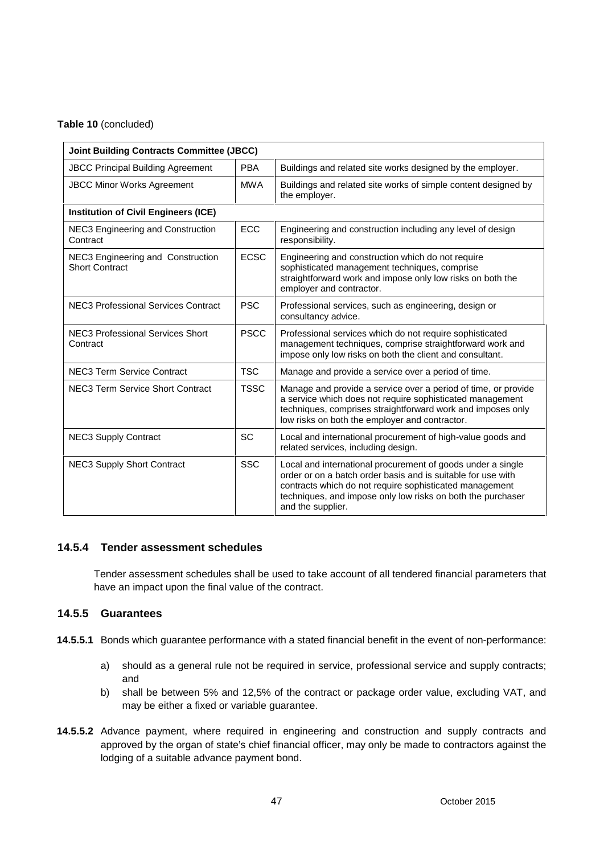#### **Table 10** (concluded)

| <b>Joint Building Contracts Committee (JBCC)</b>           |             |                                                                                                                                                                                                                                                                            |  |
|------------------------------------------------------------|-------------|----------------------------------------------------------------------------------------------------------------------------------------------------------------------------------------------------------------------------------------------------------------------------|--|
| <b>JBCC Principal Building Agreement</b>                   | <b>PBA</b>  | Buildings and related site works designed by the employer.                                                                                                                                                                                                                 |  |
| <b>MWA</b><br><b>JBCC Minor Works Agreement</b>            |             | Buildings and related site works of simple content designed by<br>the employer.                                                                                                                                                                                            |  |
| <b>Institution of Civil Engineers (ICE)</b>                |             |                                                                                                                                                                                                                                                                            |  |
| NEC3 Engineering and Construction<br>Contract              | <b>ECC</b>  | Engineering and construction including any level of design<br>responsibility.                                                                                                                                                                                              |  |
| NEC3 Engineering and Construction<br><b>Short Contract</b> | <b>ECSC</b> | Engineering and construction which do not require<br>sophisticated management techniques, comprise<br>straightforward work and impose only low risks on both the<br>employer and contractor.                                                                               |  |
| <b>NEC3 Professional Services Contract</b>                 | <b>PSC</b>  | Professional services, such as engineering, design or<br>consultancy advice.                                                                                                                                                                                               |  |
| <b>NEC3 Professional Services Short</b><br>Contract        | <b>PSCC</b> | Professional services which do not require sophisticated<br>management techniques, comprise straightforward work and<br>impose only low risks on both the client and consultant.                                                                                           |  |
| <b>NEC3 Term Service Contract</b>                          | <b>TSC</b>  | Manage and provide a service over a period of time.                                                                                                                                                                                                                        |  |
| NEC3 Term Service Short Contract                           | <b>TSSC</b> | Manage and provide a service over a period of time, or provide<br>a service which does not require sophisticated management<br>techniques, comprises straightforward work and imposes only<br>low risks on both the employer and contractor.                               |  |
| <b>NEC3 Supply Contract</b>                                | SC          | Local and international procurement of high-value goods and<br>related services, including design.                                                                                                                                                                         |  |
| <b>NEC3 Supply Short Contract</b>                          | <b>SSC</b>  | Local and international procurement of goods under a single<br>order or on a batch order basis and is suitable for use with<br>contracts which do not require sophisticated management<br>techniques, and impose only low risks on both the purchaser<br>and the supplier. |  |

#### **14.5.4 Tender assessment schedules**

Tender assessment schedules shall be used to take account of all tendered financial parameters that have an impact upon the final value of the contract.

#### **14.5.5 Guarantees**

- **14.5.5.1** Bonds which guarantee performance with a stated financial benefit in the event of non-performance:
	- a) should as a general rule not be required in service, professional service and supply contracts; and
	- b) shall be between 5% and 12,5% of the contract or package order value, excluding VAT, and may be either a fixed or variable guarantee.
- **14.5.5.2** Advance payment, where required in engineering and construction and supply contracts and approved by the organ of state's chief financial officer, may only be made to contractors against the lodging of a suitable advance payment bond.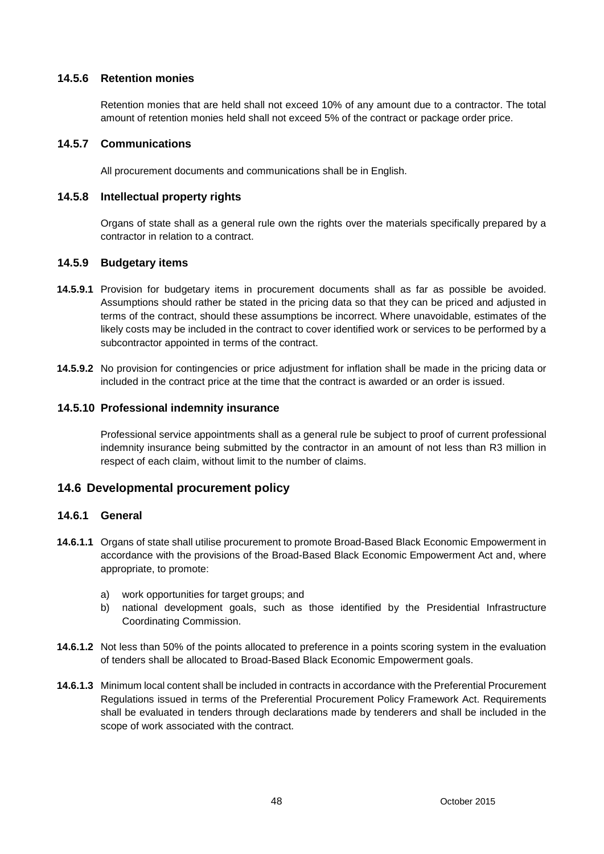#### **14.5.6 Retention monies**

Retention monies that are held shall not exceed 10% of any amount due to a contractor. The total amount of retention monies held shall not exceed 5% of the contract or package order price.

#### **14.5.7 Communications**

All procurement documents and communications shall be in English.

#### **14.5.8 Intellectual property rights**

Organs of state shall as a general rule own the rights over the materials specifically prepared by a contractor in relation to a contract.

#### **14.5.9 Budgetary items**

- **14.5.9.1** Provision for budgetary items in procurement documents shall as far as possible be avoided. Assumptions should rather be stated in the pricing data so that they can be priced and adjusted in terms of the contract, should these assumptions be incorrect. Where unavoidable, estimates of the likely costs may be included in the contract to cover identified work or services to be performed by a subcontractor appointed in terms of the contract.
- **14.5.9.2** No provision for contingencies or price adjustment for inflation shall be made in the pricing data or included in the contract price at the time that the contract is awarded or an order is issued.

#### **14.5.10 Professional indemnity insurance**

Professional service appointments shall as a general rule be subject to proof of current professional indemnity insurance being submitted by the contractor in an amount of not less than R3 million in respect of each claim, without limit to the number of claims.

### **14.6 Developmental procurement policy**

#### **14.6.1 General**

- **14.6.1.1** Organs of state shall utilise procurement to promote Broad-Based Black Economic Empowerment in accordance with the provisions of the Broad-Based Black Economic Empowerment Act and, where appropriate, to promote:
	- a) work opportunities for target groups; and
	- b) national development goals, such as those identified by the Presidential Infrastructure Coordinating Commission.
- **14.6.1.2** Not less than 50% of the points allocated to preference in a points scoring system in the evaluation of tenders shall be allocated to Broad-Based Black Economic Empowerment goals.
- **14.6.1.3** Minimum local content shall be included in contracts in accordance with the Preferential Procurement Regulations issued in terms of the Preferential Procurement Policy Framework Act. Requirements shall be evaluated in tenders through declarations made by tenderers and shall be included in the scope of work associated with the contract.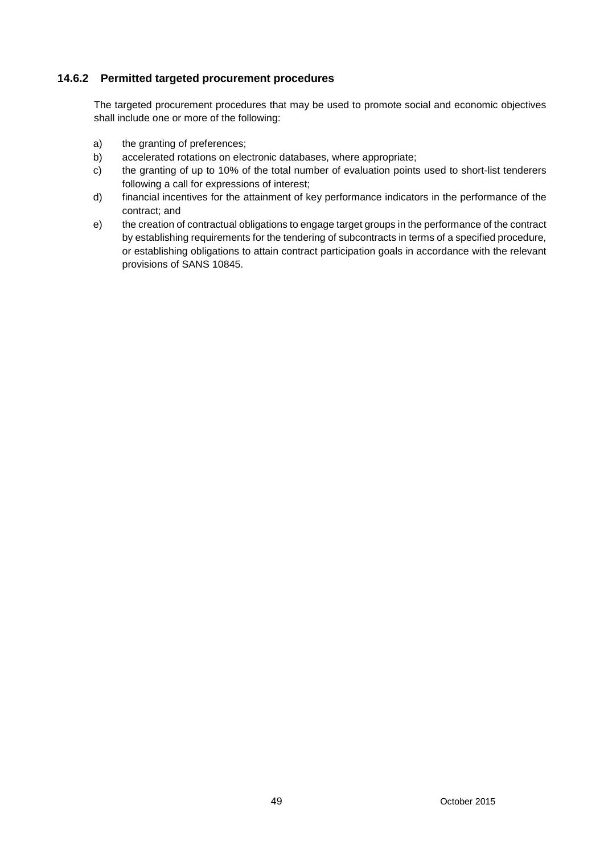### **14.6.2 Permitted targeted procurement procedures**

The targeted procurement procedures that may be used to promote social and economic objectives shall include one or more of the following:

- a) the granting of preferences;
- b) accelerated rotations on electronic databases, where appropriate;
- c) the granting of up to 10% of the total number of evaluation points used to short-list tenderers following a call for expressions of interest;
- d) financial incentives for the attainment of key performance indicators in the performance of the contract; and
- e) the creation of contractual obligations to engage target groups in the performance of the contract by establishing requirements for the tendering of subcontracts in terms of a specified procedure, or establishing obligations to attain contract participation goals in accordance with the relevant provisions of SANS 10845.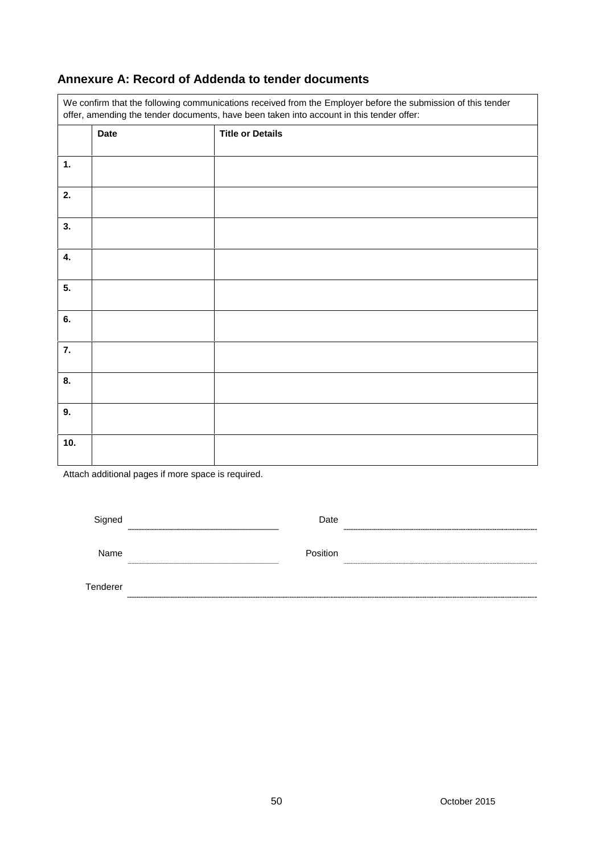# **Annexure A: Record of Addenda to tender documents**

| We confirm that the following communications received from the Employer before the submission of this tender<br>offer, amending the tender documents, have been taken into account in this tender offer: |             |                         |  |
|----------------------------------------------------------------------------------------------------------------------------------------------------------------------------------------------------------|-------------|-------------------------|--|
|                                                                                                                                                                                                          | <b>Date</b> | <b>Title or Details</b> |  |
| 1.                                                                                                                                                                                                       |             |                         |  |
| 2.                                                                                                                                                                                                       |             |                         |  |
| 3.                                                                                                                                                                                                       |             |                         |  |
| 4.                                                                                                                                                                                                       |             |                         |  |
| 5.                                                                                                                                                                                                       |             |                         |  |
| 6.                                                                                                                                                                                                       |             |                         |  |
| 7.                                                                                                                                                                                                       |             |                         |  |
| 8.                                                                                                                                                                                                       |             |                         |  |
| 9.                                                                                                                                                                                                       |             |                         |  |
| 10.                                                                                                                                                                                                      |             |                         |  |

Attach additional pages if more space is required.

| Signed   | Date     |  |
|----------|----------|--|
| Name     | Position |  |
| Tenderer |          |  |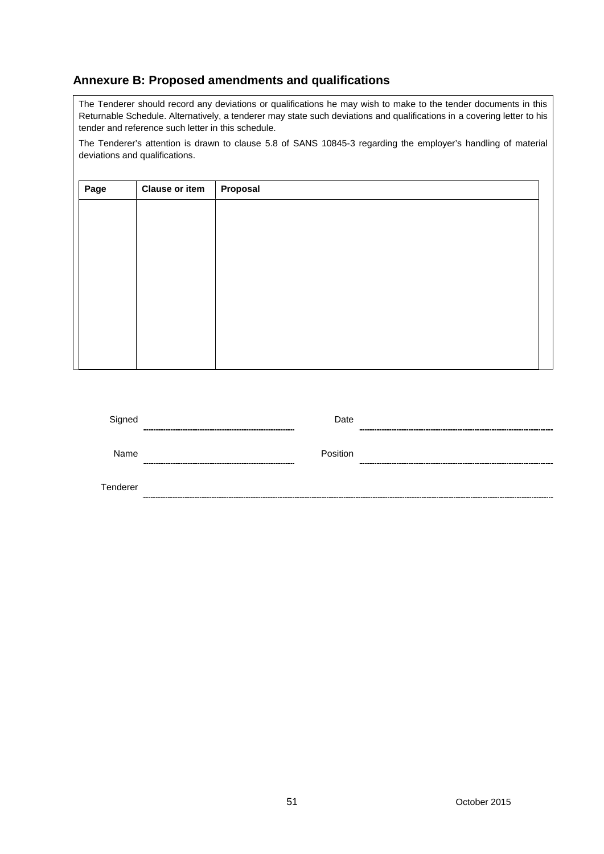# **Annexure B: Proposed amendments and qualifications**

The Tenderer should record any deviations or qualifications he may wish to make to the tender documents in this Returnable Schedule. Alternatively, a tenderer may state such deviations and qualifications in a covering letter to his tender and reference such letter in this schedule.

The Tenderer's attention is drawn to clause 5.8 of SANS 10845-3 regarding the employer's handling of material deviations and qualifications.

| Page | <b>Clause or item</b> | Proposal |
|------|-----------------------|----------|
|      |                       |          |
|      |                       |          |
|      |                       |          |
|      |                       |          |
|      |                       |          |
|      |                       |          |
|      |                       |          |
|      |                       |          |
|      |                       |          |

| Signed   | Date     | ---------          |
|----------|----------|--------------------|
| Name     | Position | --------<br>------ |
| Tenderer |          |                    |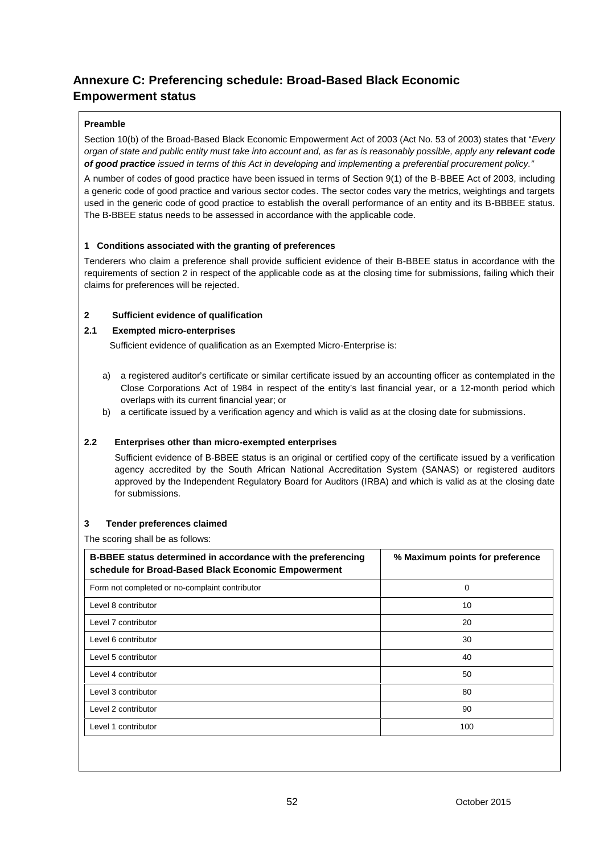# **Annexure C: Preferencing schedule: Broad-Based Black Economic Empowerment status**

#### **Preamble**

Section 10(b) of the Broad-Based Black Economic Empowerment Act of 2003 (Act No. 53 of 2003) states that "*Every organ of state and public entity must take into account and, as far as is reasonably possible, apply any relevant code of good practice issued in terms of this Act in developing and implementing a preferential procurement policy."*

A number of codes of good practice have been issued in terms of Section 9(1) of the B-BBEE Act of 2003, including a generic code of good practice and various sector codes. The sector codes vary the metrics, weightings and targets used in the generic code of good practice to establish the overall performance of an entity and its B-BBBEE status. The B-BBEE status needs to be assessed in accordance with the applicable code.

#### **1 Conditions associated with the granting of preferences**

Tenderers who claim a preference shall provide sufficient evidence of their B-BBEE status in accordance with the requirements of section 2 in respect of the applicable code as at the closing time for submissions, failing which their claims for preferences will be rejected.

#### **2 Sufficient evidence of qualification**

#### **2.1 Exempted micro-enterprises**

Sufficient evidence of qualification as an Exempted Micro-Enterprise is:

- a) a registered auditor's certificate or similar certificate issued by an accounting officer as contemplated in the Close Corporations Act of 1984 in respect of the entity's last financial year, or a 12-month period which overlaps with its current financial year; or
- b) a certificate issued by a verification agency and which is valid as at the closing date for submissions.

#### **2.2 Enterprises other than micro-exempted enterprises**

Sufficient evidence of B-BBEE status is an original or certified copy of the certificate issued by a verification agency accredited by the South African National Accreditation System (SANAS) or registered auditors approved by the Independent Regulatory Board for Auditors (IRBA) and which is valid as at the closing date for submissions.

#### **3 Tender preferences claimed**

The scoring shall be as follows:

| B-BBEE status determined in accordance with the preferencing<br>schedule for Broad-Based Black Economic Empowerment | % Maximum points for preference |  |  |
|---------------------------------------------------------------------------------------------------------------------|---------------------------------|--|--|
| Form not completed or no-complaint contributor                                                                      | 0                               |  |  |
| Level 8 contributor                                                                                                 | 10                              |  |  |
| Level 7 contributor                                                                                                 | 20                              |  |  |
| Level 6 contributor                                                                                                 | 30                              |  |  |
| Level 5 contributor                                                                                                 | 40                              |  |  |
| Level 4 contributor                                                                                                 | 50                              |  |  |
| Level 3 contributor                                                                                                 | 80                              |  |  |
| Level 2 contributor                                                                                                 | 90                              |  |  |
| Level 1 contributor                                                                                                 | 100                             |  |  |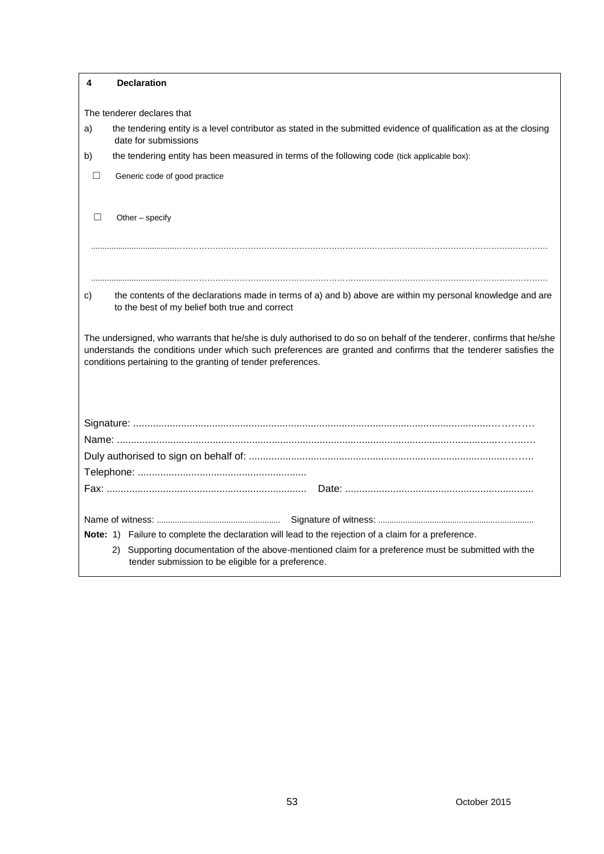| 4                          | <b>Declaration</b>                                                                                                                                                                                                                                                                                        |  |  |  |
|----------------------------|-----------------------------------------------------------------------------------------------------------------------------------------------------------------------------------------------------------------------------------------------------------------------------------------------------------|--|--|--|
|                            |                                                                                                                                                                                                                                                                                                           |  |  |  |
| The tenderer declares that |                                                                                                                                                                                                                                                                                                           |  |  |  |
| a)                         | the tendering entity is a level contributor as stated in the submitted evidence of qualification as at the closing<br>date for submissions                                                                                                                                                                |  |  |  |
| b)                         | the tendering entity has been measured in terms of the following code (tick applicable box):                                                                                                                                                                                                              |  |  |  |
|                            | Generic code of good practice                                                                                                                                                                                                                                                                             |  |  |  |
|                            | Other - specify                                                                                                                                                                                                                                                                                           |  |  |  |
|                            |                                                                                                                                                                                                                                                                                                           |  |  |  |
|                            |                                                                                                                                                                                                                                                                                                           |  |  |  |
|                            |                                                                                                                                                                                                                                                                                                           |  |  |  |
| C)                         | the contents of the declarations made in terms of a) and b) above are within my personal knowledge and are<br>to the best of my belief both true and correct                                                                                                                                              |  |  |  |
|                            | The undersigned, who warrants that he/she is duly authorised to do so on behalf of the tenderer, confirms that he/she<br>understands the conditions under which such preferences are granted and confirms that the tenderer satisfies the<br>conditions pertaining to the granting of tender preferences. |  |  |  |
|                            |                                                                                                                                                                                                                                                                                                           |  |  |  |
|                            |                                                                                                                                                                                                                                                                                                           |  |  |  |
|                            |                                                                                                                                                                                                                                                                                                           |  |  |  |
|                            |                                                                                                                                                                                                                                                                                                           |  |  |  |
|                            |                                                                                                                                                                                                                                                                                                           |  |  |  |
|                            |                                                                                                                                                                                                                                                                                                           |  |  |  |
|                            | Note: 1) Failure to complete the declaration will lead to the rejection of a claim for a preference.                                                                                                                                                                                                      |  |  |  |
|                            | Supporting documentation of the above-mentioned claim for a preference must be submitted with the<br>2)<br>tender submission to be eligible for a preference.                                                                                                                                             |  |  |  |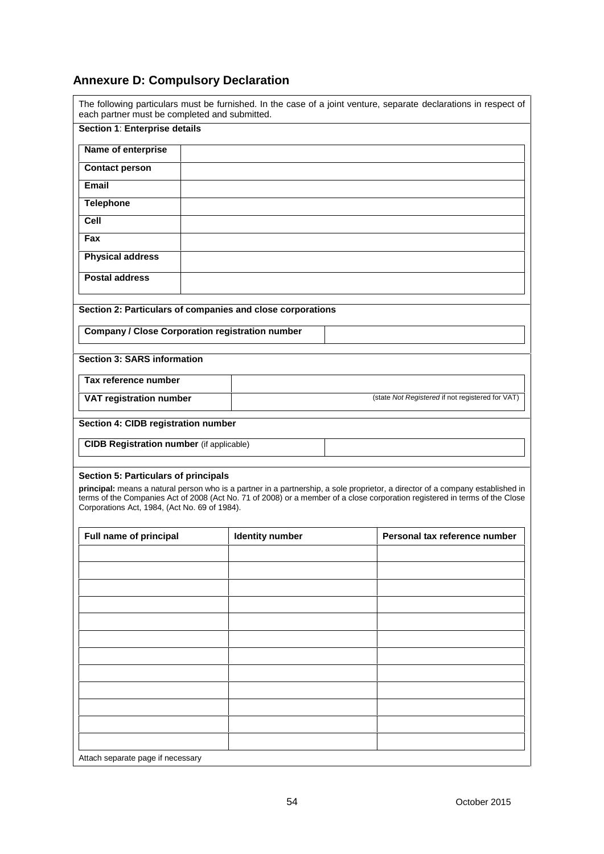# **Annexure D: Compulsory Declaration**

| Section 1: Enterprise details                                                                                                                                                   |                                                            |                                                                                                                                                                                                                                                                                                |
|---------------------------------------------------------------------------------------------------------------------------------------------------------------------------------|------------------------------------------------------------|------------------------------------------------------------------------------------------------------------------------------------------------------------------------------------------------------------------------------------------------------------------------------------------------|
| Name of enterprise                                                                                                                                                              |                                                            |                                                                                                                                                                                                                                                                                                |
| <b>Contact person</b>                                                                                                                                                           |                                                            |                                                                                                                                                                                                                                                                                                |
| Email                                                                                                                                                                           |                                                            |                                                                                                                                                                                                                                                                                                |
| <b>Telephone</b>                                                                                                                                                                |                                                            |                                                                                                                                                                                                                                                                                                |
| Cell                                                                                                                                                                            |                                                            |                                                                                                                                                                                                                                                                                                |
| Fax                                                                                                                                                                             |                                                            |                                                                                                                                                                                                                                                                                                |
| <b>Physical address</b>                                                                                                                                                         |                                                            |                                                                                                                                                                                                                                                                                                |
|                                                                                                                                                                                 |                                                            |                                                                                                                                                                                                                                                                                                |
| <b>Postal address</b>                                                                                                                                                           |                                                            |                                                                                                                                                                                                                                                                                                |
|                                                                                                                                                                                 |                                                            |                                                                                                                                                                                                                                                                                                |
|                                                                                                                                                                                 | Section 2: Particulars of companies and close corporations |                                                                                                                                                                                                                                                                                                |
| <b>Company / Close Corporation registration number</b>                                                                                                                          |                                                            |                                                                                                                                                                                                                                                                                                |
| <b>Section 3: SARS information</b>                                                                                                                                              |                                                            |                                                                                                                                                                                                                                                                                                |
| Tax reference number                                                                                                                                                            |                                                            |                                                                                                                                                                                                                                                                                                |
| VAT registration number                                                                                                                                                         |                                                            | (state Not Registered if not registered for VAT)                                                                                                                                                                                                                                               |
|                                                                                                                                                                                 |                                                            |                                                                                                                                                                                                                                                                                                |
|                                                                                                                                                                                 |                                                            |                                                                                                                                                                                                                                                                                                |
|                                                                                                                                                                                 |                                                            |                                                                                                                                                                                                                                                                                                |
|                                                                                                                                                                                 |                                                            |                                                                                                                                                                                                                                                                                                |
|                                                                                                                                                                                 |                                                            |                                                                                                                                                                                                                                                                                                |
| Section 4: CIDB registration number<br><b>CIDB Registration number</b> (if applicable)<br>Section 5: Particulars of principals<br>Corporations Act, 1984, (Act No. 69 of 1984). |                                                            | principal: means a natural person who is a partner in a partnership, a sole proprietor, a director of a company established in<br>terms of the Companies Act of 2008 (Act No. 71 of 2008) or a member of a close corporation registered in terms of the Close<br>Personal tax reference number |
| Full name of principal                                                                                                                                                          | <b>Identity number</b>                                     |                                                                                                                                                                                                                                                                                                |
|                                                                                                                                                                                 |                                                            |                                                                                                                                                                                                                                                                                                |
|                                                                                                                                                                                 |                                                            |                                                                                                                                                                                                                                                                                                |
|                                                                                                                                                                                 |                                                            |                                                                                                                                                                                                                                                                                                |
|                                                                                                                                                                                 |                                                            |                                                                                                                                                                                                                                                                                                |
|                                                                                                                                                                                 |                                                            |                                                                                                                                                                                                                                                                                                |
|                                                                                                                                                                                 |                                                            |                                                                                                                                                                                                                                                                                                |
|                                                                                                                                                                                 |                                                            |                                                                                                                                                                                                                                                                                                |
|                                                                                                                                                                                 |                                                            |                                                                                                                                                                                                                                                                                                |
|                                                                                                                                                                                 |                                                            |                                                                                                                                                                                                                                                                                                |
|                                                                                                                                                                                 |                                                            |                                                                                                                                                                                                                                                                                                |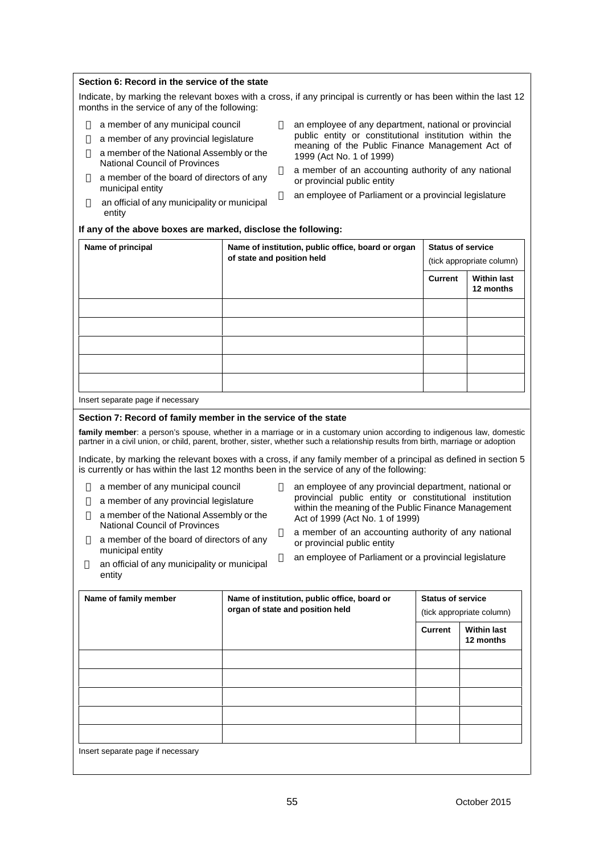#### **Section 6: Record in the service of the state**

Indicate, by marking the relevant boxes with a cross, if any principal is currently or has been within the last 12 months in the service of any of the following:

- a member of any municipal council
- a member of any provincial legislature

a member of the National Assembly or the National Council of Provinces

a member of the board of directors of any municipal entity

an official of any municipality or municipal entity

an employee of any department, national or provincial public entity or constitutional institution within the meaning of the Public Finance Management Act of 1999 (Act No. 1 of 1999)

a member of an accounting authority of any national or provincial public entity

an employee of Parliament or a provincial legislature

#### **If any of the above boxes are marked, disclose the following:**

| Name of principal | Name of institution, public office, board or organ<br>of state and position held | <b>Status of service</b><br>(tick appropriate column) |                                 |
|-------------------|----------------------------------------------------------------------------------|-------------------------------------------------------|---------------------------------|
|                   |                                                                                  | <b>Current</b>                                        | <b>Within last</b><br>12 months |
|                   |                                                                                  |                                                       |                                 |
|                   |                                                                                  |                                                       |                                 |
|                   |                                                                                  |                                                       |                                 |
|                   |                                                                                  |                                                       |                                 |
|                   |                                                                                  |                                                       |                                 |

Insert separate page if necessary

entity

#### **Section 7: Record of family member in the service of the state**

**family member**: a person's spouse, whether in a marriage or in a customary union according to indigenous law, domestic partner in a civil union, or child, parent, brother, sister, whether such a relationship results from birth, marriage or adoption

Indicate, by marking the relevant boxes with a cross, if any family member of a principal as defined in section 5 is currently or has within the last 12 months been in the service of any of the following:

a member of any municipal council

a member of any provincial legislature

a member of the National Assembly or the National Council of Provinces

a member of the board of directors of any municipal entity an official of any municipality or municipal an employee of any provincial department, national or provincial public entity or constitutional institution within the meaning of the Public Finance Management Act of 1999 (Act No. 1 of 1999)

a member of an accounting authority of any national or provincial public entity

an employee of Parliament or a provincial legislature

**Name of family member Name of institution, public office, board or organ of state and position held Status of service** (tick appropriate column) **Current Within last 12 months** Insert separate page if necessary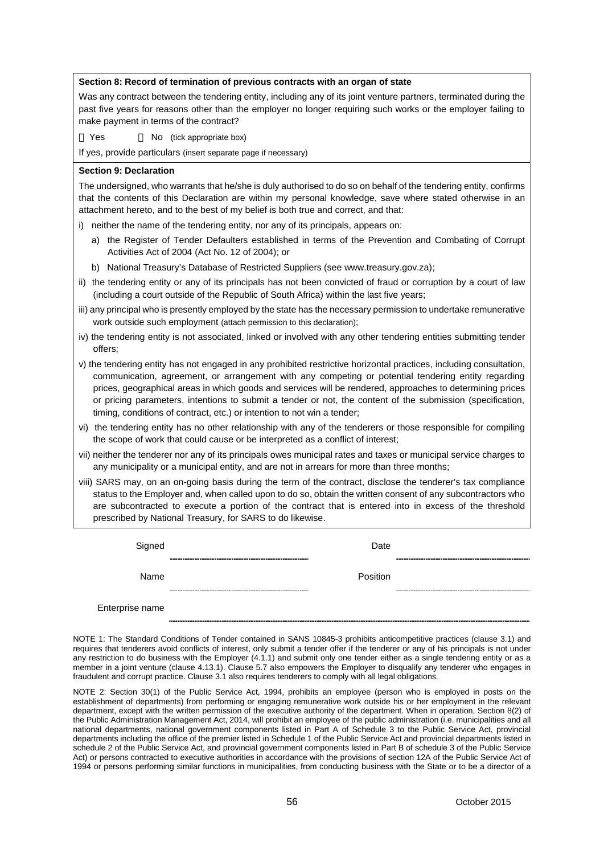#### **Section 8: Record of termination of previous contracts with an organ of state**

Was any contract between the tendering entity, including any of its joint venture partners, terminated during the past five years for reasons other than the employer no longer requiring such works or the employer failing to make payment in terms of the contract?

Yes **No** (tick appropriate box)

If yes, provide particulars (insert separate page if necessary)

#### **Section 9: Declaration**

The undersigned, who warrants that he/she is duly authorised to do so on behalf of the tendering entity, confirms that the contents of this Declaration are within my personal knowledge, save where stated otherwise in an attachment hereto, and to the best of my belief is both true and correct, and that:

i) neither the name of the tendering entity, nor any of its principals, appears on:

- a) the Register of Tender Defaulters established in terms of the Prevention and Combating of Corrupt Activities Act of 2004 (Act No. 12 of 2004); or
- b) National Treasury's Database of Restricted Suppliers (see www.treasury.gov.za);
- ii) the tendering entity or any of its principals has not been convicted of fraud or corruption by a court of law (including a court outside of the Republic of South Africa) within the last five years;
- iii) any principal who is presently employed by the state has the necessary permission to undertake remunerative work outside such employment (attach permission to this declaration);
- iv) the tendering entity is not associated, linked or involved with any other tendering entities submitting tender offers;
- v) the tendering entity has not engaged in any prohibited restrictive horizontal practices, including consultation, communication, agreement, or arrangement with any competing or potential tendering entity regarding prices, geographical areas in which goods and services will be rendered, approaches to determining prices or pricing parameters, intentions to submit a tender or not, the content of the submission (specification, timing, conditions of contract, etc.) or intention to not win a tender;
- vi) the tendering entity has no other relationship with any of the tenderers or those responsible for compiling the scope of work that could cause or be interpreted as a conflict of interest;
- vii) neither the tenderer nor any of its principals owes municipal rates and taxes or municipal service charges to any municipality or a municipal entity, and are not in arrears for more than three months;
- viii) SARS may, on an on-going basis during the term of the contract, disclose the tenderer's tax compliance status to the Employer and, when called upon to do so, obtain the written consent of any subcontractors who are subcontracted to execute a portion of the contract that is entered into in excess of the threshold prescribed by National Treasury, for SARS to do likewise.

| Signed          | Date     |  |
|-----------------|----------|--|
|                 |          |  |
| Name            | Position |  |
|                 |          |  |
| Enterprise name |          |  |

NOTE 1: The Standard Conditions of Tender contained in SANS 10845-3 prohibits anticompetitive practices (clause 3.1) and requires that tenderers avoid conflicts of interest, only submit a tender offer if the tenderer or any of his principals is not under any restriction to do business with the Employer (4.1.1) and submit only one tender either as a single tendering entity or as a member in a joint venture (clause 4.13.1). Clause 5.7 also empowers the Employer to disqualify any tenderer who engages in fraudulent and corrupt practice. Clause 3.1 also requires tenderers to comply with all legal obligations.

NOTE 2: Section 30(1) of the Public Service Act, 1994, prohibits an employee (person who is employed in posts on the establishment of departments) from performing or engaging remunerative work outside his or her employment in the relevant department, except with the written permission of the executive authority of the department. When in operation, Section 8(2) of the Public Administration Management Act, 2014, will prohibit an employee of the public administration (i.e. municipalities and all national departments, national government components listed in Part A of Schedule 3 to the Public Service Act, provincial departments including the office of the premier listed in Schedule 1 of the Public Service Act and provincial departments listed in schedule 2 of the Public Service Act, and provincial government components listed in Part B of schedule 3 of the Public Service Act) or persons contracted to executive authorities in accordance with the provisions of section 12A of the Public Service Act of 1994 or persons performing similar functions in municipalities, from conducting business with the State or to be a director of a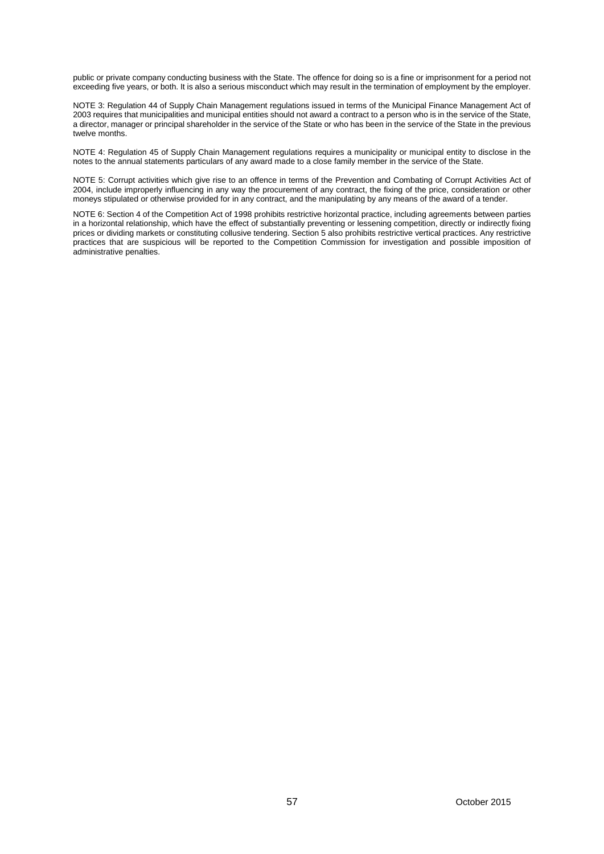public or private company conducting business with the State. The offence for doing so is a fine or imprisonment for a period not exceeding five years, or both. It is also a serious misconduct which may result in the termination of employment by the employer.

NOTE 3: Regulation 44 of Supply Chain Management regulations issued in terms of the Municipal Finance Management Act of 2003 requires that municipalities and municipal entities should not award a contract to a person who is in the service of the State, a director, manager or principal shareholder in the service of the State or who has been in the service of the State in the previous twelve months.

NOTE 4: Regulation 45 of Supply Chain Management regulations requires a municipality or municipal entity to disclose in the notes to the annual statements particulars of any award made to a close family member in the service of the State.

NOTE 5: Corrupt activities which give rise to an offence in terms of the Prevention and Combating of Corrupt Activities Act of 2004, include improperly influencing in any way the procurement of any contract, the fixing of the price, consideration or other moneys stipulated or otherwise provided for in any contract, and the manipulating by any means of the award of a tender.

NOTE 6: Section 4 of the Competition Act of 1998 prohibits restrictive horizontal practice, including agreements between parties in a horizontal relationship, which have the effect of substantially preventing or lessening competition, directly or indirectly fixing prices or dividing markets or constituting collusive tendering. Section 5 also prohibits restrictive vertical practices. Any restrictive practices that are suspicious will be reported to the Competition Commission for investigation and possible imposition of administrative penalties.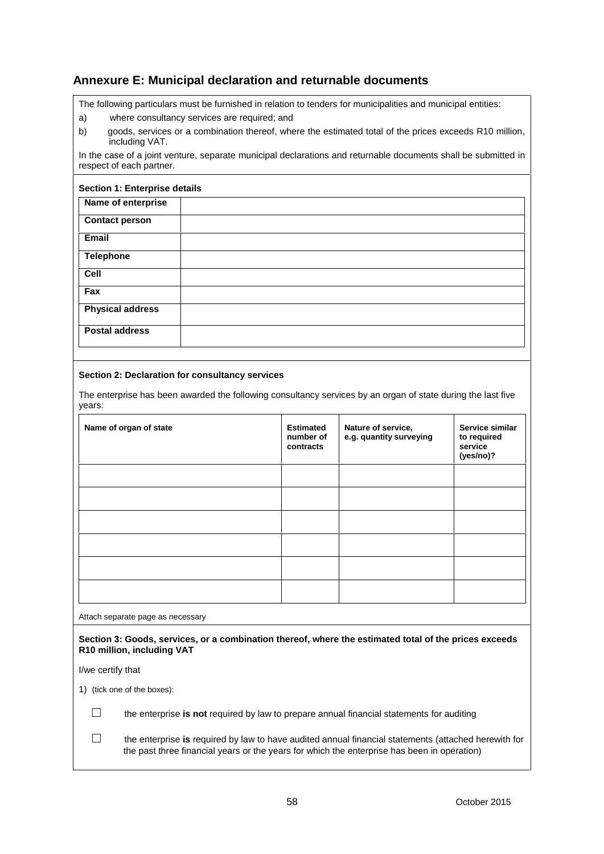# **Annexure E: Municipal declaration and returnable documents**

The following particulars must be furnished in relation to tenders for municipalities and municipal entities:

- a) where consultancy services are required; and
- b) goods, services or a combination thereof, where the estimated total of the prices exceeds R10 million, including VAT.

In the case of a joint venture, separate municipal declarations and returnable documents shall be submitted in respect of each partner.

#### **Section 1: Enterprise details**

| Name of enterprise      |  |
|-------------------------|--|
| <b>Contact person</b>   |  |
| Email                   |  |
| <b>Telephone</b>        |  |
| Cell                    |  |
| Fax                     |  |
| <b>Physical address</b> |  |
| <b>Postal address</b>   |  |
|                         |  |

#### **Section 2: Declaration for consultancy services**

The enterprise has been awarded the following consultancy services by an organ of state during the last five years:

| <b>Estimated</b><br>number of<br>contracts | Nature of service,<br>e.g. quantity surveying | Service similar<br>to required<br>service<br>(yes/no)? |
|--------------------------------------------|-----------------------------------------------|--------------------------------------------------------|
|                                            |                                               |                                                        |
|                                            |                                               |                                                        |
|                                            |                                               |                                                        |
|                                            |                                               |                                                        |
|                                            |                                               |                                                        |
|                                            |                                               |                                                        |
|                                            |                                               |                                                        |

Attach separate page as necessary

**Section 3: Goods, services, or a combination thereof, where the estimated total of the prices exceeds R10 million, including VAT**

I/we certify that

1) (tick one of the boxes):

the enterprise **is not** required by law to prepare annual financial statements for auditing

the enterprise **is** required by law to have audited annual financial statements (attached herewith for the past three financial years or the years for which the enterprise has been in operation)